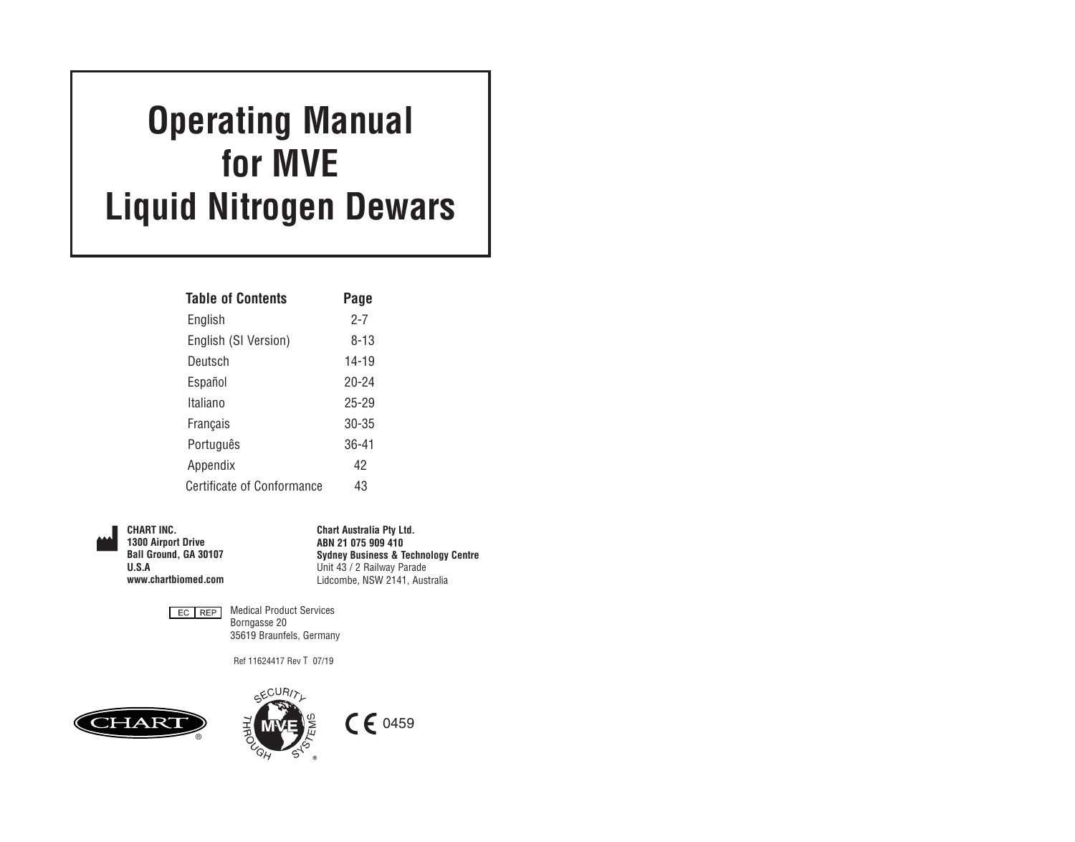# **Operating Manual for MVE Liquid Nitrogen Dewars**

| <b>Table of Contents</b>          | Page      |
|-----------------------------------|-----------|
| English                           | 2-7       |
| English (SI Version)              | 8-13      |
| Deutsch                           | $14 - 19$ |
| Español                           | 20-24     |
| Italiano                          | 25-29     |
| Français                          | $30 - 35$ |
| Português                         | $36 - 41$ |
| Appendix                          | 42        |
| <b>Certificate of Conformance</b> | 43        |

**CHART INC. 1300 Airport Drive Ball Ground, GA 30107 U.S.A www.chartbiomed.com**  **Chart Australia Pty Ltd. ABN 21 075 909 410 Sydney Business & Technology Centre** Unit 43 / 2 Railway Parade Lidcombe, NSW 2141, Australia



Medical Product Services Borngasse 20 35619 Braunfels, Germany

Ref 11624417 Rev T 07/19



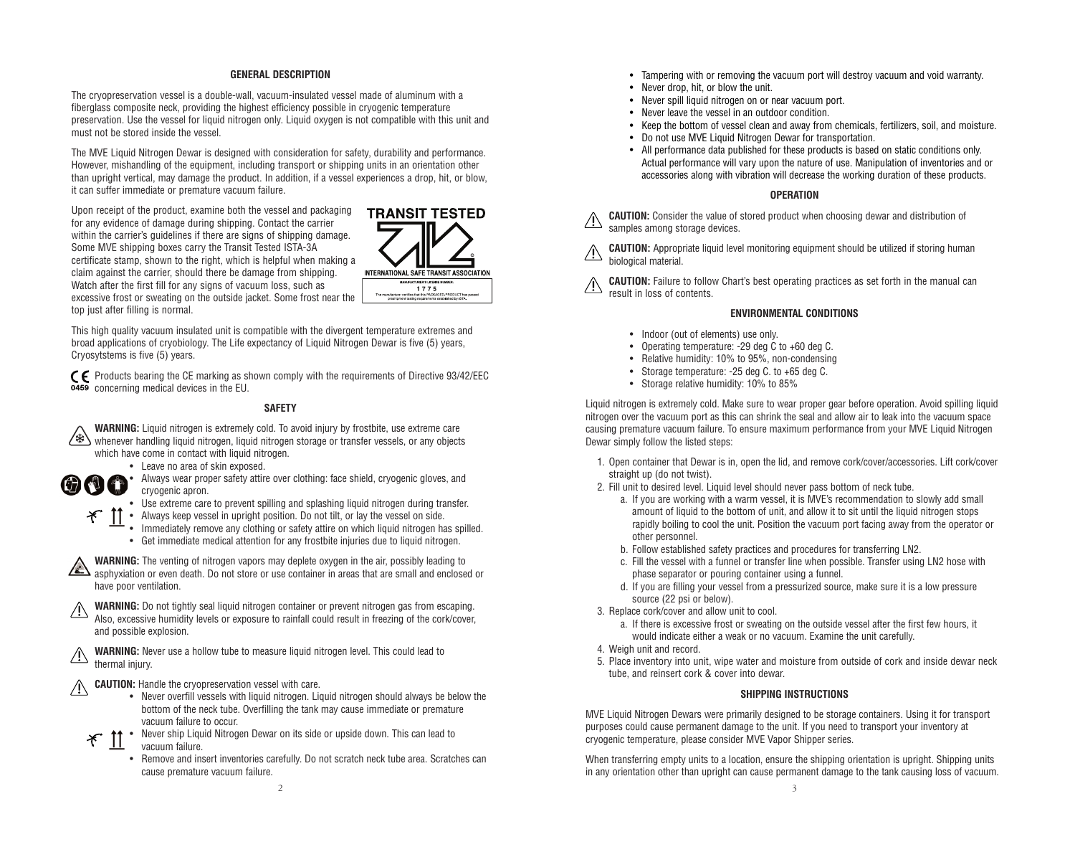#### **GENERAL DESCRIPTION**

The cryopreservation vessel is a double-wall, vacuum-insulated vessel made of aluminum with a fiberglass composite neck, providing the highest efficiency possible in cryogenic temperature preservation. Use the vessel for liquid nitrogen only. Liquid oxygen is not compatible with this unit and must not be stored inside the vessel.

The MVE Liquid Nitrogen Dewar is designed with consideration for safety, durability and performance. However, mishandling of the equipment, including transport or shipping units in an orientation other than upright vertical, may damage the product. In addition, if a vessel experiences a drop, hit, or blow, it can suffer immediate or premature vacuum failure.

Upon receipt of the product, examine both the vessel and packaging for any evidence of damage during shipping. Contact the carrier within the carrier's guidelines if there are signs of shipping damage. Some MVE shipping boxes carry the Transit Tested ISTA-3A certificate stamp, shown to the right, which is helpful when making a claim against the carrier, should there be damage from shipping. Watch after the first fill for any signs of vacuum loss, such as excessive frost or sweating on the outside jacket. Some frost near the top just after filling is normal.



This high quality vacuum insulated unit is compatible with the divergent temperature extremes and broad applications of cryobiology. The Life expectancy of Liquid Nitrogen Dewar is five (5) years, Cryosytstems is five (5) years.

 $\zeta$  Products bearing the CE marking as shown comply with the requirements of Directive 93/42/EEC concerning medical devices in the EU.

#### **SAFETY**

- **WARNING:** Liquid nitrogen is extremely cold. To avoid injury by frostbite, use extreme care whenever handling liquid nitrogen, liquid nitrogen storage or transfer vessels, or any objects which have come in contact with liquid nitrogen.
	- Leave no area of skin exposed.
	-

 $\mathcal{F}$ 

- **OCO** Always wear proper safety attire over clothing: face shield, cryogenic gloves, and cryogenic apron.
	- Use extreme care to prevent spilling and splashing liquid nitrogen during transfer.
	- Always keep vessel in upright position. Do not tilt, or lay the vessel on side.
	- Immediately remove any clothing or safety attire on which liquid nitrogen has spilled. • Get immediate medical attention for any frostbite injuries due to liquid nitrogen.

**WARNING:** The venting of nitrogen vapors may deplete oxygen in the air, possibly leading to asphyxiation or even death. Do not store or use container in areas that are small and enclosed or have poor ventilation.

**WARNING:** Do not tightly seal liquid nitrogen container or prevent nitrogen gas from escaping. Also, excessive humidity levels or exposure to rainfall could result in freezing of the cork/cover, and possible explosion.

**WARNING:** Never use a hollow tube to measure liquid nitrogen level. This could lead to thermal injury.

- **CAUTION:** Handle the cryopreservation vessel with care.  $\sqrt{N}$ 
	- Never overfill vessels with liquid nitrogen. Liquid nitrogen should always be below the bottom of the neck tube. Overfilling the tank may cause immediate or premature vacuum failure to occur.
	- Never ship Liquid Nitrogen Dewar on its side or upside down. This can lead to ぞ vacuum failure.
		- Remove and insert inventories carefully. Do not scratch neck tube area. Scratches can cause premature vacuum failure.
- Tampering with or removing the vacuum port will destroy vacuum and void warranty.
- Never drop, hit, or blow the unit.
- Never spill liquid nitrogen on or near vacuum port.
- Never leave the vessel in an outdoor condition.
- Keep the bottom of vessel clean and away from chemicals, fertilizers, soil, and moisture.
- Do not use MVE Liquid Nitrogen Dewar for transportation.
- All performance data published for these products is based on static conditions only. Actual performance will vary upon the nature of use. Manipulation of inventories and or accessories along with vibration will decrease the working duration of these products.

#### **OPERATION**

**CAUTION:** Consider the value of stored product when choosing dewar and distribution of samples among storage devices.

**CAUTION:** Appropriate liquid level monitoring equipment should be utilized if storing human biological material.

**CAUTION:** Failure to follow Chart's best operating practices as set forth in the manual can result in loss of contents.

#### **ENVIRONMENTAL CONDITIONS**

- Indoor (out of elements) use only.
- Operating temperature: -29 deg C to +60 deg C.
- Relative humidity: 10% to 95%, non-condensing
- Storage temperature: -25 deg C. to +65 deg C.
- Storage relative humidity: 10% to 85%

Liquid nitrogen is extremely cold. Make sure to wear proper gear before operation. Avoid spilling liquid nitrogen over the vacuum port as this can shrink the seal and allow air to leak into the vacuum space causing premature vacuum failure. To ensure maximum performance from your MVE Liquid Nitrogen Dewar simply follow the listed steps:

- 1. Open container that Dewar is in, open the lid, and remove cork/cover/accessories. Lift cork/cover straight up (do not twist).
- 2. Fill unit to desired level. Liquid level should never pass bottom of neck tube.
	- a. If you are working with a warm vessel, it is MVE's recommendation to slowly add small amount of liquid to the bottom of unit, and allow it to sit until the liquid nitrogen stops rapidly boiling to cool the unit. Position the vacuum port facing away from the operator or other personnel.
	- b. Follow established safety practices and procedures for transferring LN2.
	- c. Fill the vessel with a funnel or transfer line when possible. Transfer using LN2 hose with phase separator or pouring container using a funnel.
	- d. If you are filling your vessel from a pressurized source, make sure it is a low pressure source (22 psi or below).
- 3. Replace cork/cover and allow unit to cool.
	- a. If there is excessive frost or sweating on the outside vessel after the first few hours, it would indicate either a weak or no vacuum. Examine the unit carefully.
- 4. Weigh unit and record.
- 5. Place inventory into unit, wipe water and moisture from outside of cork and inside dewar neck tube, and reinsert cork & cover into dewar.

#### **SHIPPING INSTRUCTIONS**

MVE Liquid Nitrogen Dewars were primarily designed to be storage containers. Using it for transport purposes could cause permanent damage to the unit. If you need to transport your inventory at cryogenic temperature, please consider MVE Vapor Shipper series.

When transferring empty units to a location, ensure the shipping orientation is upright. Shipping units in any orientation other than upright can cause permanent damage to the tank causing loss of vacuum.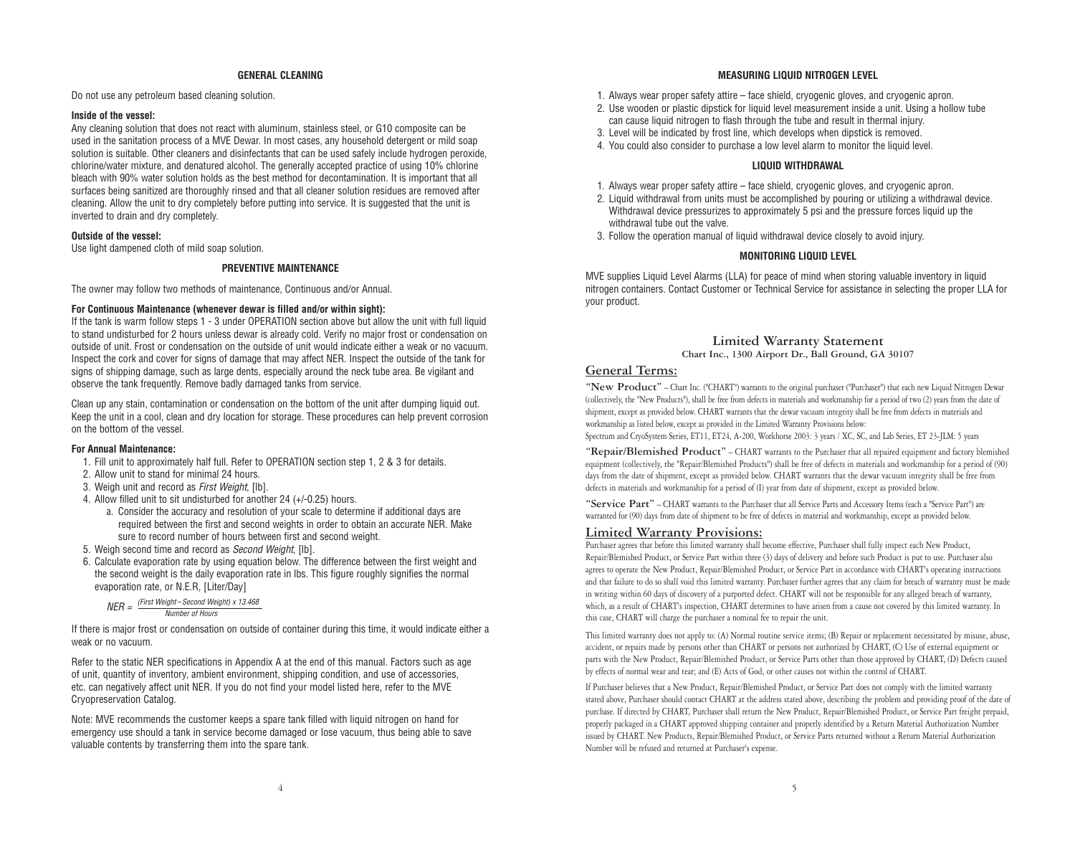#### **GENERAL CLEANING**

Do not use any petroleum based cleaning solution.

#### **Inside of the vessel:**

Any cleaning solution that does not react with aluminum, stainless steel, or G10 composite can be used in the sanitation process of a MVE Dewar. In most cases, any household detergent or mild soap solution is suitable. Other cleaners and disinfectants that can be used safely include hydrogen peroxide, chlorine/water mixture, and denatured alcohol. The generally accepted practice of using 10% chlorine bleach with 90% water solution holds as the best method for decontamination. It is important that all surfaces being sanitized are thoroughly rinsed and that all cleaner solution residues are removed after cleaning. Allow the unit to dry completely before putting into service. It is suggested that the unit is inverted to drain and dry completely.

#### **Outside of the vessel:**

Use light dampened cloth of mild soap solution.

#### **PREVENTIVE MAINTENANCE**

The owner may follow two methods of maintenance, Continuous and/or Annual.

#### **For Continuous Maintenance (whenever dewar is filled and/or within sight):**

If the tank is warm follow steps 1 - 3 under OPERATION section above but allow the unit with full liquid to stand undisturbed for 2 hours unless dewar is already cold. Verify no major frost or condensation on outside of unit. Frost or condensation on the outside of unit would indicate either a weak or no vacuum. Inspect the cork and cover for signs of damage that may affect NER. Inspect the outside of the tank for signs of shipping damage, such as large dents, especially around the neck tube area. Be vigilant and observe the tank frequently. Remove badly damaged tanks from service.

Clean up any stain, contamination or condensation on the bottom of the unit after dumping liquid out. Keep the unit in a cool, clean and dry location for storage. These procedures can help prevent corrosion on the bottom of the vessel.

#### **For Annual Maintenance:**

- 1. Fill unit to approximately half full. Refer to OPERATION section step 1, 2 & 3 for details.
- 2. Allow unit to stand for minimal 24 hours.
- 3. Weigh unit and record as First Weight, [lb].
- 4. Allow filled unit to sit undisturbed for another 24 (+/-0.25) hours.
	- a. Consider the accuracy and resolution of your scale to determine if additional days are required between the first and second weights in order to obtain an accurate NER. Make sure to record number of hours between first and second weight.
- 5. Weigh second time and record as *Second Weight*, [lb].
- 6. Calculate evaporation rate by using equation below. The difference between the first weight and the second weight is the daily evaporation rate in lbs. This figure roughly signifies the normal evaporation rate, or N.E.R, [Liter/Day]

 $NER = \frac{F \cdot F \cdot F}{F \cdot F}$  Weight-Second Weight) x 13.468 Number of Hours

If there is major frost or condensation on outside of container during this time, it would indicate either a weak or no vacuum.

Refer to the static NER specifications in Appendix A at the end of this manual. Factors such as age of unit, quantity of inventory, ambient environment, shipping condition, and use of accessories, etc. can negatively affect unit NER. If you do not find your model listed here, refer to the MVE Cryopreservation Catalog.

Note: MVE recommends the customer keeps a spare tank filled with liquid nitrogen on hand for emergency use should a tank in service become damaged or lose vacuum, thus being able to save valuable contents by transferring them into the spare tank.

#### **MEASURING LIQUID NITROGEN LEVEL**

- 1. Always wear proper safety attire face shield, cryogenic gloves, and cryogenic apron.
- 2. Use wooden or plastic dipstick for liquid level measurement inside a unit. Using a hollow tube can cause liquid nitrogen to flash through the tube and result in thermal injury.
- 3. Level will be indicated by frost line, which develops when dipstick is removed.
- 4. You could also consider to purchase a low level alarm to monitor the liquid level.

#### **LIQUID WITHDRAWAL**

- 1. Always wear proper safety attire face shield, cryogenic gloves, and cryogenic apron.
- 2. Liquid withdrawal from units must be accomplished by pouring or utilizing a withdrawal device. Withdrawal device pressurizes to approximately 5 psi and the pressure forces liquid up the withdrawal tube out the valve.
- 3. Follow the operation manual of liquid withdrawal device closely to avoid injury.

#### **MONITORING LIQUID LEVEL**

MVE supplies Liquid Level Alarms (LLA) for peace of mind when storing valuable inventory in liquid nitrogen containers. Contact Customer or Technical Service for assistance in selecting the proper LLA for your product.

#### **Limited Warranty Statement Chart Inc., 1300 Airport Dr., Ball Ground, GA 30107**

#### **General Terms:**

**"New Product"** – Chart Inc. ("CHART") warrants to the original purchaser ("Purchaser") that each new Liquid Nitrogen Dewar (collectively, the "New Products"), shall be free from defects in materials and workmanship for a period of two (2) years from the date of shipment, except as provided below. CHART warrants that the dewar vacuum integrity shall be free from defects in materials and workmanship as listed below, except as provided in the Limited Warranty Provisions below:

Spectrum and CryoSystem Series, ET11, ET24, A-200, Workhorse 2003: 3 years / XC, SC, and Lab Series, ET 23-JLM: 5 years

**"Repair/Blemished Product"** – CHART warrants to the Purchaser that all repaired equipment and factory blemished equipment (collectively, the "Repair/Blemished Products") shall be free of defects in materials and workmanship for a period of (90) days from the date of shipment, except as provided below. CHART warrants that the dewar vacuum integrity shall be free from defects in materials and workmanship for a period of (I) year from date of shipment, except as provided below.

**"Service Part"** – CHART warrants to the Purchaser that all Service Parts and Accessory Items (each a "Service Part") are warranted for (90) days from date of shipment to be free of defects in material and workmanship, except as provided below.

#### **Limited Warranty Provisions:**

Purchaser agrees that before this limited warranty shall become effective, Purchaser shall fully inspect each New Product, Repair/Blemished Product, or Service Part within three (3) days of delivery and before such Product is put to use. Purchaser also agrees to operate the New Product, Repair/Blemished Product, or Service Part in accordance with CHART's operating instructions and that failure to do so shall void this limited warranty. Purchaser further agrees that any claim for breach of warranty must be made in writing within 60 days of discovery of a purported defect. CHART will not be responsible for any alleged breach of warranty, which, as a result of CHART's inspection, CHART determines to have arisen from a cause not covered by this limited warranty. In this case, CHART will charge the purchaser a nominal fee to repair the unit.

This limited warranty does not apply to: (A) Normal routine service items; (B) Repair or replacement necessitated by misuse, abuse, accident, or repairs made by persons other than CHART or persons not authorized by CHART, (C) Use of external equipment or parts with the New Product, Repair/Blemished Product, or Service Parts other than those approved by CHART, (D) Defects caused by effects of normal wear and tear; and (E) Acts of God, or other causes not within the control of CHART.

If Purchaser believes that a New Product, Repair/Blemished Product, or Service Part does not comply with the limited warranty stated above, Purchaser should contact CHART at the address stated above, describing the problem and providing proof of the date of purchase. If directed by CHART, Purchaser shall return the New Product, Repair/Blemished Product, or Service Part freight prepaid, properly packaged in a CHART approved shipping container and properly identified by a Return Material Authorization Number issued by CHART. New Products, Repair/Blemished Product, or Service Parts returned without a Return Material Authorization Number will be refused and returned at Purchaser's expense.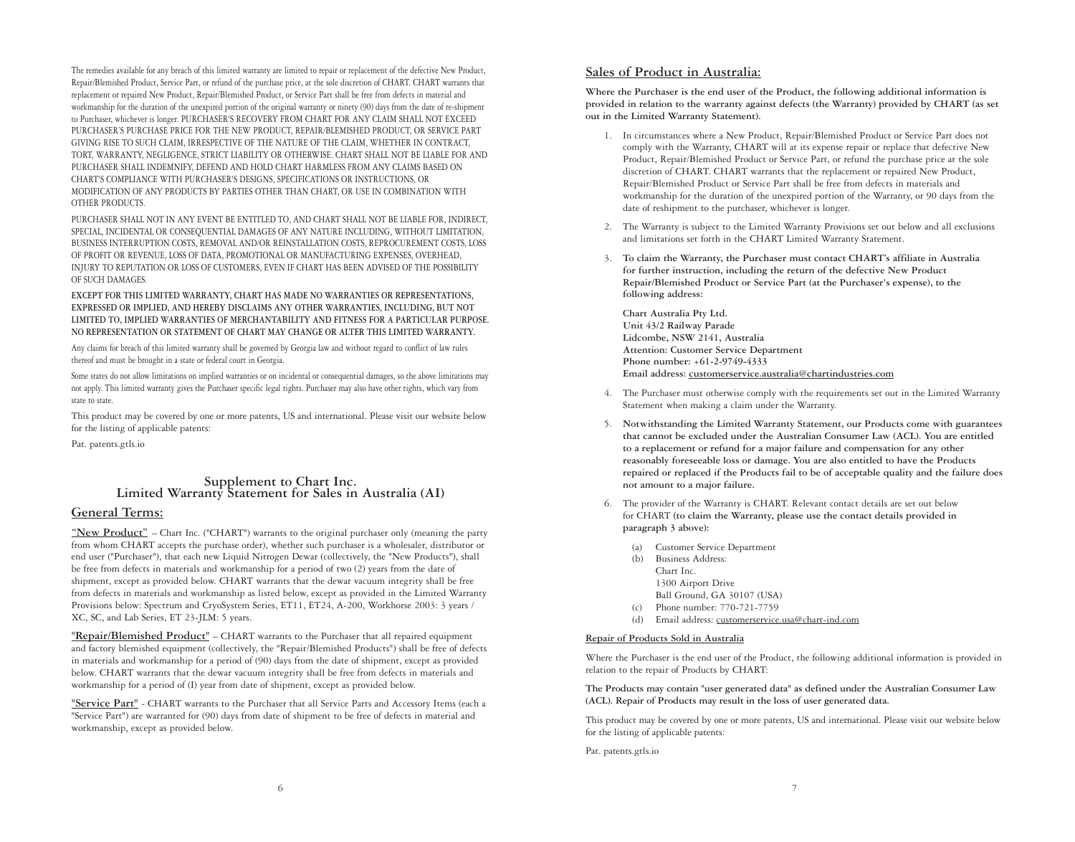The remedies available for any breach of this limited warranty are limited to repair or replacement of the defective New Product, Repair/Blemished Product, Service Part, or refund of the purchase price, at the sole discretion of CHART. CHART warrants that replacement or repaired New Product, Repair/Blemished Product, or Service Part shall be free from defects in material and workmanship for the duration of the unexpired portion of the original warranty or ninety (90) days from the date of re-shipment to Purchaser, whichever is longer. PURCHASER'S RECOVERY FROM CHART FOR ANY CLAIM SHALL NOT EXCEED PURCHASER'S PURCHASE PRICE FOR THE NEW PRODUCT, REPAIR/BLEMISHED PRODUCT, OR SERVICE PART GIVING RISE TO SUCH CLAIM, IRRESPECTIVE OF THE NATURE OF THE CLAIM, WHETHER IN CONTRACT, TORT, WARRANTY, NEGLIGENCE, STRICT LIABILITY OR OTHERWISE. CHART SHALL NOT BE LIABLE FOR AND PURCHASER SHALL INDEMNIFY, DEFEND AND HOLD CHART HARMLESS FROM ANY CLAIMS BASED ON CHART'S COMPLIANCE WITH PURCHASER'S DESIGNS, SPECIFICATIONS OR INSTRUCTIONS, OR MODIFICATION OF ANY PRODUCTS BY PARTIES OTHER THAN CHART, OR USE IN COMBINATION WITH OTHER PRODUCTS.

PURCHASER SHALL NOT IN ANY EVENT BE ENTITLED TO, AND CHART SHALL NOT BE LIABLE FOR, INDIRECT, SPECIAL, INCIDENTAL OR CONSEQUENTIAL DAMAGES OF ANY NATURE INCLUDING, WITHOUT LIMITATION, BUSINESS INTERRUPTION COSTS, REMOVAL AND/OR REINSTALLATION COSTS, REPROCUREMENT COSTS, LOSS OF PROFIT OR REVENUE, LOSS OF DATA, PROMOTIONAL OR MANUFACTURING EXPENSES, OVERHEAD, INJURY TO REPUTATION OR LOSS OF CUSTOMERS, EVEN IF CHART HAS BEEN ADVISED OF THE POSSIBILITY OF SUCH DAMAGES.

**EXCEPT FOR THIS LIMITED WARRANTY, CHART HAS MADE NO WARRANTIES OR REPRESENTATIONS, EXPRESSED OR IMPLIED, AND HEREBY DISCLAIMS ANY OTHER WARRANTIES, INCLUDING, BUT NOT LIMITED TO, IMPLIED WARRANTIES OF MERCHANTABILITY AND FITNESS FOR A PARTICULAR PURPOSE. NO REPRESENTATION OR STATEMENT OF CHART MAY CHANGE OR ALTER THIS LIMITED WARRANTY.**

Any claims for breach of this limited warranty shall be governed by Georgia law and without regard to conflict of law rules thereof and must be brought in a state or federal court in Georgia.

Some states do not allow limitations on implied warranties or on incidental or consequential damages, so the above limitations may not apply. This limited warranty gives the Purchaser specific legal rights. Purchaser may also have other rights, which vary from state to state.

This product may be covered by one or more patents, US and international. Please visit our website below for the listing of applicable patents:

Pat. patents.gtls.io

## **Supplement to Chart Inc. Limited Warranty Statement for Sales in Australia (AI)**

#### **General Terms:**

**"New Product"** – Chart Inc. ("CHART") warrants to the original purchaser only (meaning the party from whom CHART accepts the purchase order), whether such purchaser is a wholesaler, distributor or end user ("Purchaser"), that each new Liquid Nitrogen Dewar (collectively, the "New Products"), shall be free from defects in materials and workmanship for a period of two (2) years from the date of shipment, except as provided below. CHART warrants that the dewar vacuum integrity shall be free from defects in materials and workmanship as listed below, except as provided in the Limited Warranty Provisions below: Spectrum and CryoSystem Series, ET11, ET24, A-200, Workhorse 2003: 3 years / XC, SC, and Lab Series, ET 23-JLM: 5 years.

**"Repair/Blemished Product"** – CHART warrants to the Purchaser that all repaired equipment and factory blemished equipment (collectively, the "Repair/Blemished Products") shall be free of defects in materials and workmanship for a period of (90) days from the date of shipment, except as provided below. CHART warrants that the dewar vacuum integrity shall be free from defects in materials and workmanship for a period of (I) year from date of shipment, except as provided below.

**"Service Part"** - CHART warrants to the Purchaser that all Service Parts and Accessory Items (each a "Service Part") are warranted for (90) days from date of shipment to be free of defects in material and workmanship, except as provided below.

#### **Sales of Product in Australia:**

**Where the Purchaser is the end user of the Product, the following additional information is provided in relation to the warranty against defects (the Warranty) provided by CHART (as set out in the Limited Warranty Statement).**

- 1. In circumstances where a New Product, Repair/Blemished Product or Service Part does not comply with the Warranty, CHART will at its expense repair or replace that defective New Product, Repair/Blemished Product or Service Part, or refund the purchase price at the sole discretion of CHART. CHART warrants that the replacement or repaired New Product, Repair/Blemished Product or Service Part shall be free from defects in materials and workmanship for the duration of the unexpired portion of the Warranty, or 90 days from the date of reshipment to the purchaser, whichever is longer.
- 2. The Warranty is subject to the Limited Warranty Provisions set out below and all exclusions and limitations set forth in the CHART Limited Warranty Statement.
- 3. **To claim the Warranty, the Purchaser must contact CHART's affiliate in Australia for further instruction, including the return of the defective New Product Repair/Blemished Product or Service Part (at the Purchaser's expense), to the following address:**

**Chart Australia Pty Ltd. Unit 43/2 Railway Parade Lidcombe, NSW 2141, Australia Attention: Customer Service Department Phone number: +61-2-9749-4333 Email address: customerservice.australia@chartindustries.com**

- 4. The Purchaser must otherwise comply with the requirements set out in the Limited Warranty Statement when making a claim under the Warranty.
- 5. **Notwithstanding the Limited Warranty Statement, our Products come with guarantees that cannot be excluded under the Australian Consumer Law (ACL). You are entitled to a replacement or refund for a major failure and compensation for any other reasonably foreseeable loss or damage. You are also entitled to have the Products repaired or replaced if the Products fail to be of acceptable quality and the failure does not amount to a major failure.**
- 6. The provider of the Warranty is CHART. Relevant contact details are set out below for CHART **(to claim the Warranty, please use the contact details provided in paragraph 3 above):**
	- (a) Customer Service Department
	- (b) Business Address:
		- Chart Inc.
		- 1300 Airport Drive
		- Ball Ground, GA 30107 (USA)
	- (c) Phone number: 770-721-7759
	- (d) Email address: customerservice.usa@chart-ind.com

#### **Repair of Products Sold in Australia**

Where the Purchaser is the end user of the Product, the following additional information is provided in relation to the repair of Products by CHART:

**The Products may contain "user generated data" as defined under the Australian Consumer Law (ACL). Repair of Products may result in the loss of user generated data.**

This product may be covered by one or more patents, US and international. Please visit our website below for the listing of applicable patents:

Pat. patents.gtls.io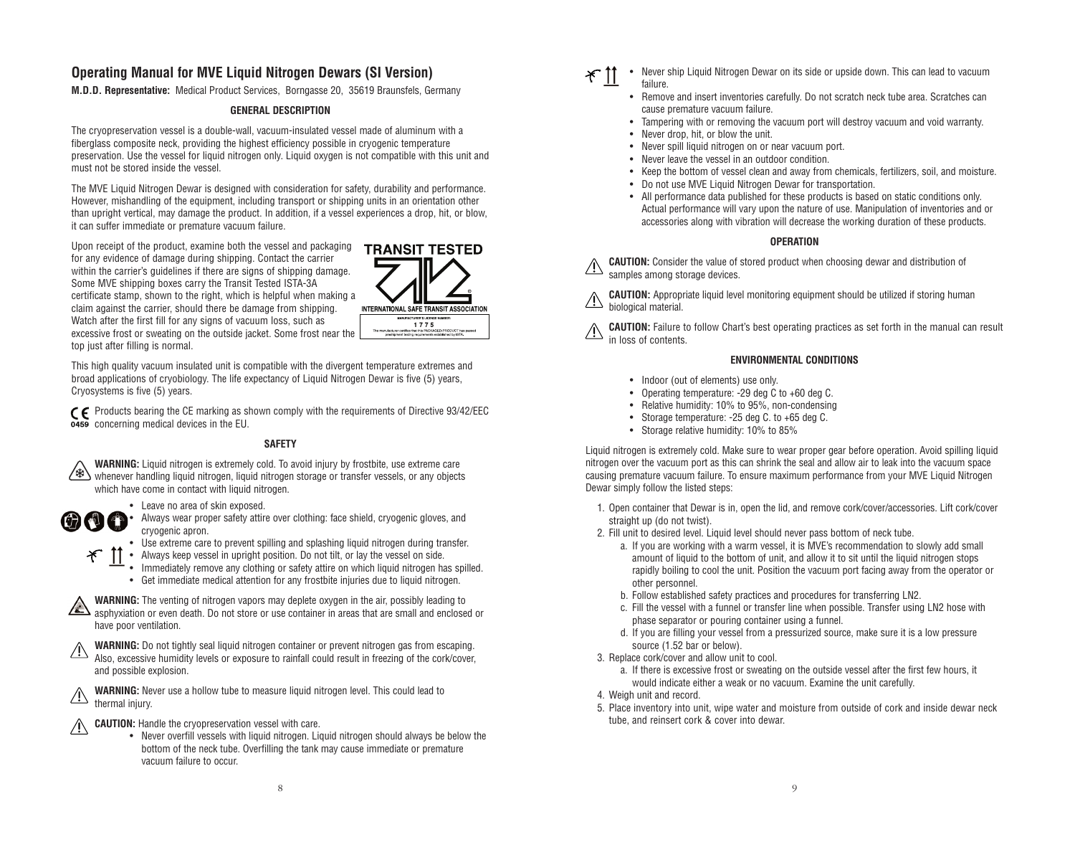#### **Operating Manual for MVE Liquid Nitrogen Dewars (SI Version)**

**M.D.D. Representative:** Medical Product Services, Borngasse 20, 35619 Braunsfels, Germany

#### **GENERAL DESCRIPTION**

The cryopreservation vessel is a double-wall, vacuum-insulated vessel made of aluminum with a fiberglass composite neck, providing the highest efficiency possible in cryogenic temperature preservation. Use the vessel for liquid nitrogen only. Liquid oxygen is not compatible with this unit and must not be stored inside the vessel.

The MVE Liquid Nitrogen Dewar is designed with consideration for safety, durability and performance. However, mishandling of the equipment, including transport or shipping units in an orientation other than upright vertical, may damage the product. In addition, if a vessel experiences a drop, hit, or blow, it can suffer immediate or premature vacuum failure.

Upon receipt of the product, examine both the vessel and packaging for any evidence of damage during shipping. Contact the carrier within the carrier's quidelines if there are signs of shipping damage. Some MVE shipping boxes carry the Transit Tested ISTA-3A certificate stamp, shown to the right, which is helpful when making a claim against the carrier, should there be damage from shipping. Watch after the first fill for any signs of vacuum loss, such as excessive frost or sweating on the outside jacket. Some frost near the top just after filling is normal.



This high quality vacuum insulated unit is compatible with the divergent temperature extremes and broad applications of cryobiology. The life expectancy of Liquid Nitrogen Dewar is five (5) years, Cryosystems is five (5) years.

C E Products bearing the CE marking as shown comply with the requirements of Directive 93/42/EEC concerning medical devices in the EU.

#### **SAFETY**

**WARNING:** Liquid nitrogen is extremely cold. To avoid injury by frostbite, use extreme care whenever handling liquid nitrogen, liquid nitrogen storage or transfer vessels, or any objects which have come in contact with liquid nitrogen.



 $\mathcal{F}$ 

• Leave no area of skin exposed.

• Always wear proper safety attire over clothing: face shield, cryogenic gloves, and cryogenic apron.

• Use extreme care to prevent spilling and splashing liquid nitrogen during transfer.

• Always keep vessel in upright position. Do not tilt, or lay the vessel on side.

• Immediately remove any clothing or safety attire on which liquid nitrogen has spilled. • Get immediate medical attention for any frostbite injuries due to liquid nitrogen.

**WARNING:** The venting of nitrogen vapors may deplete oxygen in the air, possibly leading to A asphyxiation or even death. Do not store or use container in areas that are small and enclosed or have poor ventilation.

**WARNING:** Do not tightly seal liquid nitrogen container or prevent nitrogen gas from escaping. Also, excessive humidity levels or exposure to rainfall could result in freezing of the cork/cover, and possible explosion.

**WARNING:** Never use a hollow tube to measure liquid nitrogen level. This could lead to thermal injury.

**CAUTION:** Handle the cryopreservation vessel with care.

• Never overfill vessels with liquid nitrogen. Liquid nitrogen should always be below the bottom of the neck tube. Overfilling the tank may cause immediate or premature vacuum failure to occur.

- $*$  11 • Never ship Liquid Nitrogen Dewar on its side or upside down. This can lead to vacuum failure.
	- Remove and insert inventories carefully. Do not scratch neck tube area. Scratches can cause premature vacuum failure.
	- Tampering with or removing the vacuum port will destroy vacuum and void warranty.
	- Never drop, hit, or blow the unit.
	- Never spill liquid nitrogen on or near vacuum port.
	- Never leave the vessel in an outdoor condition.
	- Keep the bottom of vessel clean and away from chemicals, fertilizers, soil, and moisture.
	- Do not use MVE Liquid Nitrogen Dewar for transportation.
	- All performance data published for these products is based on static conditions only. Actual performance will vary upon the nature of use. Manipulation of inventories and or accessories along with vibration will decrease the working duration of these products.

#### **OPERATION**

**CAUTION:** Consider the value of stored product when choosing dewar and distribution of samples among storage devices.

**CAUTION:** Appropriate liquid level monitoring equipment should be utilized if storing human biological material.

**CAUTION:** Failure to follow Chart's best operating practices as set forth in the manual can result in loss of contents.

#### **ENVIRONMENTAL CONDITIONS**

- Indoor (out of elements) use only.
- Operating temperature: -29 deg C to +60 deg C.
- Relative humidity: 10% to 95%, non-condensing
- Storage temperature: -25 deg C. to +65 deg C.
- Storage relative humidity: 10% to 85%

Liquid nitrogen is extremely cold. Make sure to wear proper gear before operation. Avoid spilling liquid nitrogen over the vacuum port as this can shrink the seal and allow air to leak into the vacuum space causing premature vacuum failure. To ensure maximum performance from your MVE Liquid Nitrogen Dewar simply follow the listed steps:

- 1. Open container that Dewar is in, open the lid, and remove cork/cover/accessories. Lift cork/cover straight up (do not twist).
- 2. Fill unit to desired level. Liquid level should never pass bottom of neck tube.
	- a. If you are working with a warm vessel, it is MVE's recommendation to slowly add small amount of liquid to the bottom of unit, and allow it to sit until the liquid nitrogen stops rapidly boiling to cool the unit. Position the vacuum port facing away from the operator or other personnel.
	- b. Follow established safety practices and procedures for transferring LN2.
	- c. Fill the vessel with a funnel or transfer line when possible. Transfer using LN2 hose with phase separator or pouring container using a funnel.
	- d. If you are filling your vessel from a pressurized source, make sure it is a low pressure source (1.52 bar or below).
- 3. Replace cork/cover and allow unit to cool.
	- a. If there is excessive frost or sweating on the outside vessel after the first few hours, it would indicate either a weak or no vacuum. Examine the unit carefully.
- 4. Weigh unit and record.
- 5. Place inventory into unit, wipe water and moisture from outside of cork and inside dewar neck tube, and reinsert cork & cover into dewar.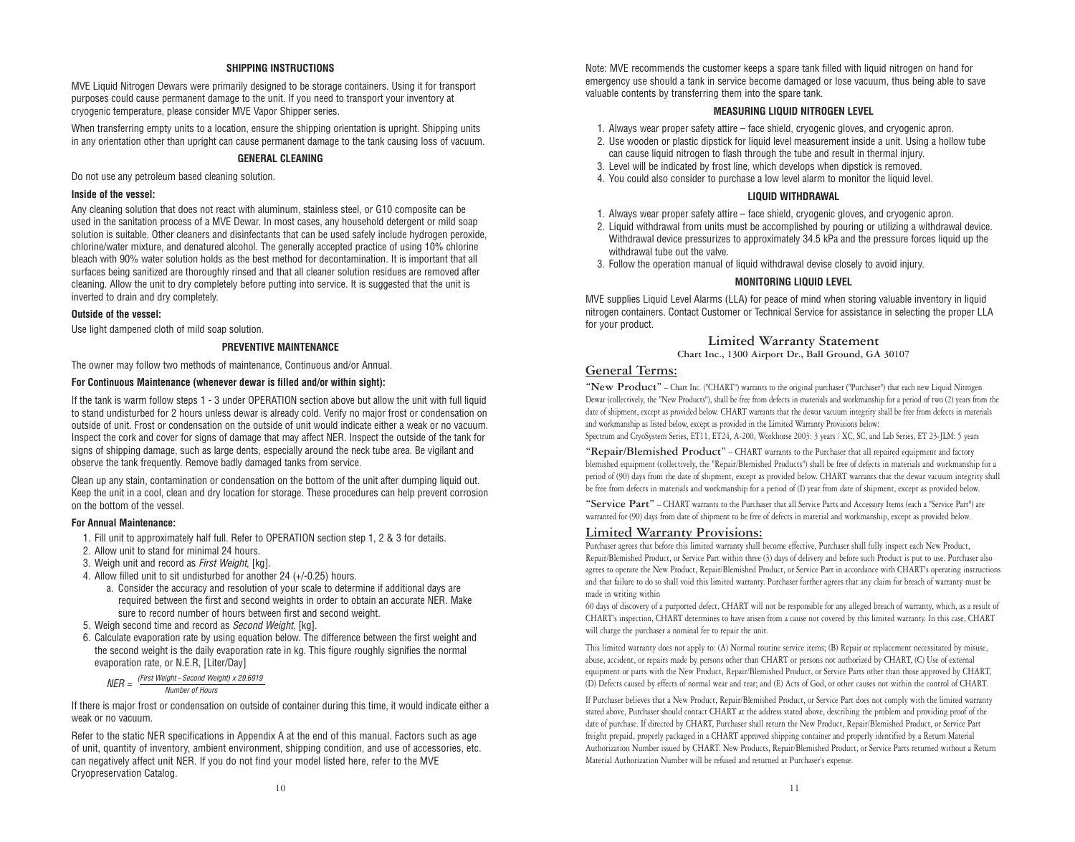#### **SHIPPING INSTRUCTIONS**

MVE Liquid Nitrogen Dewars were primarily designed to be storage containers. Using it for transport purposes could cause permanent damage to the unit. If you need to transport your inventory at cryogenic temperature, please consider MVE Vapor Shipper series.

When transferring empty units to a location, ensure the shipping orientation is upright. Shipping units in any orientation other than upright can cause permanent damage to the tank causing loss of vacuum.

#### **GENERAL CLEANING**

Do not use any petroleum based cleaning solution.

#### **Inside of the vessel:**

Any cleaning solution that does not react with aluminum, stainless steel, or G10 composite can be used in the sanitation process of a MVE Dewar. In most cases, any household detergent or mild soap solution is suitable. Other cleaners and disinfectants that can be used safely include hydrogen peroxide, chlorine/water mixture, and denatured alcohol. The generally accepted practice of using 10% chlorine bleach with 90% water solution holds as the best method for decontamination. It is important that all surfaces being sanitized are thoroughly rinsed and that all cleaner solution residues are removed after cleaning. Allow the unit to dry completely before putting into service. It is suggested that the unit is inverted to drain and dry completely.

#### **Outside of the vessel:**

Use light dampened cloth of mild soap solution.

#### **PREVENTIVE MAINTENANCE**

The owner may follow two methods of maintenance, Continuous and/or Annual.

#### **For Continuous Maintenance (whenever dewar is filled and/or within sight):**

If the tank is warm follow steps 1 - 3 under OPERATION section above but allow the unit with full liquid to stand undisturbed for 2 hours unless dewar is already cold. Verify no major frost or condensation on outside of unit. Frost or condensation on the outside of unit would indicate either a weak or no vacuum. Inspect the cork and cover for signs of damage that may affect NER. Inspect the outside of the tank for signs of shipping damage, such as large dents, especially around the neck tube area. Be vigilant and observe the tank frequently. Remove badly damaged tanks from service.

Clean up any stain, contamination or condensation on the bottom of the unit after dumping liquid out. Keep the unit in a cool, clean and dry location for storage. These procedures can help prevent corrosion on the bottom of the vessel.

#### **For Annual Maintenance:**

- 1. Fill unit to approximately half full. Refer to OPERATION section step 1, 2 & 3 for details.
- 2. Allow unit to stand for minimal 24 hours.
- 3. Weigh unit and record as First Weight, [kg].
- 4. Allow filled unit to sit undisturbed for another 24 (+/-0.25) hours.
	- a. Consider the accuracy and resolution of your scale to determine if additional days are required between the first and second weights in order to obtain an accurate NER. Make sure to record number of hours between first and second weight.
- 5. Weigh second time and record as *Second Weight*, [kg].
- 6. Calculate evaporation rate by using equation below. The difference between the first weight and the second weight is the daily evaporation rate in kg. This figure roughly signifies the normal evaporation rate, or N.E.R, [Liter/Day]

 $NFR = \frac{(First Weight - Second Weight) \times 29.6919}{(First Weight - Second Weight)}$ Number of Hours

If there is major frost or condensation on outside of container during this time, it would indicate either a weak or no vacuum.

Refer to the static NER specifications in Appendix A at the end of this manual. Factors such as age of unit, quantity of inventory, ambient environment, shipping condition, and use of accessories, etc. can negatively affect unit NER. If you do not find your model listed here, refer to the MVE Cryopreservation Catalog.

Note: MVE recommends the customer keeps a spare tank filled with liquid nitrogen on hand for emergency use should a tank in service become damaged or lose vacuum, thus being able to save valuable contents by transferring them into the spare tank.

#### **MEASURING LIQUID NITROGEN LEVEL**

- 1. Always wear proper safety attire face shield, cryogenic gloves, and cryogenic apron.
- 2. Use wooden or plastic dipstick for liquid level measurement inside a unit. Using a hollow tube can cause liquid nitrogen to flash through the tube and result in thermal injury.
- 3. Level will be indicated by frost line, which develops when dipstick is removed.
- 4. You could also consider to purchase a low level alarm to monitor the liquid level.

#### **LIQUID WITHDRAWAL**

- 1. Always wear proper safety attire face shield, cryogenic gloves, and cryogenic apron.
- 2. Liquid withdrawal from units must be accomplished by pouring or utilizing a withdrawal device. Withdrawal device pressurizes to approximately 34.5 kPa and the pressure forces liquid up the withdrawal tube out the valve.
- 3. Follow the operation manual of liquid withdrawal devise closely to avoid injury.

#### **MONITORING LIQUID LEVEL**

MVE supplies Liquid Level Alarms (LLA) for peace of mind when storing valuable inventory in liquid nitrogen containers. Contact Customer or Technical Service for assistance in selecting the proper LLA for your product.

#### **Limited Warranty Statement Chart Inc., 1300 Airport Dr., Ball Ground, GA 30107**

#### **General Terms:**

**"New Product"** – Chart Inc. ("CHART") warrants to the original purchaser ("Purchaser") that each new Liquid Nitrogen Dewar (collectively, the "New Products"), shall be free from defects in materials and workmanship for a period of two (2) years from the date of shipment, except as provided below. CHART warrants that the dewar vacuum integrity shall be free from defects in materials and workmanship as listed below, except as provided in the Limited Warranty Provisions below:

Spectrum and CryoSystem Series, ET11, ET24, A-200, Workhorse 2003: 3 years / XC, SC, and Lab Series, ET 23-JLM: 5 years

**"Repair/Blemished Product"** – CHART warrants to the Purchaser that all repaired equipment and factory blemished equipment (collectively, the "Repair/Blemished Products") shall be free of defects in materials and workmanship for a period of (90) days from the date of shipment, except as provided below. CHART warrants that the dewar vacuum integrity shall be free from defects in materials and workmanship for a period of (I) year from date of shipment, except as provided below.

**"Service Part"** – CHART warrants to the Purchaser that all Service Parts and Accessory Items (each a "Service Part") are warranted for (90) days from date of shipment to be free of defects in material and workmanship, except as provided below.

#### **Limited Warranty Provisions:**

Purchaser agrees that before this limited warranty shall become effective, Purchaser shall fully inspect each New Product, Repair/Blemished Product, or Service Part within three (3) days of delivery and before such Product is put to use. Purchaser also agrees to operate the New Product, Repair/Blemished Product, or Service Part in accordance with CHART's operating instructions and that failure to do so shall void this limited warranty. Purchaser further agrees that any claim for breach of warranty must be made in writing within

60 days of discovery of a purported defect. CHART will not be responsible for any alleged breach of warranty, which, as a result of CHART's inspection, CHART determines to have arisen from a cause not covered by this limited warranty. In this case, CHART will charge the purchaser a nominal fee to repair the unit.

This limited warranty does not apply to: (A) Normal routine service items; (B) Repair or replacement necessitated by misuse, abuse, accident, or repairs made by persons other than CHART or persons not authorized by CHART, (C) Use of external equipment or parts with the New Product, Repair/Blemished Product, or Service Parts other than those approved by CHART, (D) Defects caused by effects of normal wear and tear; and (E) Acts of God, or other causes not within the control of CHART.

If Purchaser believes that a New Product, Repair/Blemished Product, or Service Part does not comply with the limited warranty stated above, Purchaser should contact CHART at the address stated above, describing the problem and providing proof of the date of purchase. If directed by CHART, Purchaser shall return the New Product, Repair/Blemished Product, or Service Part freight prepaid, properly packaged in a CHART approved shipping container and properly identified by a Return Material Authorization Number issued by CHART. New Products, Repair/Blemished Product, or Service Parts returned without a Return Material Authorization Number will be refused and returned at Purchaser's expense.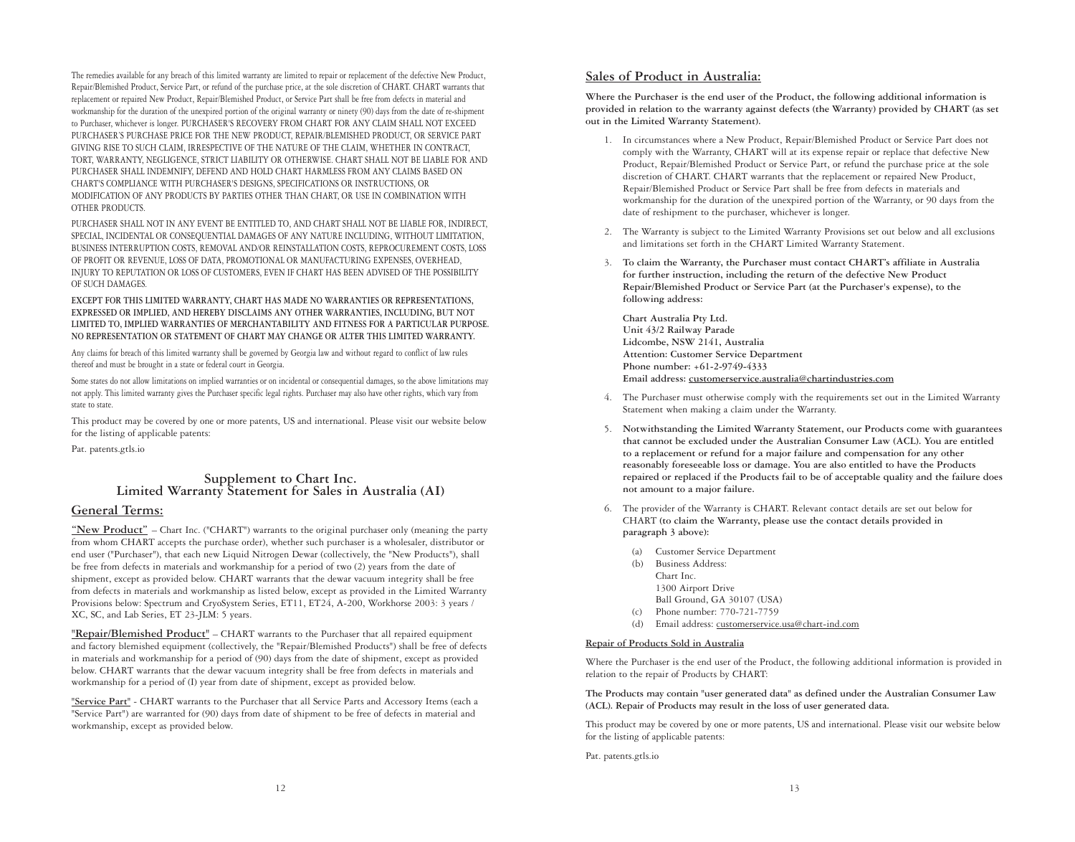The remedies available for any breach of this limited warranty are limited to repair or replacement of the defective New Product, Repair/Blemished Product, Service Part, or refund of the purchase price, at the sole discretion of CHART. CHART warrants that replacement or repaired New Product, Repair/Blemished Product, or Service Part shall be free from defects in material and workmanship for the duration of the unexpired portion of the original warranty or ninety (90) days from the date of re-shipment to Purchaser, whichever is longer. PURCHASER'S RECOVERY FROM CHART FOR ANY CLAIM SHALL NOT EXCEED PURCHASER'S PURCHASE PRICE FOR THE NEW PRODUCT, REPAIR/BLEMISHED PRODUCT, OR SERVICE PART GIVING RISE TO SUCH CLAIM, IRRESPECTIVE OF THE NATURE OF THE CLAIM, WHETHER IN CONTRACT, TORT, WARRANTY, NEGLIGENCE, STRICT LIABILITY OR OTHERWISE. CHART SHALL NOT BE LIABLE FOR AND PURCHASER SHALL INDEMNIFY, DEFEND AND HOLD CHART HARMLESS FROM ANY CLAIMS BASED ON CHART'S COMPLIANCE WITH PURCHASER'S DESIGNS, SPECIFICATIONS OR INSTRUCTIONS, OR MODIFICATION OF ANY PRODUCTS BY PARTIES OTHER THAN CHART, OR USE IN COMBINATION WITH OTHER PRODUCTS.

PURCHASER SHALL NOT IN ANY EVENT BE ENTITLED TO, AND CHART SHALL NOT BE LIABLE FOR, INDIRECT, SPECIAL, INCIDENTAL OR CONSEQUENTIAL DAMAGES OF ANY NATURE INCLUDING, WITHOUT LIMITATION, BUSINESS INTERRUPTION COSTS, REMOVAL AND/OR REINSTALLATION COSTS, REPROCUREMENT COSTS, LOSS OF PROFIT OR REVENUE, LOSS OF DATA, PROMOTIONAL OR MANUFACTURING EXPENSES, OVERHEAD, INJURY TO REPUTATION OR LOSS OF CUSTOMERS, EVEN IF CHART HAS BEEN ADVISED OF THE POSSIBILITY OF SUCH DAMAGES.

**EXCEPT FOR THIS LIMITED WARRANTY, CHART HAS MADE NO WARRANTIES OR REPRESENTATIONS, EXPRESSED OR IMPLIED, AND HEREBY DISCLAIMS ANY OTHER WARRANTIES, INCLUDING, BUT NOT LIMITED TO, IMPLIED WARRANTIES OF MERCHANTABILITY AND FITNESS FOR A PARTICULAR PURPOSE. NO REPRESENTATION OR STATEMENT OF CHART MAY CHANGE OR ALTER THIS LIMITED WARRANTY.**

Any claims for breach of this limited warranty shall be governed by Georgia law and without regard to conflict of law rules thereof and must be brought in a state or federal court in Georgia.

Some states do not allow limitations on implied warranties or on incidental or consequential damages, so the above limitations may not apply. This limited warranty gives the Purchaser specific legal rights. Purchaser may also have other rights, which vary from state to state.

This product may be covered by one or more patents, US and international. Please visit our website below for the listing of applicable patents:

Pat. patents.gtls.io

### **Supplement to Chart Inc. Limited Warranty Statement for Sales in Australia (AI)**

#### **General Terms:**

**"New Product"** – Chart Inc. ("CHART") warrants to the original purchaser only (meaning the party from whom CHART accepts the purchase order), whether such purchaser is a wholesaler, distributor or end user ("Purchaser"), that each new Liquid Nitrogen Dewar (collectively, the "New Products"), shall be free from defects in materials and workmanship for a period of two (2) years from the date of shipment, except as provided below. CHART warrants that the dewar vacuum integrity shall be free from defects in materials and workmanship as listed below, except as provided in the Limited Warranty Provisions below: Spectrum and CryoSystem Series, ET11, ET24, A-200, Workhorse 2003: 3 years / XC, SC, and Lab Series, ET 23-JLM: 5 years.

**"Repair/Blemished Product"** – CHART warrants to the Purchaser that all repaired equipment and factory blemished equipment (collectively, the "Repair/Blemished Products") shall be free of defects in materials and workmanship for a period of (90) days from the date of shipment, except as provided below. CHART warrants that the dewar vacuum integrity shall be free from defects in materials and workmanship for a period of (I) year from date of shipment, except as provided below.

**"Service Part"** - CHART warrants to the Purchaser that all Service Parts and Accessory Items (each a "Service Part") are warranted for (90) days from date of shipment to be free of defects in material and workmanship, except as provided below.

#### **Sales of Product in Australia:**

**Where the Purchaser is the end user of the Product, the following additional information is provided in relation to the warranty against defects (the Warranty) provided by CHART (as set out in the Limited Warranty Statement).**

- 1. In circumstances where a New Product, Repair/Blemished Product or Service Part does not comply with the Warranty, CHART will at its expense repair or replace that defective New Product, Repair/Blemished Product or Service Part, or refund the purchase price at the sole discretion of CHART. CHART warrants that the replacement or repaired New Product, Repair/Blemished Product or Service Part shall be free from defects in materials and workmanship for the duration of the unexpired portion of the Warranty, or 90 days from the date of reshipment to the purchaser, whichever is longer.
- 2. The Warranty is subject to the Limited Warranty Provisions set out below and all exclusions and limitations set forth in the CHART Limited Warranty Statement.
- 3. **To claim the Warranty, the Purchaser must contact CHART's affiliate in Australia for further instruction, including the return of the defective New Product Repair/Blemished Product or Service Part (at the Purchaser's expense), to the following address:**

**Chart Australia Pty Ltd. Unit 43/2 Railway Parade Lidcombe, NSW 2141, Australia Attention: Customer Service Department Phone number: +61-2-9749-4333 Email address: customerservice.australia@chartindustries.com**

- 4. The Purchaser must otherwise comply with the requirements set out in the Limited Warranty Statement when making a claim under the Warranty.
- 5. **Notwithstanding the Limited Warranty Statement, our Products come with guarantees that cannot be excluded under the Australian Consumer Law (ACL). You are entitled to a replacement or refund for a major failure and compensation for any other reasonably foreseeable loss or damage. You are also entitled to have the Products repaired or replaced if the Products fail to be of acceptable quality and the failure does not amount to a major failure.**
- 6. The provider of the Warranty is CHART. Relevant contact details are set out below for CHART **(to claim the Warranty, please use the contact details provided in paragraph 3 above):**
	- (a) Customer Service Department
	- (b) Business Address:
	- Chart Inc.
	- 1300 Airport Drive
	- Ball Ground, GA 30107 (USA)
	- (c) Phone number: 770-721-7759
	- (d) Email address: customerservice.usa@chart-ind.com

#### **Repair of Products Sold in Australia**

Where the Purchaser is the end user of the Product, the following additional information is provided in relation to the repair of Products by CHART:

**The Products may contain "user generated data" as defined under the Australian Consumer Law (ACL). Repair of Products may result in the loss of user generated data.**

This product may be covered by one or more patents, US and international. Please visit our website below for the listing of applicable patents:

Pat. patents.gtls.io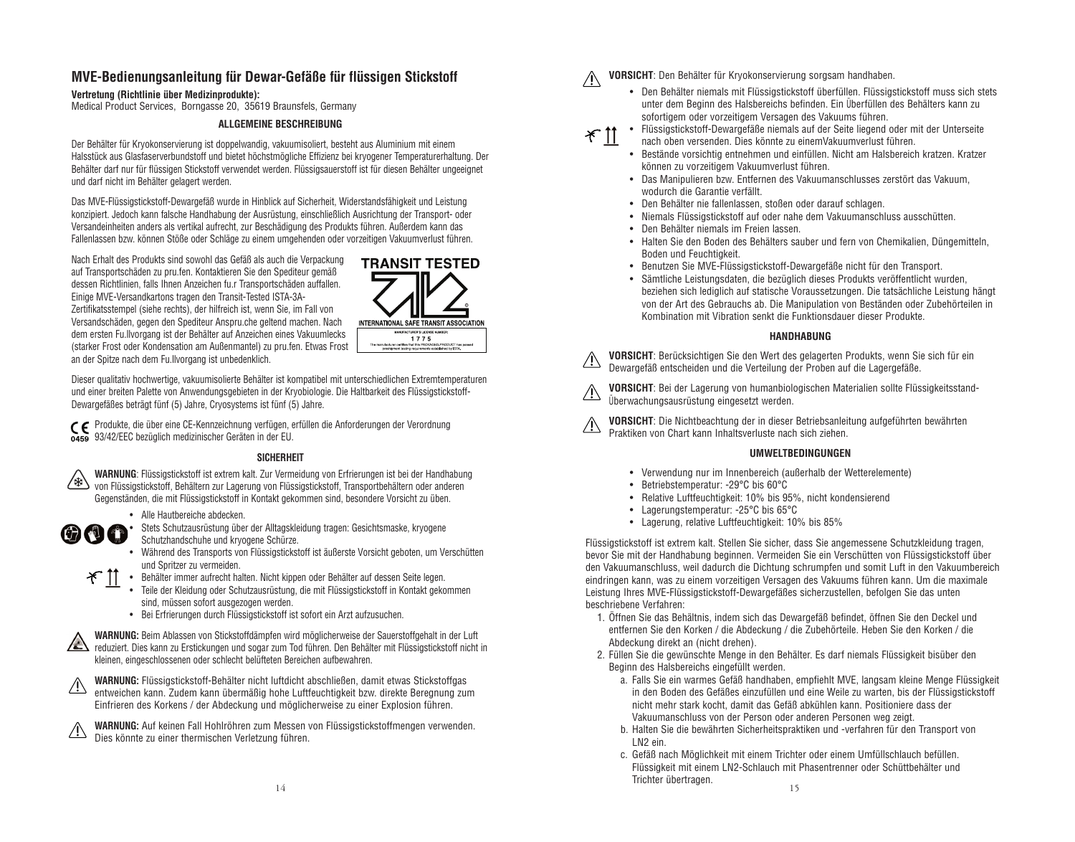#### **MVE-Bedienungsanleitung für Dewar-Gefäße für flüssigen Stickstoff**

#### **Vertretung (Richtlinie über Medizinprodukte):**

Medical Product Services, Borngasse 20, 35619 Braunsfels, Germany

#### **ALLGEMEINE BESCHREIBUNG**

Der Behälter für Kryokonservierung ist doppelwandig, vakuumisoliert, besteht aus Aluminium mit einem Halsstück aus Glasfaserverbundstoff und bietet höchstmögliche Effizienz bei kryogener Temperaturerhaltung. Der Behälter darf nur für flüssigen Stickstoff verwendet werden. Flüssigsauerstoff ist für diesen Behälter ungeeignet und darf nicht im Behälter gelagert werden.

Das MVE-Flüssigstickstoff-Dewargefäß wurde in Hinblick auf Sicherheit, Widerstandsfähigkeit und Leistung konzipiert. Jedoch kann falsche Handhabung der Ausrüstung, einschließlich Ausrichtung der Transport- oder Versandeinheiten anders als vertikal aufrecht, zur Beschädigung des Produkts führen. Außerdem kann das Fallenlassen bzw. können Stöße oder Schläge zu einem umgehenden oder vorzeitigen Vakuumverlust führen.

Nach Erhalt des Produkts sind sowohl das Gefäß als auch die Verpackung auf Transportschäden zu pru.fen. Kontaktieren Sie den Spediteur gemäß dessen Richtlinien, falls Ihnen Anzeichen fu.r Transportschäden auffallen. Einige MVE-Versandkartons tragen den Transit-Tested ISTA-3A-Zertifikatsstempel (siehe rechts), der hilfreich ist, wenn Sie, im Fall von Versandschäden, gegen den Spediteur Anspru.che geltend machen. Nach dem ersten Fu.llvorgang ist der Behälter auf Anzeichen eines Vakuumlecks (starker Frost oder Kondensation am Außenmantel) zu pru.fen. Etwas Frost an der Spitze nach dem Fu.llvorgang ist unbedenklich.



Dieser qualitativ hochwertige, vakuumisolierte Behälter ist kompatibel mit unterschiedlichen Extremtemperaturen und einer breiten Palette von Anwendungsgebieten in der Kryobiologie. Die Haltbarkeit des Flüssigstickstoff-Dewargefäßes beträgt fünf (5) Jahre, Cryosystems ist fünf (5) Jahre.

Produkte, die über eine CE-Kennzeichnung verfügen, erfüllen die Anforderungen der Verordnung 93/42/EEC bezüglich medizinischer Geräten in der EU.

#### **SICHERHEIT**



 $\oplus$   $\oplus$   $\oplus$ 

**WARNUNG**: Flüssigstickstoff ist extrem kalt. Zur Vermeidung von Erfrierungen ist bei der Handhabung von Flüssigstickstoff, Behältern zur Lagerung von Flüssigstickstoff, Transportbehältern oder anderen Gegenständen, die mit Flüssigstickstoff in Kontakt gekommen sind, besondere Vorsicht zu üben.

• Alle Hautbereiche abdecken.

• Stets Schutzausrüstung über der Alltagskleidung tragen: Gesichtsmaske, kryogene Schutzhandschuhe und kryogene Schürze.

• Während des Transports von Flüssigstickstoff ist äußerste Vorsicht geboten, um Verschütten und Spritzer zu vermeiden. • T<sub>1</sub> Behälter immer aufrecht halten. Nicht kippen oder Behälter auf dessen Seite legen.



• Teile der Kleidung oder Schutzausrüstung, die mit Flüssigstickstoff in Kontakt gekommen sind, müssen sofort ausgezogen werden.

• Bei Erfrierungen durch Flüssigstickstoff ist sofort ein Arzt aufzusuchen.

**WARNUNG:** Beim Ablassen von Stickstoffdämpfen wird möglicherweise der Sauerstoffgehalt in der Luft reduziert. Dies kann zu Erstickungen und sogar zum Tod führen. Den Behälter mit Flüssigstickstoff nicht in kleinen, eingeschlossenen oder schlecht belüfteten Bereichen aufbewahren.



/£\

**WARNUNG:** Flüssigstickstoff-Behälter nicht luftdicht abschließen, damit etwas Stickstoffgas entweichen kann. Zudem kann übermäßig hohe Luftfeuchtigkeit bzw. direkte Beregnung zum Einfrieren des Korkens / der Abdeckung und möglicherweise zu einer Explosion führen.



**WARNUNG:** Auf keinen Fall Hohlröhren zum Messen von Flüssigstickstoffmengen verwenden. Dies könnte zu einer thermischen Verletzung führen.

**VORSICHT**: Den Behälter für Kryokonservierung sorgsam handhaben.

- Den Behälter niemals mit Flüssigstickstoff überfüllen. Flüssigstickstoff muss sich stets unter dem Beginn des Halsbereichs befinden. Ein Überfüllen des Behälters kann zu sofortigem oder vorzeitigem Versagen des Vakuums führen.
- $\mathcal X$  11

• Flüssigstickstoff-Dewargefäße niemals auf der Seite liegend oder mit der Unterseite nach oben versenden. Dies könnte zu einemVakuumverlust führen.

- Bestände vorsichtig entnehmen und einfüllen. Nicht am Halsbereich kratzen. Kratzer können zu vorzeitigem Vakuumverlust führen.
- Das Manipulieren bzw. Entfernen des Vakuumanschlusses zerstört das Vakuum, wodurch die Garantie verfällt.
- Den Behälter nie fallenlassen, stoßen oder darauf schlagen.
- Niemals Flüssigstickstoff auf oder nahe dem Vakuumanschluss ausschütten.
- Den Behälter niemals im Freien lassen.
- Halten Sie den Boden des Behälters sauber und fern von Chemikalien, Düngemitteln, Boden und Feuchtigkeit.
- Benutzen Sie MVE-Flüssigstickstoff-Dewargefäße nicht für den Transport.
- Sämtliche Leistungsdaten, die bezüglich dieses Produkts veröffentlicht wurden, beziehen sich lediglich auf statische Voraussetzungen. Die tatsächliche Leistung hängt von der Art des Gebrauchs ab. Die Manipulation von Beständen oder Zubehörteilen in Kombination mit Vibration senkt die Funktionsdauer dieser Produkte.

#### **HANDHABUNG**

**VORSICHT**: Berücksichtigen Sie den Wert des gelagerten Produkts, wenn Sie sich für ein Dewargefäß entscheiden und die Verteilung der Proben auf die Lagergefäße.

**VORSICHT**: Bei der Lagerung von humanbiologischen Materialien sollte Flüssigkeitsstand-Überwachungsausrüstung eingesetzt werden.

**VORSICHT**: Die Nichtbeachtung der in dieser Betriebsanleitung aufgeführten bewährten Praktiken von Chart kann Inhaltsverluste nach sich ziehen.

#### **UMWELTBEDINGUNGEN**

- Verwendung nur im Innenbereich (außerhalb der Wetterelemente)
- Betriebstemperatur: -29°C bis 60°C
- Relative Luftfeuchtigkeit: 10% bis 95%, nicht kondensierend
- Lagerungstemperatur: -25°C bis 65°C
- Lagerung, relative Luftfeuchtigkeit: 10% bis 85%

Flüssigstickstoff ist extrem kalt. Stellen Sie sicher, dass Sie angemessene Schutzkleidung tragen, bevor Sie mit der Handhabung beginnen. Vermeiden Sie ein Verschütten von Flüssigstickstoff über den Vakuumanschluss, weil dadurch die Dichtung schrumpfen und somit Luft in den Vakuumbereich eindringen kann, was zu einem vorzeitigen Versagen des Vakuums führen kann. Um die maximale Leistung Ihres MVE-Flüssigstickstoff-Dewargefäßes sicherzustellen, befolgen Sie das unten beschriebene Verfahren:

- 1. Öffnen Sie das Behältnis, indem sich das Dewargefäß befindet, öffnen Sie den Deckel und entfernen Sie den Korken / die Abdeckung / die Zubehörteile. Heben Sie den Korken / die Abdeckung direkt an (nicht drehen).
- 2. Füllen Sie die gewünschte Menge in den Behälter. Es darf niemals Flüssigkeit bisüber den Beginn des Halsbereichs eingefüllt werden.
	- a. Falls Sie ein warmes Gefäß handhaben, empfiehlt MVE, langsam kleine Menge Flüssigkeit in den Boden des Gefäßes einzufüllen und eine Weile zu warten, bis der Flüssigstickstoff nicht mehr stark kocht, damit das Gefäß abkühlen kann. Positioniere dass der Vakuumanschluss von der Person oder anderen Personen weg zeigt.
	- b. Halten Sie die bewährten Sicherheitspraktiken und -verfahren für den Transport von LN2 ein.
- $14$  15 c. Gefäß nach Möglichkeit mit einem Trichter oder einem Umfüllschlauch befüllen. Flüssigkeit mit einem LN2-Schlauch mit Phasentrenner oder Schüttbehälter und Trichter übertragen.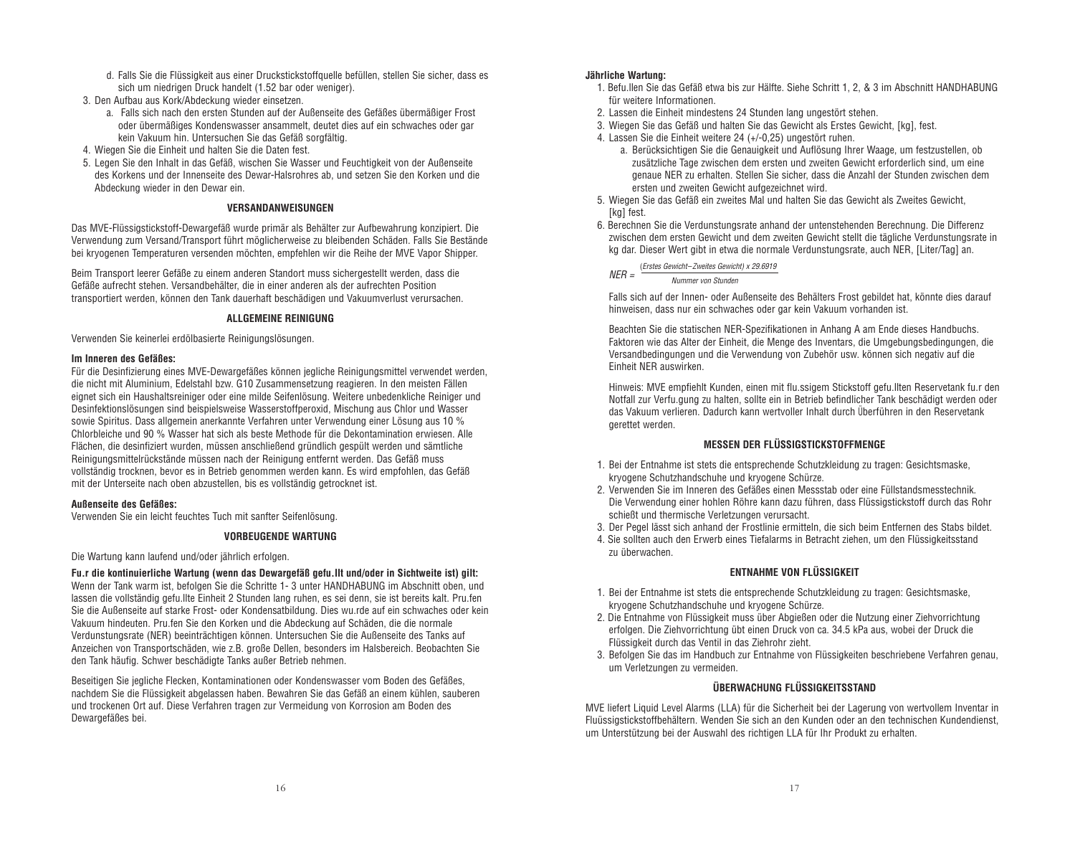- d. Falls Sie die Flüssigkeit aus einer Druckstickstoffquelle befüllen, stellen Sie sicher, dass es sich um niedrigen Druck handelt (1.52 bar oder weniger).
- 3. Den Aufbau aus Kork/Abdeckung wieder einsetzen.
	- a. Falls sich nach den ersten Stunden auf der Außenseite des Gefäßes übermäßiger Frost oder übermäßiges Kondenswasser ansammelt, deutet dies auf ein schwaches oder gar kein Vakuum hin. Untersuchen Sie das Gefäß sorgfältig.
- 4. Wiegen Sie die Einheit und halten Sie die Daten fest.
- 5. Legen Sie den Inhalt in das Gefäß, wischen Sie Wasser und Feuchtigkeit von der Außenseite des Korkens und der Innenseite des Dewar-Halsrohres ab, und setzen Sie den Korken und die Abdeckung wieder in den Dewar ein.

#### **VERSANDANWEISUNGEN**

Das MVE-Flüssigstickstoff-Dewargefäß wurde primär als Behälter zur Aufbewahrung konzipiert. Die Verwendung zum Versand/Transport führt möglicherweise zu bleibenden Schäden. Falls Sie Bestände bei kryogenen Temperaturen versenden möchten, empfehlen wir die Reihe der MVE Vapor Shipper.

Beim Transport leerer Gefäße zu einem anderen Standort muss sichergestellt werden, dass die Gefäße aufrecht stehen. Versandbehälter, die in einer anderen als der aufrechten Position transportiert werden, können den Tank dauerhaft beschädigen und Vakuumverlust verursachen.

#### **ALLGEMEINE REINIGUNG**

Verwenden Sie keinerlei erdölbasierte Reinigungslösungen.

#### **Im Inneren des Gefäßes:**

Für die Desinfizierung eines MVE-Dewargefäßes können jegliche Reinigungsmittel verwendet werden, die nicht mit Aluminium, Edelstahl bzw. G10 Zusammensetzung reagieren. In den meisten Fällen eignet sich ein Haushaltsreiniger oder eine milde Seifenlösung. Weitere unbedenkliche Reiniger und Desinfektionslösungen sind beispielsweise Wasserstoffperoxid, Mischung aus Chlor und Wasser sowie Spiritus. Dass allgemein anerkannte Verfahren unter Verwendung einer Lösung aus 10 % Chlorbleiche und 90 % Wasser hat sich als beste Methode für die Dekontamination erwiesen. Alle Flächen, die desinfiziert wurden, müssen anschließend gründlich gespült werden und sämtliche Reinigungsmittelrückstände müssen nach der Reinigung entfernt werden. Das Gefäß muss vollständig trocknen, bevor es in Betrieb genommen werden kann. Es wird empfohlen, das Gefäß mit der Unterseite nach oben abzustellen, bis es vollständig getrocknet ist.

#### **Außenseite des Gefäßes:**

Verwenden Sie ein leicht feuchtes Tuch mit sanfter Seifenlösung.

#### **VORBEUGENDE WARTUNG**

Die Wartung kann laufend und/oder jährlich erfolgen.

**Fu.r die kontinuierliche Wartung (wenn das Dewargefäß gefu.llt und/oder in Sichtweite ist) gilt:** Wenn der Tank warm ist, befolgen Sie die Schritte 1- 3 unter HANDHABUNG im Abschnitt oben, und lassen die vollständig gefu.llte Einheit 2 Stunden lang ruhen, es sei denn, sie ist bereits kalt. Pru.fen Sie die Außenseite auf starke Frost- oder Kondensatbildung. Dies wu.rde auf ein schwaches oder kein Vakuum hindeuten. Pru.fen Sie den Korken und die Abdeckung auf Schäden, die die normale Verdunstungsrate (NER) beeinträchtigen können. Untersuchen Sie die Außenseite des Tanks auf Anzeichen von Transportschäden, wie z.B. große Dellen, besonders im Halsbereich. Beobachten Sie den Tank häufig. Schwer beschädigte Tanks außer Betrieb nehmen.

Beseitigen Sie jegliche Flecken, Kontaminationen oder Kondenswasser vom Boden des Gefäßes, nachdem Sie die Flüssigkeit abgelassen haben. Bewahren Sie das Gefäß an einem kühlen, sauberen und trockenen Ort auf. Diese Verfahren tragen zur Vermeidung von Korrosion am Boden des Dewargefäßes bei.

#### **Jährliche Wartung:**

- 1. Befu.llen Sie das Gefäß etwa bis zur Hälfte. Siehe Schritt 1, 2, & 3 im Abschnitt HANDHABUNG für weitere Informationen.
- 2. Lassen die Einheit mindestens 24 Stunden lang ungestört stehen.
- 3. Wiegen Sie das Gefäß und halten Sie das Gewicht als Erstes Gewicht, [kg], fest.
- 4. Lassen Sie die Einheit weitere 24 (+/-0,25) ungestört ruhen.
	- a. Berücksichtigen Sie die Genauigkeit und Auflösung Ihrer Waage, um festzustellen, ob zusätzliche Tage zwischen dem ersten und zweiten Gewicht erforderlich sind, um eine genaue NER zu erhalten. Stellen Sie sicher, dass die Anzahl der Stunden zwischen dem ersten und zweiten Gewicht aufgezeichnet wird.
- 5. Wiegen Sie das Gefäß ein zweites Mal und halten Sie das Gewicht als Zweites Gewicht, [kg] fest.
- 6. Berechnen Sie die Verdunstungsrate anhand der untenstehenden Berechnung. Die Differenz zwischen dem ersten Gewicht und dem zweiten Gewicht stellt die tägliche Verdunstungsrate in kg dar. Dieser Wert gibt in etwa die normale Verdunstungsrate, auch NER, [Liter/Tag] an.

#### $NFR = \frac{(Erstes \text{ Gewicht}-Zweites \text{ Gewicht}) \times 29.6919}{(2.569 \text{ W})}$

Nummer von Stunden

Falls sich auf der Innen- oder Außenseite des Behälters Frost gebildet hat, könnte dies darauf hinweisen, dass nur ein schwaches oder gar kein Vakuum vorhanden ist.

Beachten Sie die statischen NER-Spezifikationen in Anhang A am Ende dieses Handbuchs. Faktoren wie das Alter der Einheit, die Menge des Inventars, die Umgebungsbedingungen, die Versandbedingungen und die Verwendung von Zubehör usw. können sich negativ auf die Einheit NER auswirken.

Hinweis: MVE empfiehlt Kunden, einen mit flu.ssigem Stickstoff gefu.llten Reservetank fu.r den Notfall zur Verfu.gung zu halten, sollte ein in Betrieb befindlicher Tank beschädigt werden oder das Vakuum verlieren. Dadurch kann wertvoller Inhalt durch Überführen in den Reservetank gerettet werden.

#### **MESSEN DER FLÜSSIGSTICKSTOFFMENGE**

- 1. Bei der Entnahme ist stets die entsprechende Schutzkleidung zu tragen: Gesichtsmaske, kryogene Schutzhandschuhe und kryogene Schürze.
- 2. Verwenden Sie im Inneren des Gefäßes einen Messstab oder eine Füllstandsmesstechnik. Die Verwendung einer hohlen Röhre kann dazu führen, dass Flüssigstickstoff durch das Rohr schießt und thermische Verletzungen verursacht.
- 3. Der Pegel lässt sich anhand der Frostlinie ermitteln, die sich beim Entfernen des Stabs bildet.
- 4. Sie sollten auch den Erwerb eines Tiefalarms in Betracht ziehen, um den Flüssigkeitsstand zu überwachen.

#### **ENTNAHME VON FLÜSSIGKEIT**

- 1. Bei der Entnahme ist stets die entsprechende Schutzkleidung zu tragen: Gesichtsmaske, kryogene Schutzhandschuhe und kryogene Schürze.
- 2. Die Entnahme von Flüssigkeit muss über Abgießen oder die Nutzung einer Ziehvorrichtung erfolgen. Die Ziehvorrichtung übt einen Druck von ca. 34.5 kPa aus, wobei der Druck die Flüssigkeit durch das Ventil in das Ziehrohr zieht.
- 3. Befolgen Sie das im Handbuch zur Entnahme von Flüssigkeiten beschriebene Verfahren genau, um Verletzungen zu vermeiden.

#### **ÜBERWACHUNG FLÜSSIGKEITSSTAND**

MVE liefert Liquid Level Alarms (LLA) für die Sicherheit bei der Lagerung von wertvollem Inventar in Fluüssigstickstoffbehältern. Wenden Sie sich an den Kunden oder an den technischen Kundendienst, um Unterstützung bei der Auswahl des richtigen LLA für Ihr Produkt zu erhalten.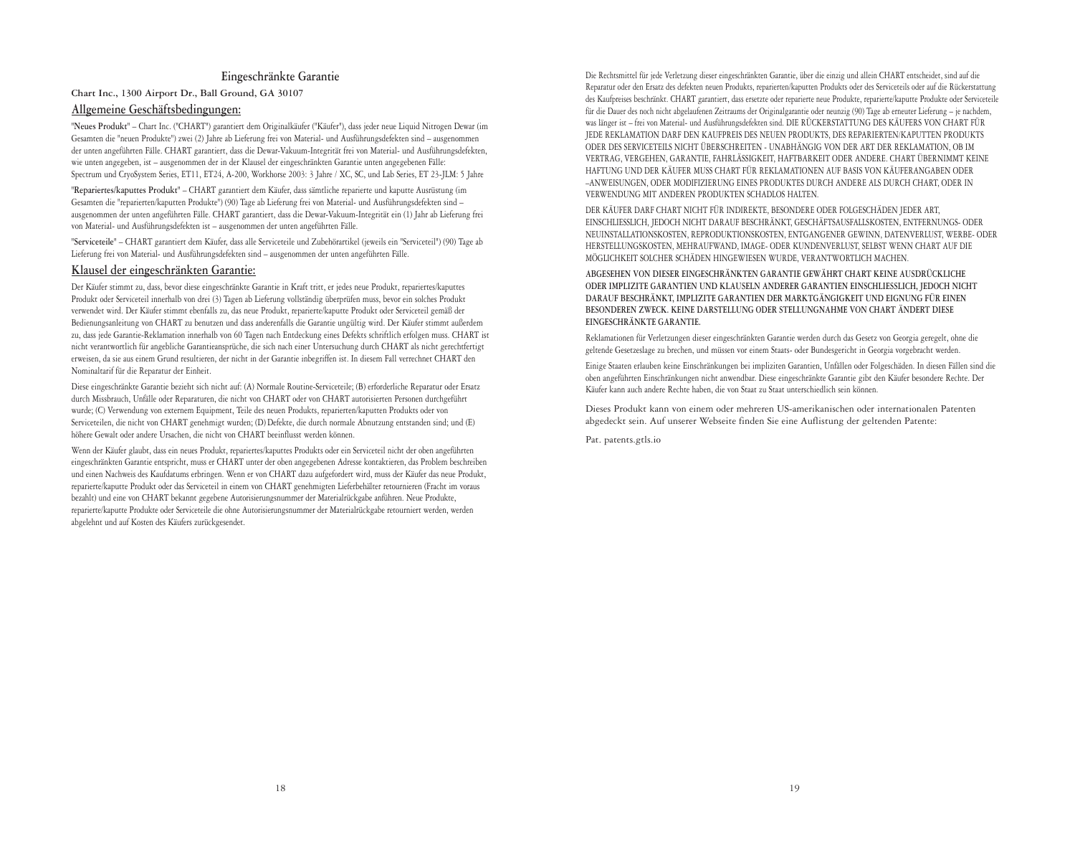#### **Eingeschränkte Garantie**

**Chart Inc., 1300 Airport Dr., Ball Ground, GA 30107**

#### **Allgemeine Geschäftsbedingungen:**

**"Neues Produkt"** – Chart Inc. ("CHART") garantiert dem Originalkäufer ("Käufer"), dass jeder neue Liquid Nitrogen Dewar (im Gesamten die "neuen Produkte") zwei (2) Jahre ab Lieferung frei von Material- und Ausführungsdefekten sind – ausgenommen der unten angeführten Fälle. CHART garantiert, dass die Dewar-Vakuum-Integrität frei von Material- und Ausführungsdefekten, wie unten angegeben, ist – ausgenommen der in der Klausel der eingeschränkten Garantie unten angegebenen Fälle: Spectrum und CryoSystem Series, ET11, ET24, A-200, Workhorse 2003: 3 Jahre / XC, SC, und Lab Series, ET 23-JLM: 5 Jahre

**"Repariertes/kaputtes Produkt"** – CHART garantiert dem Käufer, dass sämtliche reparierte und kaputte Ausrüstung (im Gesamten die "reparierten/kaputten Produkte") (90) Tage ab Lieferung frei von Material- und Ausführungsdefekten sind – ausgenommen der unten angeführten Fälle. CHART garantiert, dass die Dewar-Vakuum-Integrität ein (1) Jahr ab Lieferung frei von Material- und Ausführungsdefekten ist – ausgenommen der unten angeführten Fälle.

**"Serviceteile"** – CHART garantiert dem Käufer, dass alle Serviceteile und Zubehörartikel (jeweils ein "Serviceteil") (90) Tage ab Lieferung frei von Material- und Ausführungsdefekten sind – ausgenommen der unten angeführten Fälle.

#### **Klausel der eingeschränkten Garantie:**

Der Käufer stimmt zu, dass, bevor diese eingeschränkte Garantie in Kraft tritt, er jedes neue Produkt, repariertes/kaputtes Produkt oder Serviceteil innerhalb von drei (3) Tagen ab Lieferung vollständig überprüfen muss, bevor ein solches Produkt verwendet wird. Der Käufer stimmt ebenfalls zu, das neue Produkt, reparierte/kaputte Produkt oder Serviceteil gemäß der Bedienungsanleitung von CHART zu benutzen und dass anderenfalls die Garantie ungültig wird. Der Käufer stimmt außerdem zu, dass jede Garantie-Reklamation innerhalb von 60 Tagen nach Entdeckung eines Defekts schriftlich erfolgen muss. CHART ist nicht verantwortlich für angebliche Garantieansprüche, die sich nach einer Untersuchung durch CHART als nicht gerechtfertigt erweisen, da sie aus einem Grund resultieren, der nicht in der Garantie inbegriffen ist. In diesem Fall verrechnet CHART den Nominaltarif für die Reparatur der Einheit.

Diese eingeschränkte Garantie bezieht sich nicht auf: (A) Normale Routine-Serviceteile; (B) erforderliche Reparatur oder Ersatz durch Missbrauch, Unfälle oder Reparaturen, die nicht von CHART oder von CHART autorisierten Personen durchgeführt wurde; (C) Verwendung von externem Equipment, Teile des neuen Produkts, reparierten/kaputten Produkts oder von Serviceteilen, die nicht von CHART genehmigt wurden; (D) Defekte, die durch normale Abnutzung entstanden sind; und (E) höhere Gewalt oder andere Ursachen, die nicht von CHART beeinflusst werden können.

Wenn der Käufer glaubt, dass ein neues Produkt, repariertes/kaputtes Produkts oder ein Serviceteil nicht der oben angeführten eingeschränkten Garantie entspricht, muss er CHART unter der oben angegebenen Adresse kontaktieren, das Problem beschreiben und einen Nachweis des Kaufdatums erbringen. Wenn er von CHART dazu aufgefordert wird, muss der Käufer das neue Produkt, reparierte/kaputte Produkt oder das Serviceteil in einem von CHART genehmigten Lieferbehälter retournieren (Fracht im voraus bezahlt) und eine von CHART bekannt gegebene Autorisierungsnummer der Materialrückgabe anführen. Neue Produkte, reparierte/kaputte Produkte oder Serviceteile die ohne Autorisierungsnummer der Materialrückgabe retourniert werden, werden abgelehnt und auf Kosten des Käufers zurückgesendet.

Die Rechtsmittel für jede Verletzung dieser eingeschränkten Garantie, über die einzig und allein CHART entscheidet, sind auf die Reparatur oder den Ersatz des defekten neuen Produkts, reparierten/kaputten Produkts oder des Serviceteils oder auf die Rückerstattung des Kaufpreises beschränkt. CHART garantiert, dass ersetzte oder reparierte neue Produkte, reparierte/kaputte Produkte oder Serviceteile für die Dauer des noch nicht abgelaufenen Zeitraums der Originalgarantie oder neunzig (90) Tage ab erneuter Lieferung – je nachdem, was länger ist – frei von Material- und Ausführungsdefekten sind. DIE RÜCKERSTATTUNG DES KÄUFERS VON CHART FÜR JEDE REKLAMATION DARF DEN KAUFPREIS DES NEUEN PRODUKTS, DES REPARIERTEN/KAPUTTEN PRODUKTS ODER DES SERVICETEILS NICHT ÜBERSCHREITEN - UNABHÄNGIG VON DER ART DER REKLAMATION, OB IM VERTRAG, VERGEHEN, GARANTIE, FAHRLÄSSIGKEIT, HAFTBARKEIT ODER ANDERE. CHART ÜBERNIMMT KEINE HAFTUNG UND DER KÄUFER MUSS CHART FÜR REKLAMATIONEN AUF BASIS VON KÄUFERANGABEN ODER –ANWEISUNGEN, ODER MODIFIZIERUNG EINES PRODUKTES DURCH ANDERE ALS DURCH CHART, ODER IN VERWENDUNG MIT ANDEREN PRODUKTEN SCHADLOS HALTEN.

DER KÄUFER DARF CHART NICHT FÜR INDIREKTE, BESONDERE ODER FOLGESCHÄDEN JEDER ART, EINSCHLIESSLICH, JEDOCH NICHT DARAUF BESCHRÄNKT, GESCHÄFTSAUSFALLSKOSTEN, ENTFERNUNGS- ODER NEUINSTALLATIONSKOSTEN, REPRODUKTIONSKOSTEN, ENTGANGENER GEWINN, DATENVERLUST, WERBE- ODER HERSTELLUNGSKOSTEN, MEHRAUFWAND, IMAGE- ODER KUNDENVERLUST, SELBST WENN CHART AUF DIE MÖGLICHKEIT SOLCHER SCHÄDEN HINGEWIESEN WURDE, VERANTWORTLICH MACHEN.

**ABGESEHEN VON DIESER EINGESCHRÄNKTEN GARANTIE GEWÄHRT CHART KEINE AUSDRÜCKLICHE ODER IMPLIZITE GARANTIEN UND KLAUSELN ANDERER GARANTIEN EINSCHLIESSLICH, JEDOCH NICHT DARAUF BESCHRÄNKT, IMPLIZITE GARANTIEN DER MARKTGÄNGIGKEIT UND EIGNUNG FÜR EINEN BESONDEREN ZWECK. KEINE DARSTELLUNG ODER STELLUNGNAHME VON CHART ÄNDERT DIESE EINGESCHRÄNKTE GARANTIE.**

Reklamationen für Verletzungen dieser eingeschränkten Garantie werden durch das Gesetz von Georgia geregelt, ohne die geltende Gesetzeslage zu brechen, und müssen vor einem Staats- oder Bundesgericht in Georgia vorgebracht werden.

Einige Staaten erlauben keine Einschränkungen bei impliziten Garantien, Unfällen oder Folgeschäden. In diesen Fällen sind die oben angeführten Einschränkungen nicht anwendbar. Diese eingeschränkte Garantie gibt den Käufer besondere Rechte. Der Käufer kann auch andere Rechte haben, die von Staat zu Staat unterschiedlich sein können.

Dieses Produkt kann von einem oder mehreren US-amerikanischen oder internationalen Patenten abgedeckt sein. Auf unserer Webseite finden Sie eine Auflistung der geltenden Patente:

Pat. patents.gtls.io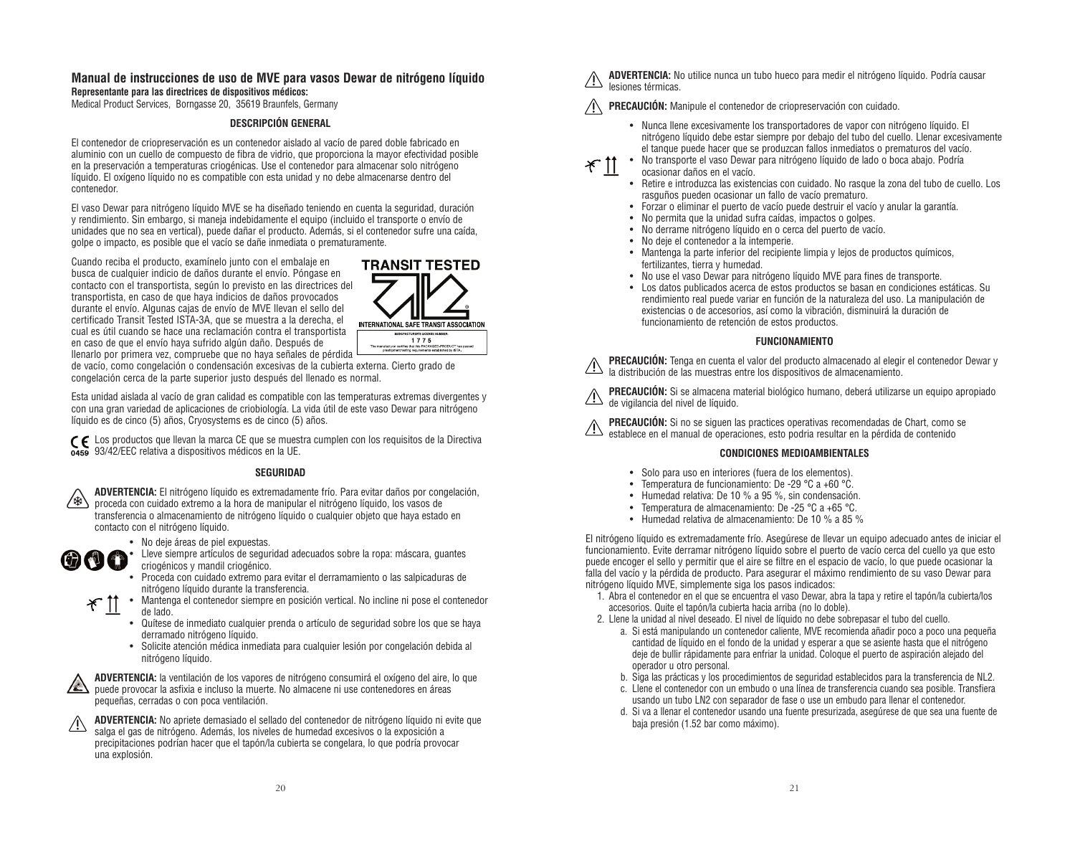#### **Manual de instrucciones de uso de MVE para vasos Dewar de nitrógeno líquido Representante para las directrices de dispositivos médicos:**

Medical Product Services, Borngasse 20, 35619 Braunfels, Germany

#### **DESCRIPCIÓN GENERAL**

El contenedor de criopreservación es un contenedor aislado al vacío de pared doble fabricado en aluminio con un cuello de compuesto de fibra de vidrio, que proporciona la mayor efectividad posible en la preservación a temperaturas criogénicas. Use el contenedor para almacenar solo nitrógeno líquido. El oxígeno líquido no es compatible con esta unidad y no debe almacenarse dentro del contenedor.

El vaso Dewar para nitrógeno líquido MVE se ha diseñado teniendo en cuenta la seguridad, duración y rendimiento. Sin embargo, si maneja indebidamente el equipo (incluido el transporte o envío de unidades que no sea en vertical), puede dañar el producto. Además, si el contenedor sufre una caída, golpe o impacto, es posible que el vacío se dañe inmediata o prematuramente.

Cuando reciba el producto, examínelo junto con el embalaje en busca de cualquier indicio de daños durante el envío. Póngase en contacto con el transportista, según lo previsto en las directrices del transportista, en caso de que haya indicios de daños provocados durante el envío. Algunas cajas de envío de MVE llevan el sello del certificado Transit Tested ISTA-3A, que se muestra a la derecha, el cual es útil cuando se hace una reclamación contra el transportista en caso de que el envío haya sufrido algún daño. Después de llenarlo por primera vez, compruebe que no haya señales de pérdida



de vacío, como congelación o condensación excesivas de la cubierta externa. Cierto grado de congelación cerca de la parte superior justo después del llenado es normal.

Esta unidad aislada al vacío de gran calidad es compatible con las temperaturas extremas divergentes y con una gran variedad de aplicaciones de criobiología. La vida útil de este vaso Dewar para nitrógeno líquido es de cinco (5) años, Cryosystems es de cinco (5) años.

Los productos que llevan la marca CE que se muestra cumplen con los requisitos de la Directiva 93/42/EEC relativa a dispositivos médicos en la UE.

#### **SEGURIDAD**



**ADVERTENCIA:** El nitrógeno líquido es extremadamente frío. Para evitar daños por congelación, proceda con cuidado extremo a la hora de manipular el nitrógeno líquido, los vasos de transferencia o almacenamiento de nitrógeno líquido o cualquier objeto que haya estado en contacto con el nitrógeno líquido.



• No deje áreas de piel expuestas.

• Lleve siempre artículos de seguridad adecuados sobre la ropa: máscara, guantes criogénicos y mandil criogénico.

- Proceda con cuidado extremo para evitar el derramamiento o las salpicaduras de nitrógeno líquido durante la transferencia.
- Mantenga el contenedor siempre en posición vertical. No incline ni pose el contenedor ِ 11 َ ⊁ de lado.
	- Quítese de inmediato cualquier prenda o artículo de seguridad sobre los que se haya derramado nitrógeno líquido.
	- Solicite atención médica inmediata para cualquier lesión por congelación debida al nitrógeno líquido.



**ADVERTENCIA:** la ventilación de los vapores de nitrógeno consumirá el oxígeno del aire, lo que puede provocar la asfixia e incluso la muerte. No almacene ni use contenedores en áreas pequeñas, cerradas o con poca ventilación.

**ADVERTENCIA:** No apriete demasiado el sellado del contenedor de nitrógeno líquido ni evite que salga el gas de nitrógeno. Además, los niveles de humedad excesivos o la exposición a precipitaciones podrían hacer que el tapón/la cubierta se congelara, lo que podría provocar una explosión.

**ADVERTENCIA:** No utilice nunca un tubo hueco para medir el nitrógeno líquido. Podría causar lesiones térmicas.

**PRECAUCIÓN:** Manipule el contenedor de criopreservación con cuidado.

- Nunca llene excesivamente los transportadores de vapor con nitrógeno líquido. El nitrógeno líquido debe estar siempre por debajo del tubo del cuello. Llenar excesivamente el tanque puede hacer que se produzcan fallos inmediatos o prematuros del vacío.
- No transporte el vaso Dewar para nitrógeno líquido de lado o boca abajo. Podría ocasionar daños en el vacío.
- Retire e introduzca las existencias con cuidado. No rasque la zona del tubo de cuello. Los rasguños pueden ocasionar un fallo de vacío prematuro.
- Forzar o eliminar el puerto de vacío puede destruir el vacío y anular la garantía.
- No permita que la unidad sufra caídas, impactos o golpes.
- No derrame nitrógeno líquido en o cerca del puerto de vacío.
- No deje el contenedor a la intemperie.

ぞ

- Mantenga la parte inferior del recipiente limpia y lejos de productos químicos, fertilizantes, tierra y humedad.
- No use el vaso Dewar para nitrógeno líquido MVE para fines de transporte.
- Los datos publicados acerca de estos productos se basan en condiciones estáticas. Su rendimiento real puede variar en función de la naturaleza del uso. La manipulación de existencias o de accesorios, así como la vibración, disminuirá la duración de funcionamiento de retención de estos productos.

#### **FUNCIONAMIENTO**

**PRECAUCIÓN:** Tenga en cuenta el valor del producto almacenado al elegir el contenedor Dewar y la distribución de las muestras entre los dispositivos de almacenamiento.

**PRECAUCIÓN:** Si se almacena material biológico humano, deberá utilizarse un equipo apropiado de vigilancia del nivel de líquido.

**PRECAUCIÓN:** Si no se siguen las practices operativas recomendadas de Chart, como se establece en el manual de operaciones, esto podria resultar en la pérdida de contenido

#### **CONDICIONES MEDIOAMBIENTALES**

- Solo para uso en interiores (fuera de los elementos).
- Temperatura de funcionamiento: De -29 °C a +60 °C.
- Humedad relativa: De 10 % a 95 %, sin condensación.
- Temperatura de almacenamiento: De -25 °C a +65 °C.
- Humedad relativa de almacenamiento: De 10 % a 85 %

El nitrógeno líquido es extremadamente frío. Asegúrese de llevar un equipo adecuado antes de iniciar el funcionamiento. Evite derramar nitrógeno líquido sobre el puerto de vacío cerca del cuello ya que esto puede encoger el sello y permitir que el aire se filtre en el espacio de vacío, lo que puede ocasionar la falla del vacío y la pérdida de producto. Para asegurar el máximo rendimiento de su vaso Dewar para nitrógeno líquido MVE, simplemente siga los pasos indicados:

- 1. Abra el contenedor en el que se encuentra el vaso Dewar, abra la tapa y retire el tapón/la cubierta/los accesorios. Quite el tapón/la cubierta hacia arriba (no lo doble).
- 2. Llene la unidad al nivel deseado. El nivel de líquido no debe sobrepasar el tubo del cuello.
	- a. Si está manipulando un contenedor caliente, MVE recomienda añadir poco a poco una pequeña cantidad de líquido en el fondo de la unidad y esperar a que se asiente hasta que el nitrógeno deje de bullir rápidamente para enfriar la unidad. Coloque el puerto de aspiración alejado del operador u otro personal.
	- b. Siga las prácticas y los procedimientos de seguridad establecidos para la transferencia de NL2.
	- c. Llene el contenedor con un embudo o una línea de transferencia cuando sea posible. Transfiera usando un tubo LN2 con separador de fase o use un embudo para llenar el contenedor.
	- d. Si va a llenar el contenedor usando una fuente presurizada, asegúrese de que sea una fuente de baja presión (1.52 bar como máximo).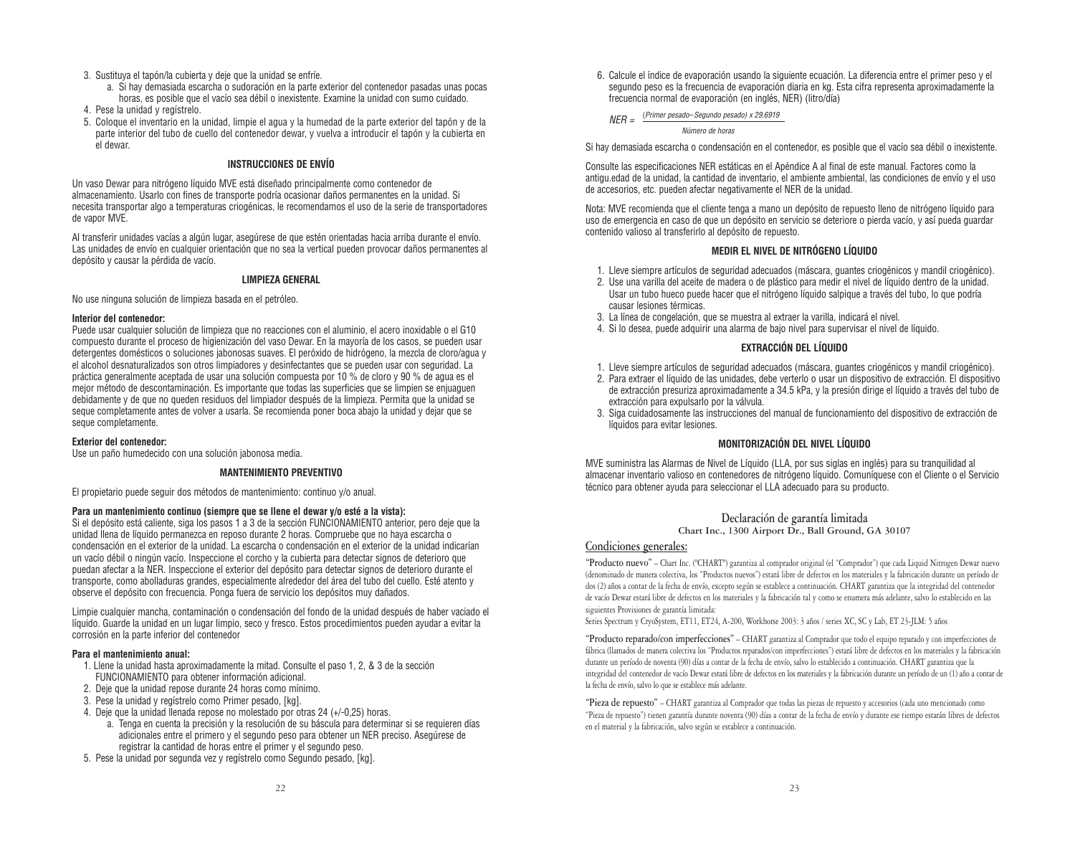- 3. Sustituya el tapón/la cubierta y deje que la unidad se enfríe.
	- a. Si hay demasiada escarcha o sudoración en la parte exterior del contenedor pasadas unas pocas horas, es posible que el vacío sea débil o inexistente. Examine la unidad con sumo cuidado.
- 4. Pese la unidad y regístrelo.
- 5. Coloque el inventario en la unidad, limpie el agua y la humedad de la parte exterior del tapón y de la parte interior del tubo de cuello del contenedor dewar, y vuelva a introducir el tapón y la cubierta en el dewar.

#### **INSTRUCCIONES DE ENVÍO**

Un vaso Dewar para nitrógeno líquido MVE está diseñado principalmente como contenedor de almacenamiento. Usarlo con fines de transporte podría ocasionar daños permanentes en la unidad. Si necesita transportar algo a temperaturas criogénicas, le recomendamos el uso de la serie de transportadores de vapor MVE.

Al transferir unidades vacías a algún lugar, asegúrese de que estén orientadas hacia arriba durante el envío. Las unidades de envío en cualquier orientación que no sea la vertical pueden provocar daños permanentes al depósito y causar la pérdida de vacío.

#### **LIMPIEZA GENERAL**

No use ninguna solución de limpieza basada en el petróleo.

#### **Interior del contenedor:**

Puede usar cualquier solución de limpieza que no reacciones con el aluminio, el acero inoxidable o el G10 compuesto durante el proceso de higienización del vaso Dewar. En la mayoría de los casos, se pueden usar detergentes domésticos o soluciones jabonosas suaves. El peróxido de hidrógeno, la mezcla de cloro/agua y el alcohol desnaturalizados son otros limpiadores y desinfectantes que se pueden usar con seguridad. La práctica generalmente aceptada de usar una solución compuesta por 10 % de cloro y 90 % de agua es el mejor método de descontaminación. Es importante que todas las superficies que se limpien se enjuaguen debidamente y de que no queden residuos del limpiador después de la limpieza. Permita que la unidad se seque completamente antes de volver a usarla. Se recomienda poner boca abajo la unidad y dejar que se seque completamente.

#### **Exterior del contenedor:**

Use un paño humedecido con una solución jabonosa media.

#### **MANTENIMIENTO PREVENTIVO**

El propietario puede seguir dos métodos de mantenimiento: continuo y/o anual.

#### **Para un mantenimiento continuo (siempre que se llene el dewar y/o esté a la vista):**

Si el depósito está caliente, siga los pasos 1 a 3 de la sección FUNCIONAMIENTO anterior, pero deje que la unidad llena de líquido permanezca en reposo durante 2 horas. Compruebe que no haya escarcha o condensación en el exterior de la unidad. La escarcha o condensación en el exterior de la unidad indicarían un vacío débil o ningún vacío. Inspeccione el corcho y la cubierta para detectar signos de deterioro que puedan afectar a la NER. Inspeccione el exterior del depósito para detectar signos de deterioro durante el transporte, como abolladuras grandes, especialmente alrededor del área del tubo del cuello. Esté atento y observe el depósito con frecuencia. Ponga fuera de servicio los depósitos muy dañados.

Limpie cualquier mancha, contaminación o condensación del fondo de la unidad después de haber vaciado el líquido. Guarde la unidad en un lugar limpio, seco y fresco. Estos procedimientos pueden ayudar a evitar la corrosión en la parte inferior del contenedor

#### **Para el mantenimiento anual:**

- 1. Llene la unidad hasta aproximadamente la mitad. Consulte el paso 1, 2, & 3 de la sección FUNCIONAMIENTO para obtener información adicional.
- 2. Deje que la unidad repose durante 24 horas como mínimo.
- 3. Pese la unidad y regístrelo como Primer pesado, [kg].
- 4. Deje que la unidad llenada repose no molestado por otras 24 (+/-0,25) horas.
	- a. Tenga en cuenta la precisión y la resolución de su báscula para determinar si se requieren días adicionales entre el primero y el segundo peso para obtener un NER preciso. Asegúrese de registrar la cantidad de horas entre el primer y el segundo peso.
- 5. Pese la unidad por segunda vez y regístrelo como Segundo pesado, [kg].

6. Calcule el índice de evaporación usando la siguiente ecuación. La diferencia entre el primer peso y el segundo peso es la frecuencia de evaporación diaria en kg. Esta cifra representa aproximadamente la frecuencia normal de evaporación (en inglés, NER) (litro/día)

#### $NFR =$  (Primer pesado– Segundo pesado) x 29.6919

Número de horas

Si hay demasiada escarcha o condensación en el contenedor, es posible que el vacío sea débil o inexistente.

Consulte las especificaciones NER estáticas en el Apéndice A al final de este manual. Factores como la antigu.edad de la unidad, la cantidad de inventario, el ambiente ambiental, las condiciones de envío y el uso de accesorios, etc. pueden afectar negativamente el NER de la unidad.

Nota: MVE recomienda que el cliente tenga a mano un depósito de repuesto lleno de nitrógeno líquido para uso de emergencia en caso de que un depósito en servicio se deteriore o pierda vacío, y así pueda guardar contenido valioso al transferirlo al depósito de repuesto.

#### **MEDIR EL NIVEL DE NITRÓGENO LÍQUIDO**

- 1. Lleve siempre artículos de seguridad adecuados (máscara, guantes criogénicos y mandil criogénico).
- 2. Use una varilla del aceite de madera o de plástico para medir el nivel de líquido dentro de la unidad. Usar un tubo hueco puede hacer que el nitrógeno líquido salpique a través del tubo, lo que podría causar lesiones térmicas.
- 3. La línea de congelación, que se muestra al extraer la varilla, indicará el nivel.
- 4. Si lo desea, puede adquirir una alarma de bajo nivel para supervisar el nivel de líquido.

#### **EXTRACCIÓN DEL LÍQUIDO**

- 1. Lleve siempre artículos de seguridad adecuados (máscara, guantes criogénicos y mandil criogénico).
- 2. Para extraer el líquido de las unidades, debe verterlo o usar un dispositivo de extracción. El dispositivo de extracción presuriza aproximadamente a 34.5 kPa, y la presión dirige el líquido a través del tubo de extracción para expulsarlo por la válvula.
- 3. Siga cuidadosamente las instrucciones del manual de funcionamiento del dispositivo de extracción de líquidos para evitar lesiones.

#### **MONITORIZACIÓN DEL NIVEL LÍQUIDO**

MVE suministra las Alarmas de Nivel de Líquido (LLA, por sus siglas en inglés) para su tranquilidad al almacenar inventario valioso en contenedores de nitrógeno líquido. Comuníquese con el Cliente o el Servicio técnico para obtener ayuda para seleccionar el LLA adecuado para su producto.

#### **Declaración de garantía limitada**

**Chart Inc., 1300 Airport Dr., Ball Ground, GA 30107**

#### **Condiciones generales:**

**"Producto nuevo"** – Chart Inc. ("CHART") garantiza al comprador original (el "Comprador") que cada Liquid Nitrogen Dewar nuevo (denominado de manera colectiva, los "Productos nuevos") estará libre de defectos en los materiales y la fabricación durante un período de dos (2) años a contar de la fecha de envío, excepto según se establece a continuación. CHART garantiza que la integridad del contenedor de vacío Dewar estará libre de defectos en los materiales y la fabricación tal y como se enumera más adelante, salvo lo establecido en las siguientes Provisiones de garantía limitada:

Series Spectrum y CryoSystem, ET11, ET24, A-200, Workhorse 2003: 3 años / series XC, SC y Lab, ET 23-JLM: 5 años

**"Producto reparado/con imperfecciones"** – CHART garantiza al Comprador que todo el equipo reparado y con imperfecciones de fábrica (llamados de manera colectiva los "Productos reparados/con imperfecciones") estará libre de defectos en los materiales y la fabricación durante un período de noventa (90) días a contar de la fecha de envío, salvo lo establecido a continuación. CHART garantiza que la integridad del contenedor de vacío Dewar estará libre de defectos en los materiales y la fabricación durante un período de un (1) año a contar de la fecha de envío, salvo lo que se establece más adelante.

**"Pieza de repuesto"** – CHART garantiza al Comprador que todas las piezas de repuesto y accesorios (cada uno mencionado como "Pieza de repuesto") tienen garantía durante noventa (90) días a contar de la fecha de envío y durante ese tiempo estarán libres de defectos en el material y la fabricación, salvo según se establece a continuación.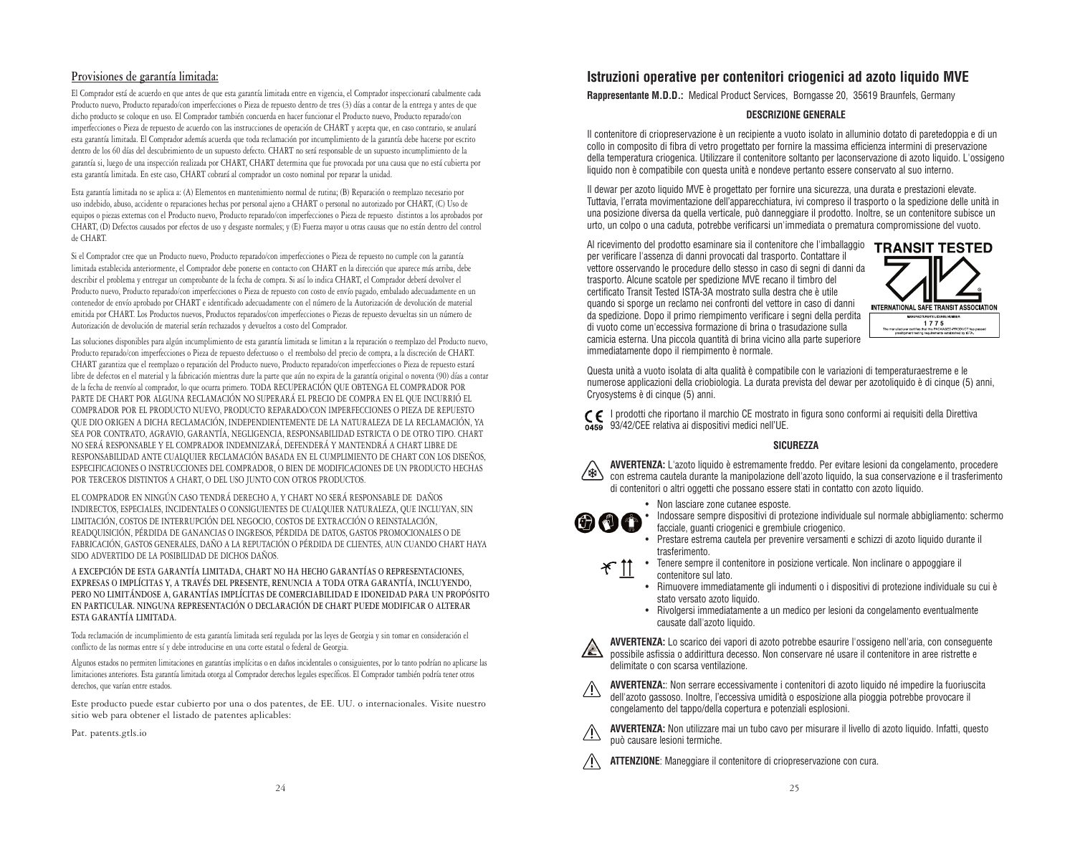#### **Provisiones de garantía limitada:**

El Comprador está de acuerdo en que antes de que esta garantía limitada entre en vigencia, el Comprador inspeccionará cabalmente cada Producto nuevo, Producto reparado/con imperfecciones o Pieza de repuesto dentro de tres (3) días a contar de la entrega y antes de que dicho producto se coloque en uso. El Comprador también concuerda en hacer funcionar el Producto nuevo, Producto reparado/con imperfecciones o Pieza de repuesto de acuerdo con las instrucciones de operación de CHART y acepta que, en caso contrario, se anulará esta garantía limitada. El Comprador además acuerda que toda reclamación por incumplimiento de la garantía debe hacerse por escrito dentro de los 60 días del descubrimiento de un supuesto defecto. CHART no será responsable de un supuesto incumplimiento de la garantía si, luego de una inspección realizada por CHART, CHART determina que fue provocada por una causa que no está cubierta por esta garantía limitada. En este caso, CHART cobrará al comprador un costo nominal por reparar la unidad.

Esta garantía limitada no se aplica a: (A) Elementos en mantenimiento normal de rutina; (B) Reparación o reemplazo necesario por uso indebido, abuso, accidente o reparaciones hechas por personal ajeno a CHART o personal no autorizado por CHART, (C) Uso de equipos o piezas externas con el Producto nuevo, Producto reparado/con imperfecciones o Pieza de repuesto distintos a los aprobados por CHART, (D) Defectos causados por efectos de uso y desgaste normales; y (E) Fuerza mayor u otras causas que no están dentro del control de CHART.

Si el Comprador cree que un Producto nuevo, Producto reparado/con imperfecciones o Pieza de repuesto no cumple con la garantía limitada establecida anteriormente, el Comprador debe ponerse en contacto con CHART en la dirección que aparece más arriba, debe describir el problema y entregar un comprobante de la fecha de compra. Si así lo indica CHART, el Comprador deberá devolver el Producto nuevo, Producto reparado/con imperfecciones o Pieza de repuesto con costo de envío pagado, embalado adecuadamente en un contenedor de envío aprobado por CHART e identificado adecuadamente con el número de la Autorización de devolución de material emitida por CHART. Los Productos nuevos, Productos reparados/con imperfecciones o Piezas de repuesto devueltas sin un número de Autorización de devolución de material serán rechazados y devueltos a costo del Comprador.

Las soluciones disponibles para algún incumplimiento de esta garantía limitada se limitan a la reparación o reemplazo del Producto nuevo, Producto reparado/con imperfecciones o Pieza de repuesto defectuoso o el reembolso del precio de compra, a la discreción de CHART. CHART garantiza que el reemplazo o reparación del Producto nuevo, Producto reparado/con imperfecciones o Pieza de repuesto estará libre de defectos en el material y la fabricación mientras dure la parte que aún no expira de la garantía original o noventa (90) días a contar de la fecha de reenvío al comprador, lo que ocurra primero. TODA RECUPERACIÓN QUE OBTENGA EL COMPRADOR POR PARTE DE CHART POR ALGUNA RECLAMACIÓN NO SUPERARÁ EL PRECIO DE COMPRA EN EL QUE INCURRIÓ EL COMPRADOR POR EL PRODUCTO NUEVO, PRODUCTO REPARADO/CON IMPERFECCIONES O PIEZA DE REPUESTO QUE DIO ORIGEN A DICHA RECLAMACIÓN, INDEPENDIENTEMENTE DE LA NATURALEZA DE LA RECLAMACIÓN, YA SEA POR CONTRATO, AGRAVIO, GARANTÍA, NEGLIGENCIA, RESPONSABILIDAD ESTRICTA O DE OTRO TIPO. CHART NO SERÁ RESPONSABLE Y EL COMPRADOR INDEMNIZARÁ, DEFENDERÁ Y MANTENDRÁ A CHART LIBRE DE RESPONSABILIDAD ANTE CUALQUIER RECLAMACIÓN BASADA EN EL CUMPLIMIENTO DE CHART CON LOS DISEÑOS, ESPECIFICACIONES O INSTRUCCIONES DEL COMPRADOR, O BIEN DE MODIFICACIONES DE UN PRODUCTO HECHAS POR TERCEROS DISTINTOS A CHART, O DEL USO JUNTO CON OTROS PRODUCTOS.

EL COMPRADOR EN NINGÚN CASO TENDRÁ DERECHO A, Y CHART NO SERÁ RESPONSABLE DE DAÑOS INDIRECTOS, ESPECIALES, INCIDENTALES O CONSIGUIENTES DE CUALQUIER NATURALEZA, QUE INCLUYAN, SIN LIMITACIÓN, COSTOS DE INTERRUPCIÓN DEL NEGOCIO, COSTOS DE EXTRACCIÓN O REINSTALACIÓN, READQUISICIÓN, PÉRDIDA DE GANANCIAS O INGRESOS, PÉRDIDA DE DATOS, GASTOS PROMOCIONALES O DE FABRICACIÓN, GASTOS GENERALES, DAÑO A LA REPUTACIÓN O PÉRDIDA DE CLIENTES, AUN CUANDO CHART HAYA SIDO ADVERTIDO DE LA POSIBILIDAD DE DICHOS DAÑOS.

**A EXCEPCIÓN DE ESTA GARANTÍA LIMITADA, CHART NO HA HECHO GARANTÍAS O REPRESENTACIONES, EXPRESAS O IMPLÍCITAS Y, A TRAVÉS DEL PRESENTE, RENUNCIA A TODA OTRA GARANTÍA, INCLUYENDO, PERO NO LIMITÁNDOSE A, GARANTÍAS IMPLÍCITAS DE COMERCIABILIDAD E IDONEIDAD PARA UN PROPÓSITO EN PARTICULAR. NINGUNA REPRESENTACIÓN O DECLARACIÓN DE CHART PUEDE MODIFICAR O ALTERAR ESTA GARANTÍA LIMITADA.**

Toda reclamación de incumplimiento de esta garantía limitada será regulada por las leyes de Georgia y sin tomar en consideración el conflicto de las normas entre sí y debe introducirse en una corte estatal o federal de Georgia.

Algunos estados no permiten limitaciones en garantías implícitas o en daños incidentales o consiguientes, por lo tanto podrían no aplicarse las limitaciones anteriores. Esta garantía limitada otorga al Comprador derechos legales específicos. El Comprador también podría tener otros derechos, que varían entre estados.

Este producto puede estar cubierto por una o dos patentes, de EE. UU. o internacionales. Visite nuestro sitio web para obtener el listado de patentes aplicables:

Pat. patents.gtls.io

#### **Istruzioni operative per contenitori criogenici ad azoto liquido MVE**

**Rappresentante M.D.D.:** Medical Product Services, Borngasse 20, 35619 Braunfels, Germany

#### **DESCRIZIONE GENERALE**

Il contenitore di criopreservazione è un recipiente a vuoto isolato in alluminio dotato di paretedoppia e di un collo in composito di fibra di vetro progettato per fornire la massima efficienza intermini di preservazione della temperatura criogenica. Utilizzare il contenitore soltanto per laconservazione di azoto liquido. L'ossigeno liquido non è compatibile con questa unità e nondeve pertanto essere conservato al suo interno.

Il dewar per azoto liquido MVE è progettato per fornire una sicurezza, una durata e prestazioni elevate. Tuttavia, l'errata movimentazione dell'apparecchiatura, ivi compreso il trasporto o la spedizione delle unità in una posizione diversa da quella verticale, può danneggiare il prodotto. Inoltre, se un contenitore subisce un urto, un colpo o una caduta, potrebbe verificarsi un'immediata o prematura compromissione del vuoto.

Al ricevimento del prodotto esaminare sia il contenitore che l'imballaggio TRANSIT TESTED per verificare l'assenza di danni provocati dal trasporto. Contattare il vettore osservando le procedure dello stesso in caso di segni di danni da trasporto. Alcune scatole per spedizione MVE recano il timbro del certificato Transit Tested ISTA-3A mostrato sulla destra che è utile quando si sporge un reclamo nei confronti del vettore in caso di danni da spedizione. Dopo il primo riempimento verificare i segni della perdita di vuoto come un'eccessiva formazione di brina o trasudazione sulla camicia esterna. Una piccola quantità di brina vicino alla parte superiore immediatamente dopo il riempimento è normale.



Questa unità a vuoto isolata di alta qualità è compatibile con le variazioni di temperaturaestreme e le numerose applicazioni della criobiologia. La durata prevista del dewar per azotoliquido è di cinque (5) anni, Cryosystems è di cinque (5) anni.

I prodotti che riportano il marchio CE mostrato in figura sono conformi ai requisiti della Direttiva 93/42/CEE relativa ai dispositivi medici nell'UE.

#### **SICUREZZA**

**AVVERTENZA:** L'azoto liquido è estremamente freddo. Per evitare lesioni da congelamento, procedere con estrema cautela durante la manipolazione dell'azoto liquido, la sua conservazione e il trasferimento di contenitori o altri oggetti che possano essere stati in contatto con azoto liquido.



• Non lasciare zone cutanee esposte.

• Indossare sempre dispositivi di protezione individuale sul normale abbigliamento: schermo facciale, guanti criogenici e grembiule criogenico.

- Prestare estrema cautela per prevenire versamenti e schizzi di azoto liquido durante il trasferimento.
- Tenere sempre il contenitore in posizione verticale. Non inclinare o appoggiare il \* 11 contenitore sul lato.
	- Rimuovere immediatamente gli indumenti o i dispositivi di protezione individuale su cui è stato versato azoto liquido.
	- Rivolgersi immediatamente a un medico per lesioni da congelamento eventualmente causate dall'azoto liquido.



**AVVERTENZA:**: Non serrare eccessivamente i contenitori di azoto liquido né impedire la fuoriuscita dell'azoto gassoso. Inoltre, l'eccessiva umidità o esposizione alla pioggia potrebbe provocare il congelamento del tappo/della copertura e potenziali esplosioni.

**AVVERTENZA:** Non utilizzare mai un tubo cavo per misurare il livello di azoto liquido. Infatti, questo può causare lesioni termiche.

**ATTENZIONE**: Maneggiare il contenitore di criopreservazione con cura.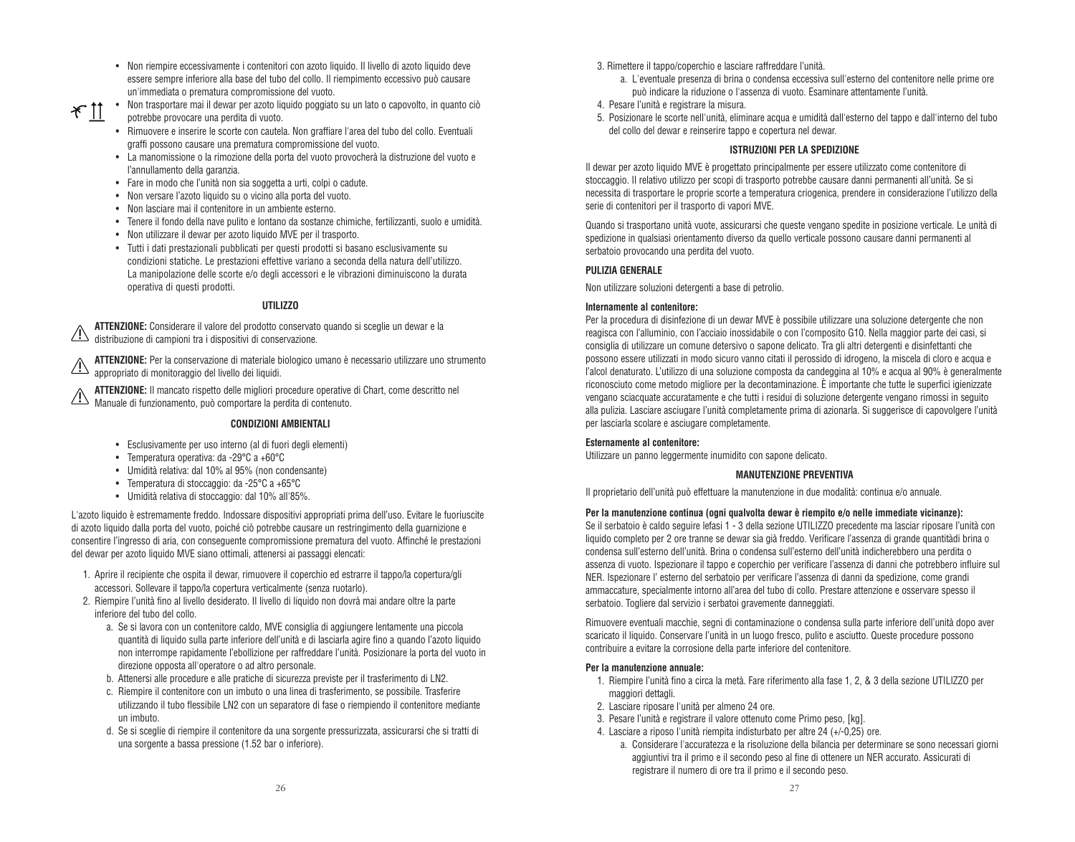- Non riempire eccessivamente i contenitori con azoto liquido. Il livello di azoto liquido deve essere sempre inferiore alla base del tubo del collo. Il riempimento eccessivo può causare un'immediata o prematura compromissione del vuoto.
- Non trasportare mai il dewar per azoto liquido poggiato su un lato o capovolto, in quanto ciò  $*$  11 potrebbe provocare una perdita di vuoto.
	- Rimuovere e inserire le scorte con cautela. Non graffiare l'area del tubo del collo. Eventuali graffi possono causare una prematura compromissione del vuoto.
	- La manomissione o la rimozione della porta del vuoto provocherà la distruzione del vuoto e l'annullamento della garanzia.
	- Fare in modo che l'unità non sia soggetta a urti, colpi o cadute.
	- Non versare l'azoto liquido su o vicino alla porta del vuoto.
	- Non lasciare mai il contenitore in un ambiente esterno.
	- Tenere il fondo della nave pulito e lontano da sostanze chimiche, fertilizzanti, suolo e umidità.
	- Non utilizzare il dewar per azoto liquido MVE per il trasporto.
	- Tutti i dati prestazionali pubblicati per questi prodotti si basano esclusivamente su condizioni statiche. Le prestazioni effettive variano a seconda della natura dell'utilizzo. La manipolazione delle scorte e/o degli accessori e le vibrazioni diminuiscono la durata operativa di questi prodotti.

#### **UTILIZZO**

**ATTENZIONE:** Considerare il valore del prodotto conservato quando si sceglie un dewar e la distribuzione di campioni tra i dispositivi di conservazione.

**ATTENZIONE:** Per la conservazione di materiale biologico umano è necessario utilizzare uno strumento appropriato di monitoraggio del livello dei liquidi.

**ATTENZIONE:** Il mancato rispetto delle migliori procedure operative di Chart, come descritto nel Al **IENZIUNE:** il manuale insperie della maggiuri processo di contenuto.<br>Manuale di funzionamento, può comportare la perdita di contenuto.

#### **CONDIZIONI AMBIENTALI**

- Esclusivamente per uso interno (al di fuori degli elementi)
- Temperatura operativa: da -29°C a +60°C
- Umidità relativa: dal 10% al 95% (non condensante)
- Temperatura di stoccaggio: da -25°C a +65°C
- Umidità relativa di stoccaggio: dal 10% all'85%.

L'azoto liquido è estremamente freddo. Indossare dispositivi appropriati prima dell'uso. Evitare le fuoriuscite di azoto liquido dalla porta del vuoto, poiché ciò potrebbe causare un restringimento della guarnizione e consentire l'ingresso di aria, con conseguente compromissione prematura del vuoto. Affinché le prestazioni del dewar per azoto liquido MVE siano ottimali, attenersi ai passaggi elencati:

- 1. Aprire il recipiente che ospita il dewar, rimuovere il coperchio ed estrarre il tappo/la copertura/gli accessori. Sollevare il tappo/la copertura verticalmente (senza ruotarlo).
- 2. Riempire l'unità fino al livello desiderato. Il livello di liquido non dovrà mai andare oltre la parte inferiore del tubo del collo.
	- a. Se si lavora con un contenitore caldo, MVE consiglia di aggiungere lentamente una piccola quantità di liquido sulla parte inferiore dell'unità e di lasciarla agire fino a quando l'azoto liquido non interrompe rapidamente l'ebollizione per raffreddare l'unità. Posizionare la porta del vuoto in direzione opposta all'operatore o ad altro personale.
	- b. Attenersi alle procedure e alle pratiche di sicurezza previste per il trasferimento di LN2.
	- c. Riempire il contenitore con un imbuto o una linea di trasferimento, se possibile. Trasferire utilizzando il tubo flessibile LN2 con un separatore di fase o riempiendo il contenitore mediante un imbuto.
	- d. Se si sceglie di riempire il contenitore da una sorgente pressurizzata, assicurarsi che si tratti di una sorgente a bassa pressione (1.52 bar o inferiore).
- 3. Rimettere il tappo/coperchio e lasciare raffreddare l'unità.
	- a. L'eventuale presenza di brina o condensa eccessiva sull'esterno del contenitore nelle prime ore può indicare la riduzione o l'assenza di vuoto. Esaminare attentamente l'unità.
- 4. Pesare l'unità e registrare la misura.
- 5. Posizionare le scorte nell'unità, eliminare acqua e umidità dall'esterno del tappo e dall'interno del tubo del collo del dewar e reinserire tappo e copertura nel dewar.

#### **ISTRUZIONI PER LA SPEDIZIONE**

Il dewar per azoto liquido MVE è progettato principalmente per essere utilizzato come contenitore di stoccaggio. Il relativo utilizzo per scopi di trasporto potrebbe causare danni permanenti all'unità. Se si necessita di trasportare le proprie scorte a temperatura criogenica, prendere in considerazione l'utilizzo della serie di contenitori per il trasporto di vapori MVE.

Quando si trasportano unità vuote, assicurarsi che queste vengano spedite in posizione verticale. Le unità di spedizione in qualsiasi orientamento diverso da quello verticale possono causare danni permanenti al serbatoio provocando una perdita del vuoto.

#### **PULIZIA GENERALE**

Non utilizzare soluzioni detergenti a base di petrolio.

#### **Internamente al contenitore:**

Per la procedura di disinfezione di un dewar MVE è possibile utilizzare una soluzione detergente che non reagisca con l'alluminio, con l'acciaio inossidabile o con l'composito G10. Nella maggior parte dei casi, si consiglia di utilizzare un comune detersivo o sapone delicato. Tra gli altri detergenti e disinfettanti che possono essere utilizzati in modo sicuro vanno citati il perossido di idrogeno, la miscela di cloro e acqua e l'alcol denaturato. L'utilizzo di una soluzione composta da candeggina al 10% e acqua al 90% è generalmente riconosciuto come metodo migliore per la decontaminazione. È importante che tutte le superfici igienizzate vengano sciacquate accuratamente e che tutti i residui di soluzione detergente vengano rimossi in seguito alla pulizia. Lasciare asciugare l'unità completamente prima di azionarla. Si suggerisce di capovolgere l'unità per lasciarla scolare e asciugare completamente.

#### **Esternamente al contenitore:**

Utilizzare un panno leggermente inumidito con sapone delicato.

#### **MANUTENZIONE PREVENTIVA**

Il proprietario dell'unità può effettuare la manutenzione in due modalità: continua e/o annuale.

#### **Per la manutenzione continua (ogni qualvolta dewar è riempito e/o nelle immediate vicinanze):**

Se il serbatoio è caldo seguire lefasi 1 - 3 della sezione UTILIZZO precedente ma lasciar riposare l'unità con liquido completo per 2 ore tranne se dewar sia già freddo. Verificare l'assenza di grande quantitàdi brina o condensa sull'esterno dell'unità. Brina o condensa sull'esterno dell'unità indicherebbero una perdita o assenza di vuoto. Ispezionare il tappo e coperchio per verificare l'assenza di danni che potrebbero influire sul NER. Ispezionare l' esterno del serbatoio per verificare l'assenza di danni da spedizione, come grandi ammaccature, specialmente intorno all'area del tubo di collo. Prestare attenzione e osservare spesso il serbatoio. Togliere dal servizio i serbatoi gravemente danneggiati.

Rimuovere eventuali macchie, segni di contaminazione o condensa sulla parte inferiore dell'unità dopo aver scaricato il liquido. Conservare l'unità in un luogo fresco, pulito e asciutto. Queste procedure possono contribuire a evitare la corrosione della parte inferiore del contenitore.

#### **Per la manutenzione annuale:**

- 1. Riempire l'unità fino a circa la metà. Fare riferimento alla fase 1, 2, & 3 della sezione UTILIZZO per maggiori dettagli.
- 2. Lasciare riposare l'unità per almeno 24 ore.
- 3. Pesare l'unità e registrare il valore ottenuto come Primo peso, [kg].
- 4. Lasciare a riposo l'unità riempita indisturbato per altre 24 (+/-0,25) ore.
	- a. Considerare l'accuratezza e la risoluzione della bilancia per determinare se sono necessari giorni aggiuntivi tra il primo e il secondo peso al fine di ottenere un NER accurato. Assicurati di registrare il numero di ore tra il primo e il secondo peso.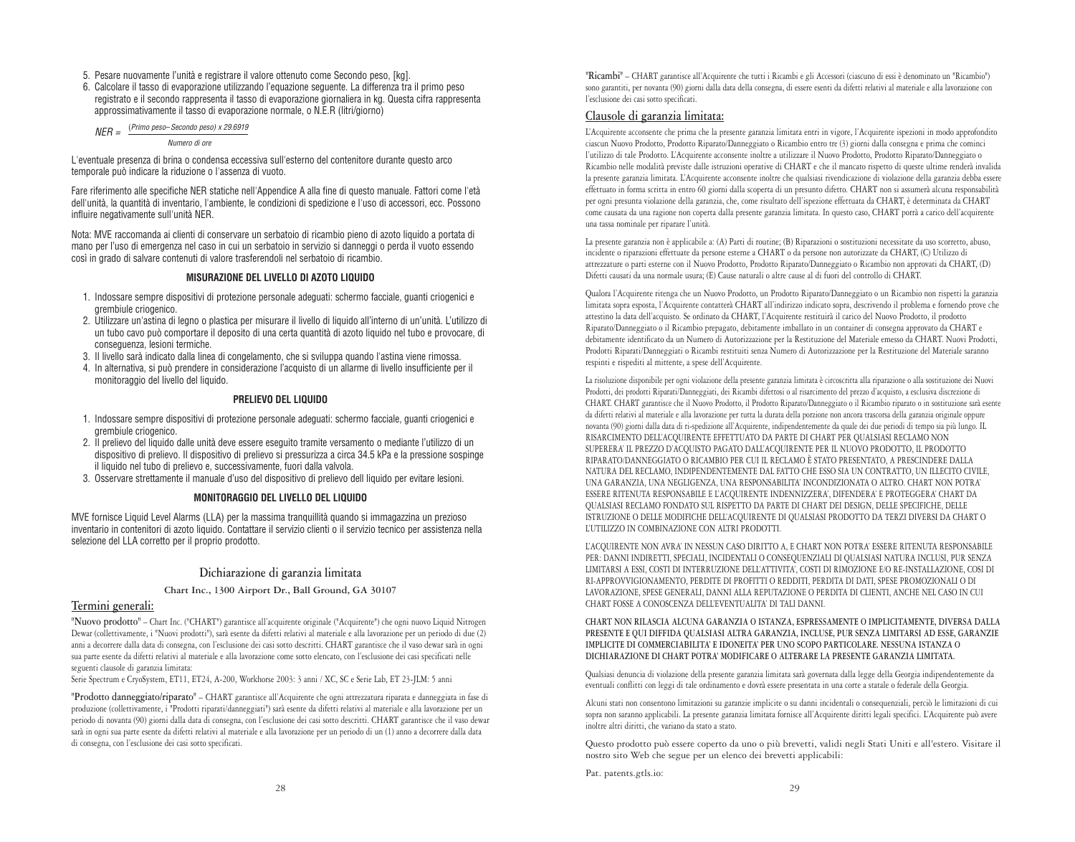- 5. Pesare nuovamente l'unità e registrare il valore ottenuto come Secondo peso, [kg].
- 6. Calcolare il tasso di evaporazione utilizzando l'equazione seguente. La differenza tra il primo peso registrato e il secondo rappresenta il tasso di evaporazione giornaliera in kg. Questa cifra rappresenta approssimativamente il tasso di evaporazione normale, o N.E.R (litri/giorno)

$$
NER = \frac{(Primo\ peso-Secondo\ peso) \times 29.6919}{Numbero\ di\ ore}
$$

L'eventuale presenza di brina o condensa eccessiva sull'esterno del contenitore durante questo arco temporale può indicare la riduzione o l'assenza di vuoto.

Fare riferimento alle specifiche NER statiche nell'Appendice A alla fine di questo manuale. Fattori come l'età dell'unità, la quantità di inventario, l'ambiente, le condizioni di spedizione e l'uso di accessori, ecc. Possono influire negativamente sull'unità NER.

Nota: MVE raccomanda ai clienti di conservare un serbatoio di ricambio pieno di azoto liquido a portata di mano per l'uso di emergenza nel caso in cui un serbatoio in servizio si danneggi o perda il vuoto essendo così in grado di salvare contenuti di valore trasferendoli nel serbatoio di ricambio.

#### **MISURAZIONE DEL LIVELLO DI AZOTO LIQUIDO**

- 1. Indossare sempre dispositivi di protezione personale adeguati: schermo facciale, guanti criogenici e grembiule criogenico.
- 2. Utilizzare un'astina di legno o plastica per misurare il livello di liquido all'interno di un'unità. L'utilizzo di un tubo cavo può comportare il deposito di una certa quantità di azoto liquido nel tubo e provocare, di conseguenza, lesioni termiche.
- 3. Il livello sarà indicato dalla linea di congelamento, che si sviluppa quando l'astina viene rimossa.
- 4. In alternativa, si può prendere in considerazione l'acquisto di un allarme di livello insufficiente per il monitoraggio del livello del liquido.

#### **PRELIEVO DEL LIQUIDO**

- 1. Indossare sempre dispositivi di protezione personale adeguati: schermo facciale, guanti criogenici e grembiule criogenico.
- 2. Il prelievo del liquido dalle unità deve essere eseguito tramite versamento o mediante l'utilizzo di un dispositivo di prelievo. Il dispositivo di prelievo si pressurizza a circa 34.5 kPa e la pressione sospinge il liquido nel tubo di prelievo e, successivamente, fuori dalla valvola.
- 3. Osservare strettamente il manuale d'uso del dispositivo di prelievo dell liquido per evitare lesioni.

#### **MONITORAGGIO DEL LIVELLO DEL LIQUIDO**

MVE fornisce Liquid Level Alarms (LLA) per la massima tranquillità quando si immagazzina un prezioso inventario in contenitori di azoto liquido. Contattare il servizio clienti o il servizio tecnico per assistenza nella selezione del LLA corretto per il proprio prodotto.

#### **Dichiarazione di garanzia limitata**

#### **Chart Inc., 1300 Airport Dr., Ball Ground, GA 30107**

#### **Termini generali:**

**"Nuovo prodotto"** – Chart Inc. ("CHART") garantisce all'acquirente originale ("Acquirente") che ogni nuovo Liquid Nitrogen Dewar (collettivamente, i "Nuovi prodotti"), sarà esente da difetti relativi al materiale e alla lavorazione per un periodo di due (2) anni a decorrere dalla data di consegna, con l'esclusione dei casi sotto descritti. CHART garantisce che il vaso dewar sarà in ogni sua parte esente da difetti relativi al materiale e alla lavorazione come sotto elencato, con l'esclusione dei casi specificati nelle seguenti clausole di garanzia limitata:

Serie Spectrum e CryoSystem, ET11, ET24, A-200, Workhorse 2003: 3 anni / XC, SC e Serie Lab, ET 23-JLM: 5 anni

**"Prodotto danneggiato/riparato"** – CHART garantisce all'Acquirente che ogni attrezzatura riparata e danneggiata in fase di produzione (collettivamente, i "Prodotti riparati/danneggiati") sarà esente da difetti relativi al materiale e alla lavorazione per un periodo di novanta (90) giorni dalla data di consegna, con l'esclusione dei casi sotto descritti. CHART garantisce che il vaso dewar sarà in ogni sua parte esente da difetti relativi al materiale e alla lavorazione per un periodo di un (1) anno a decorrere dalla data di consegna, con l'esclusione dei casi sotto specificati.

**"Ricambi"** – CHART garantisce all'Acquirente che tutti i Ricambi e gli Accessori (ciascuno di essi è denominato un "Ricambio") sono garantiti, per novanta (90) giorni dalla data della consegna, di essere esenti da difetti relativi al materiale e alla lavorazione con l'esclusione dei casi sotto specificati.

#### **Clausole di garanzia limitata:**

L'Acquirente acconsente che prima che la presente garanzia limitata entri in vigore, l'Acquirente ispezioni in modo approfondito ciascun Nuovo Prodotto, Prodotto Riparato/Danneggiato o Ricambio entro tre (3) giorni dalla consegna e prima che cominci l'utilizzo di tale Prodotto. L'Acquirente acconsente inoltre a utilizzare il Nuovo Prodotto, Prodotto Riparato/Danneggiato o Ricambio nelle modalità previste dalle istruzioni operative di CHART e che il mancato rispetto di queste ultime renderà invalida la presente garanzia limitata. L'Acquirente acconsente inoltre che qualsiasi rivendicazione di violazione della garanzia debba essere effettuato in forma scritta in entro 60 giorni dalla scoperta di un presunto difetto. CHART non si assumerà alcuna responsabilità per ogni presunta violazione della garanzia, che, come risultato dell'ispezione effettuata da CHART, è determinata da CHART come causata da una ragione non coperta dalla presente garanzia limitata. In questo caso, CHART porrà a carico dell'acquirente una tassa nominale per riparare l'unità.

La presente garanzia non è applicabile a: (A) Parti di routine; (B) Riparazioni o sostituzioni necessitate da uso scorretto, abuso, incidente o riparazioni effettuate da persone esterne a CHART o da persone non autorizzate da CHART, (C) Utilizzo di attrezzature o parti esterne con il Nuovo Prodotto, Prodotto Riparato/Danneggiato o Ricambio non approvati da CHART, (D) Difetti causati da una normale usura; (E) Cause naturali o altre cause al di fuori del controllo di CHART.

Qualora l'Acquirente ritenga che un Nuovo Prodotto, un Prodotto Riparato/Danneggiato o un Ricambio non rispetti la garanzia limitata sopra esposta, l'Acquirente contatterà CHART all'indirizzo indicato sopra, descrivendo il problema e fornendo prove che attestino la data dell'acquisto. Se ordinato da CHART, l'Acquirente restituirà il carico del Nuovo Prodotto, il prodotto Riparato/Danneggiato o il Ricambio prepagato, debitamente imballato in un container di consegna approvato da CHART e debitamente identificato da un Numero di Autorizzazione per la Restituzione del Materiale emesso da CHART. Nuovi Prodotti, Prodotti Riparati/Danneggiati o Ricambi restituiti senza Numero di Autorizzazione per la Restituzione del Materiale saranno respinti e rispediti al mittente, a spese dell'Acquirente.

La risoluzione disponibile per ogni violazione della presente garanzia limitata è circoscritta alla riparazione o alla sostituzione dei Nuovi Prodotti, dei prodotti Riparati/Danneggiati, dei Ricambi difettosi o al risarcimento del prezzo d'acquisto, a esclusiva discrezione di CHART. CHART garantisce che il Nuovo Prodotto, il Prodotto Riparato/Danneggiato o il Ricambio riparato o in sostituzione sarà esente da difetti relativi al materiale e alla lavorazione per tutta la durata della porzione non ancora trascorsa della garanzia originale oppure novanta (90) giorni dalla data di ri-spedizione all'Acquirente, indipendentemente da quale dei due periodi di tempo sia più lungo. IL RISARCIMENTO DELL'ACQUIRENTE EFFETTUATO DA PARTE DI CHART PER QUALSIASI RECLAMO NON SUPERERA' IL PREZZO D'ACQUISTO PAGATO DALL'ACQUIRENTE PER IL NUOVO PRODOTTO, IL PRODOTTO RIPARATO/DANNEGGIATO O RICAMBIO PER CUI IL RECLAMO È STATO PRESENTATO, A PRESCINDERE DALLA NATURA DEL RECLAMO, INDIPENDENTEMENTE DAL FATTO CHE ESSO SIA UN CONTRATTO, UN ILLECITO CIVILE, UNA GARANZIA, UNA NEGLIGENZA, UNA RESPONSABILITA' INCONDIZIONATA O ALTRO. CHART NON POTRA' ESSERE RITENUTA RESPONSABILE E L'ACQUIRENTE INDENNIZZERA', DIFENDERA' E PROTEGGERA' CHART DA QUALSIASI RECLAMO FONDATO SUL RISPETTO DA PARTE DI CHART DEI DESIGN, DELLE SPECIFICHE, DELLE ISTRUZIONE O DELLE MODIFICHE DELL'ACQUIRENTE DI QUALSIASI PRODOTTO DA TERZI DIVERSI DA CHART O L'UTILIZZO IN COMBINAZIONE CON ALTRI PRODOTTI.

L'ACQUIRENTE NON AVRA' IN NESSUN CASO DIRITTO A, E CHART NON POTRA' ESSERE RITENUTA RESPONSABILE PER: DANNI INDIRETTI, SPECIALI, INCIDENTALI O CONSEQUENZIALI DI QUALSIASI NATURA INCLUSI, PUR SENZA LIMITARSI A ESSI, COSTI DI INTERRUZIONE DELL'ATTIVITA', COSTI DI RIMOZIONE E/O RE-INSTALLAZIONE, COSI DI RI-APPROVVIGIONAMENTO, PERDITE DI PROFITTI O REDDITI, PERDITA DI DATI, SPESE PROMOZIONALI O DI LAVORAZIONE, SPESE GENERALI, DANNI ALLA REPUTAZIONE O PERDITA DI CLIENTI, ANCHE NEL CASO IN CUI CHART FOSSE A CONOSCENZA DELL'EVENTUALITA' DI TALI DANNI.

#### **CHART NON RILASCIA ALCUNA GARANZIA O ISTANZA, ESPRESSAMENTE O IMPLICITAMENTE, DIVERSA DALLA PRESENTE E QUI DIFFIDA QUALSIASI ALTRA GARANZIA, INCLUSE, PUR SENZA LIMITARSI AD ESSE, GARANZIE IMPLICITE DI COMMERCIABILITA' E IDONEITA' PER UNO SCOPO PARTICOLARE. NESSUNA ISTANZA O DICHIARAZIONE DI CHART POTRA' MODIFICARE O ALTERARE LA PRESENTE GARANZIA LIMITATA.**

Qualsiasi denuncia di violazione della presente garanzia limitata sarà governata dalla legge della Georgia indipendentemente da eventuali conflitti con leggi di tale ordinamento e dovrà essere presentata in una corte a statale o federale della Georgia.

Alcuni stati non consentono limitazioni su garanzie implicite o su danni incidentali o consequenziali, perciò le limitazioni di cui sopra non saranno applicabili. La presente garanzia limitata fornisce all'Acquirente diritti legali specifici. L'Acquirente può avere inoltre altri diritti, che variano da stato a stato.

Questo prodotto può essere coperto da uno o più brevetti, validi negli Stati Uniti e all'estero. Visitare il nostro sito Web che segue per un elenco dei brevetti applicabili:

Pat. patents.gtls.io: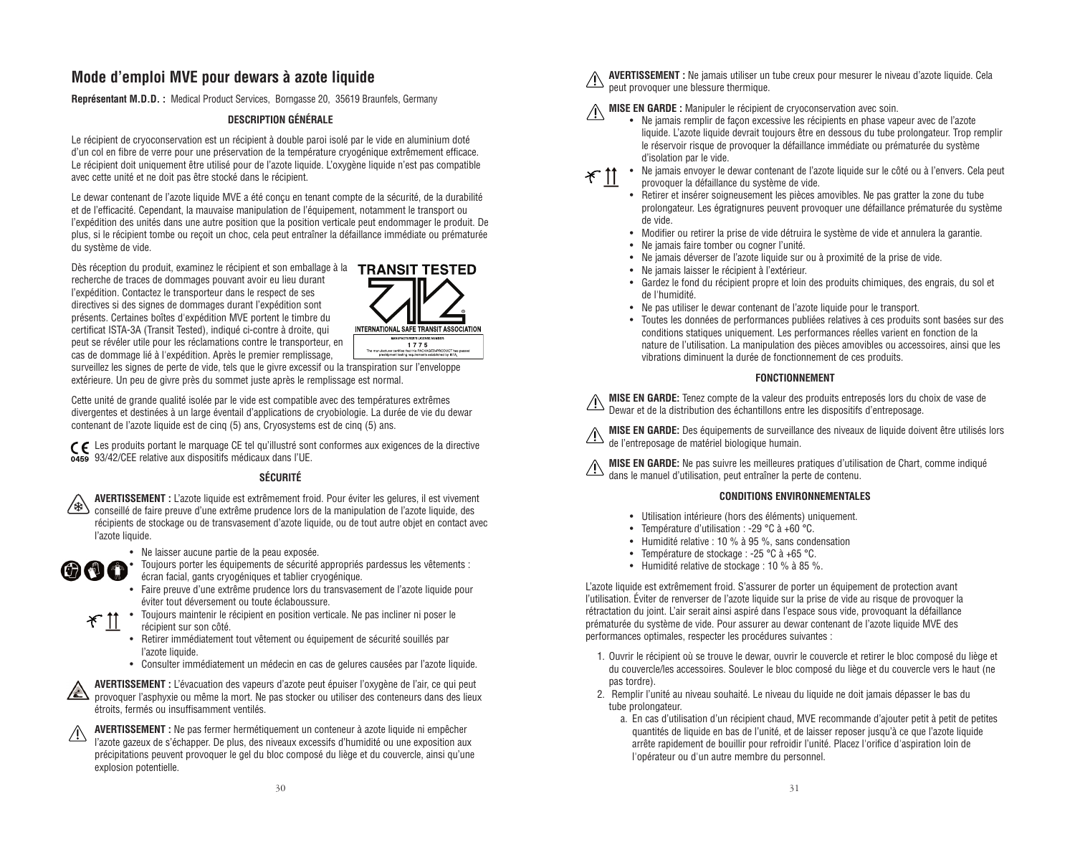#### **Mode d'emploi MVE pour dewars à azote liquide**

**Représentant M.D.D. :** Medical Product Services, Borngasse 20, 35619 Braunfels, Germany

#### **DESCRIPTION GÉNÉRALE**

Le récipient de cryoconservation est un récipient à double paroi isolé par le vide en aluminium doté d'un col en fibre de verre pour une préservation de la température cryogénique extrêmement efficace. Le récipient doit uniquement être utilisé pour de l'azote liquide. L'oxygène liquide n'est pas compatible avec cette unité et ne doit pas être stocké dans le récipient.

Le dewar contenant de l'azote liquide MVE a été conçu en tenant compte de la sécurité, de la durabilité et de l'efficacité. Cependant, la mauvaise manipulation de l'équipement, notamment le transport ou l'expédition des unités dans une autre position que la position verticale peut endommager le produit. De plus, si le récipient tombe ou reçoit un choc, cela peut entraîner la défaillance immédiate ou prématurée du système de vide.

Dès réception du produit, examinez le récipient et son emballage à la TRANSIT TESTED recherche de traces de dommages pouvant avoir eu lieu durant l'expédition. Contactez le transporteur dans le respect de ses directives si des signes de dommages durant l'expédition sont présents. Certaines boîtes d'expédition MVE portent le timbre du certificat ISTA-3A (Transit Tested), indiqué ci-contre à droite, qui peut se révéler utile pour les réclamations contre le transporteur, en cas de dommage lié à l'expédition. Après le premier remplissage,



surveillez les signes de perte de vide, tels que le givre excessif ou la transpiration sur l'enveloppe extérieure. Un peu de givre près du sommet juste après le remplissage est normal.

Cette unité de grande qualité isolée par le vide est compatible avec des températures extrêmes divergentes et destinées à un large éventail d'applications de cryobiologie. La durée de vie du dewar contenant de l'azote liquide est de cinq (5) ans, Cryosystems est de cinq (5) ans.

Les produits portant le marquage CE tel qu'illustré sont conformes aux exigences de la directive 0459 93/42/CEE relative aux dispositifs médicaux dans l'UE.

#### **SÉCURITÉ**

**AVERTISSEMENT :** L'azote liquide est extrêmement froid. Pour éviter les gelures, il est vivement /\*∖ conseillé de faire preuve d'une extrême prudence lors de la manipulation de l'azote liquide, des récipients de stockage ou de transvasement d'azote liquide, ou de tout autre objet en contact avec l'azote liquide.

• Ne laisser aucune partie de la peau exposée.



• Toujours porter les équipements de sécurité appropriés pardessus les vêtements : écran facial, gants cryogéniques et tablier cryogénique.

• Faire preuve d'une extrême prudence lors du transvasement de l'azote liquide pour éviter tout déversement ou toute éclaboussure.

• Toujours maintenir le récipient en position verticale. Ne pas incliner ni poser le  $*$  11

- récipient sur son côté.
	- Retirer immédiatement tout vêtement ou équipement de sécurité souillés par l'azote liquide.
	- Consulter immédiatement un médecin en cas de gelures causées par l'azote liquide.



**AVERTISSEMENT :** L'évacuation des vapeurs d'azote peut épuiser l'oxygène de l'air, ce qui peut provoquer l'asphyxie ou même la mort. Ne pas stocker ou utiliser des conteneurs dans des lieux étroits, fermés ou insuffisamment ventilés.



**AVERTISSEMENT :** Ne pas fermer hermétiquement un conteneur à azote liquide ni empêcher l'azote gazeux de s'échapper. De plus, des niveaux excessifs d'humidité ou une exposition aux précipitations peuvent provoquer le gel du bloc composé du liège et du couvercle, ainsi qu'une explosion potentielle.

**AVERTISSEMENT :** Ne jamais utiliser un tube creux pour mesurer le niveau d'azote liquide. Cela peut provoquer une blessure thermique.

### **MISE EN GARDE :** Manipuler le récipient de cryoconservation avec soin.

• Ne jamais remplir de façon excessive les récipients en phase vapeur avec de l'azote liquide. L'azote liquide devrait toujours être en dessous du tube prolongateur. Trop remplir le réservoir risque de provoquer la défaillance immédiate ou prématurée du système d'isolation par le vide.



- Ne jamais envoyer le dewar contenant de l'azote liquide sur le côté ou à l'envers. Cela peut provoquer la défaillance du système de vide.
- Retirer et insérer soigneusement les pièces amovibles. Ne pas gratter la zone du tube prolongateur. Les égratignures peuvent provoquer une défaillance prématurée du système de vide.
- Modifier ou retirer la prise de vide détruira le système de vide et annulera la garantie.
- Ne jamais faire tomber ou cogner l'unité.
- Ne jamais déverser de l'azote liquide sur ou à proximité de la prise de vide.
- Ne jamais laisser le récipient à l'extérieur.
- Gardez le fond du récipient propre et loin des produits chimiques, des engrais, du sol et de l'humidité.
- Ne pas utiliser le dewar contenant de l'azote liquide pour le transport.
- Toutes les données de performances publiées relatives à ces produits sont basées sur des conditions statiques uniquement. Les performances réelles varient en fonction de la nature de l'utilisation. La manipulation des pièces amovibles ou accessoires, ainsi que les vibrations diminuent la durée de fonctionnement de ces produits.

#### **FONCTIONNEMENT**

**MISE EN GARDE:** Tenez compte de la valeur des produits entreposés lors du choix de vase de Dewar et de la distribution des échantillons entre les dispositifs d'entreposage.

**MISE EN GARDE:** Des équipements de surveillance des niveaux de liquide doivent être utilisés lors **de l'entreposage de matériel biologique humain.**<br>de l'entreposage de matériel biologique humain.

**MISE EN GARDE:** Ne pas suivre les meilleures pratiques d'utilisation de Chart, comme indiqué de MISE EN GARIJE: ne pas survive les moments productes de la perte de contenu.<br>dans le manuel d'utilisation, peut entraîner la perte de contenu.

#### **CONDITIONS ENVIRONNEMENTALES**

- Utilisation intérieure (hors des éléments) uniquement.
- Température d'utilisation : -29 °C à +60 °C.
- Humidité relative : 10 % à 95 %, sans condensation
- Température de stockage : -25 °C à +65 °C.
- Humidité relative de stockage : 10 % à 85 %.

L'azote liquide est extrêmement froid. S'assurer de porter un équipement de protection avant l'utilisation. Éviter de renverser de l'azote liquide sur la prise de vide au risque de provoquer la rétractation du joint. L'air serait ainsi aspiré dans l'espace sous vide, provoquant la défaillance prématurée du système de vide. Pour assurer au dewar contenant de l'azote liquide MVE des performances optimales, respecter les procédures suivantes :

- 1. Ouvrir le récipient où se trouve le dewar, ouvrir le couvercle et retirer le bloc composé du liège et du couvercle/les accessoires. Soulever le bloc composé du liège et du couvercle vers le haut (ne pas tordre).
- 2. Remplir l'unité au niveau souhaité. Le niveau du liquide ne doit jamais dépasser le bas du tube prolongateur.
	- a. En cas d'utilisation d'un récipient chaud, MVE recommande d'ajouter petit à petit de petites quantités de liquide en bas de l'unité, et de laisser reposer jusqu'à ce que l'azote liquide arrête rapidement de bouillir pour refroidir l'unité. Placez l'orifice d'aspiration loin de l'opérateur ou d'un autre membre du personnel.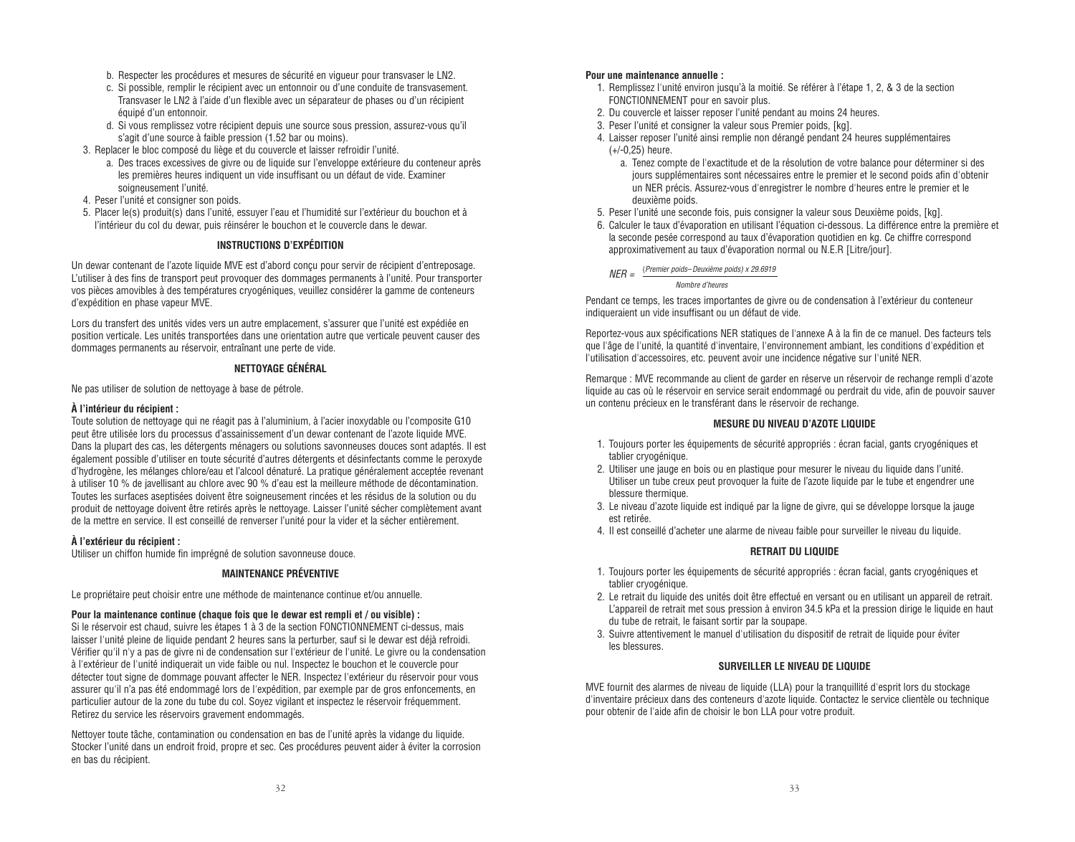- b. Respecter les procédures et mesures de sécurité en vigueur pour transvaser le LN2.
- c. Si possible, remplir le récipient avec un entonnoir ou d'une conduite de transvasement. Transvaser le LN2 à l'aide d'un flexible avec un séparateur de phases ou d'un récipient équipé d'un entonnoir.
- d. Si vous remplissez votre récipient depuis une source sous pression, assurez-vous qu'il s'agit d'une source à faible pression (1.52 bar ou moins).
- 3. Replacer le bloc composé du liège et du couvercle et laisser refroidir l'unité.
	- a. Des traces excessives de givre ou de liquide sur l'enveloppe extérieure du conteneur après les premières heures indiquent un vide insuffisant ou un défaut de vide. Examiner soigneusement l'unité.
- 4. Peser l'unité et consigner son poids.
- 5. Placer le(s) produit(s) dans l'unité, essuyer l'eau et l'humidité sur l'extérieur du bouchon et à l'intérieur du col du dewar, puis réinsérer le bouchon et le couvercle dans le dewar.

#### **INSTRUCTIONS D'EXPÉDITION**

Un dewar contenant de l'azote liquide MVE est d'abord conçu pour servir de récipient d'entreposage. L'utiliser à des fins de transport peut provoquer des dommages permanents à l'unité. Pour transporter vos pièces amovibles à des températures cryogéniques, veuillez considérer la gamme de conteneurs d'expédition en phase vapeur MVE.

Lors du transfert des unités vides vers un autre emplacement, s'assurer que l'unité est expédiée en position verticale. Les unités transportées dans une orientation autre que verticale peuvent causer des dommages permanents au réservoir, entraînant une perte de vide.

#### **NETTOYAGE GÉNÉRAL**

Ne pas utiliser de solution de nettoyage à base de pétrole.

#### **À l'intérieur du récipient :**

Toute solution de nettoyage qui ne réagit pas à l'aluminium, à l'acier inoxydable ou l'composite G10 peut être utilisée lors du processus d'assainissement d'un dewar contenant de l'azote liquide MVE. Dans la plupart des cas, les détergents ménagers ou solutions savonneuses douces sont adaptés. Il est également possible d'utiliser en toute sécurité d'autres détergents et désinfectants comme le peroxyde d'hydrogène, les mélanges chlore/eau et l'alcool dénaturé. La pratique généralement acceptée revenant à utiliser 10 % de javellisant au chlore avec 90 % d'eau est la meilleure méthode de décontamination. Toutes les surfaces aseptisées doivent être soigneusement rincées et les résidus de la solution ou du produit de nettoyage doivent être retirés après le nettoyage. Laisser l'unité sécher complètement avant de la mettre en service. Il est conseillé de renverser l'unité pour la vider et la sécher entièrement.

#### **À l'extérieur du récipient :**

Utiliser un chiffon humide fin imprégné de solution savonneuse douce.

#### **MAINTENANCE PRÉVENTIVE**

Le propriétaire peut choisir entre une méthode de maintenance continue et/ou annuelle.

#### **Pour la maintenance continue (chaque fois que le dewar est rempli et / ou visible) :**

Si le réservoir est chaud, suivre les étapes 1 à 3 de la section FONCTIONNEMENT ci-dessus, mais laisser l'unité pleine de liquide pendant 2 heures sans la perturber, sauf si le dewar est déjà refroidi. Vérifier qu'il n'y a pas de givre ni de condensation sur l'extérieur de l'unité. Le givre ou la condensation à l'extérieur de l'unité indiquerait un vide faible ou nul. Inspectez le bouchon et le couvercle pour détecter tout signe de dommage pouvant affecter le NER. Inspectez l'extérieur du réservoir pour vous assurer qu'il n'a pas été endommagé lors de l'expédition, par exemple par de gros enfoncements, en particulier autour de la zone du tube du col. Soyez vigilant et inspectez le réservoir fréquemment. Retirez du service les réservoirs gravement endommagés.

Nettoyer toute tâche, contamination ou condensation en bas de l'unité après la vidange du liquide. Stocker l'unité dans un endroit froid, propre et sec. Ces procédures peuvent aider à éviter la corrosion en bas du récipient.

#### **Pour une maintenance annuelle :**

- 1. Remplissez l'unité environ jusqu'à la moitié. Se référer à l'étape 1, 2, & 3 de la section FONCTIONNEMENT pour en savoir plus.
- 2. Du couvercle et laisser reposer l'unité pendant au moins 24 heures.
- 3. Peser l'unité et consigner la valeur sous Premier poids, [kg].
- 4. Laisser reposer l'unité ainsi remplie non dérangé pendant 24 heures supplémentaires (+/-0,25) heure.
	- a. Tenez compte de l'exactitude et de la résolution de votre balance pour déterminer si des jours supplémentaires sont nécessaires entre le premier et le second poids afin d'obtenir un NER précis. Assurez-vous d'enregistrer le nombre d'heures entre le premier et le deuxième poids.
- 5. Peser l'unité une seconde fois, puis consigner la valeur sous Deuxième poids, [kg].
- 6. Calculer le taux d'évaporation en utilisant l'équation ci-dessous. La différence entre la première et la seconde pesée correspond au taux d'évaporation quotidien en kg. Ce chiffre correspond approximativement au taux d'évaporation normal ou N.E.R [Litre/jour].

 $NFR =$  (Premier poids–Deuxième poids) x 29.6919

Nombre d'heures

Pendant ce temps, les traces importantes de givre ou de condensation à l'extérieur du conteneur indiqueraient un vide insuffisant ou un défaut de vide.

Reportez-vous aux spécifications NER statiques de l'annexe A à la fin de ce manuel. Des facteurs tels que l'âge de l'unité, la quantité d'inventaire, l'environnement ambiant, les conditions d'expédition et l'utilisation d'accessoires, etc. peuvent avoir une incidence négative sur l'unité NER.

Remarque : MVE recommande au client de garder en réserve un réservoir de rechange rempli d'azote liquide au cas où le réservoir en service serait endommagé ou perdrait du vide, afin de pouvoir sauver un contenu précieux en le transférant dans le réservoir de rechange.

#### **MESURE DU NIVEAU D'AZOTE LIQUIDE**

- 1. Toujours porter les équipements de sécurité appropriés : écran facial, gants cryogéniques et tablier cryogénique.
- 2. Utiliser une jauge en bois ou en plastique pour mesurer le niveau du liquide dans l'unité. Utiliser un tube creux peut provoquer la fuite de l'azote liquide par le tube et engendrer une blessure thermique.
- 3. Le niveau d'azote liquide est indiqué par la ligne de givre, qui se développe lorsque la jauge est retirée.
- 4. Il est conseillé d'acheter une alarme de niveau faible pour surveiller le niveau du liquide.

#### **RETRAIT DU LIQUIDE**

- 1. Toujours porter les équipements de sécurité appropriés : écran facial, gants cryogéniques et tablier cryogénique.
- 2. Le retrait du liquide des unités doit être effectué en versant ou en utilisant un appareil de retrait. L'appareil de retrait met sous pression à environ 34.5 kPa et la pression dirige le liquide en haut du tube de retrait, le faisant sortir par la soupape.
- 3. Suivre attentivement le manuel d'utilisation du dispositif de retrait de liquide pour éviter les blessures.

#### **SURVEILLER LE NIVEAU DE LIQUIDE**

MVE fournit des alarmes de niveau de liquide (LLA) pour la tranquillité d'esprit lors du stockage d'inventaire précieux dans des conteneurs d'azote liquide. Contactez le service clientèle ou technique pour obtenir de l'aide afin de choisir le bon LLA pour votre produit.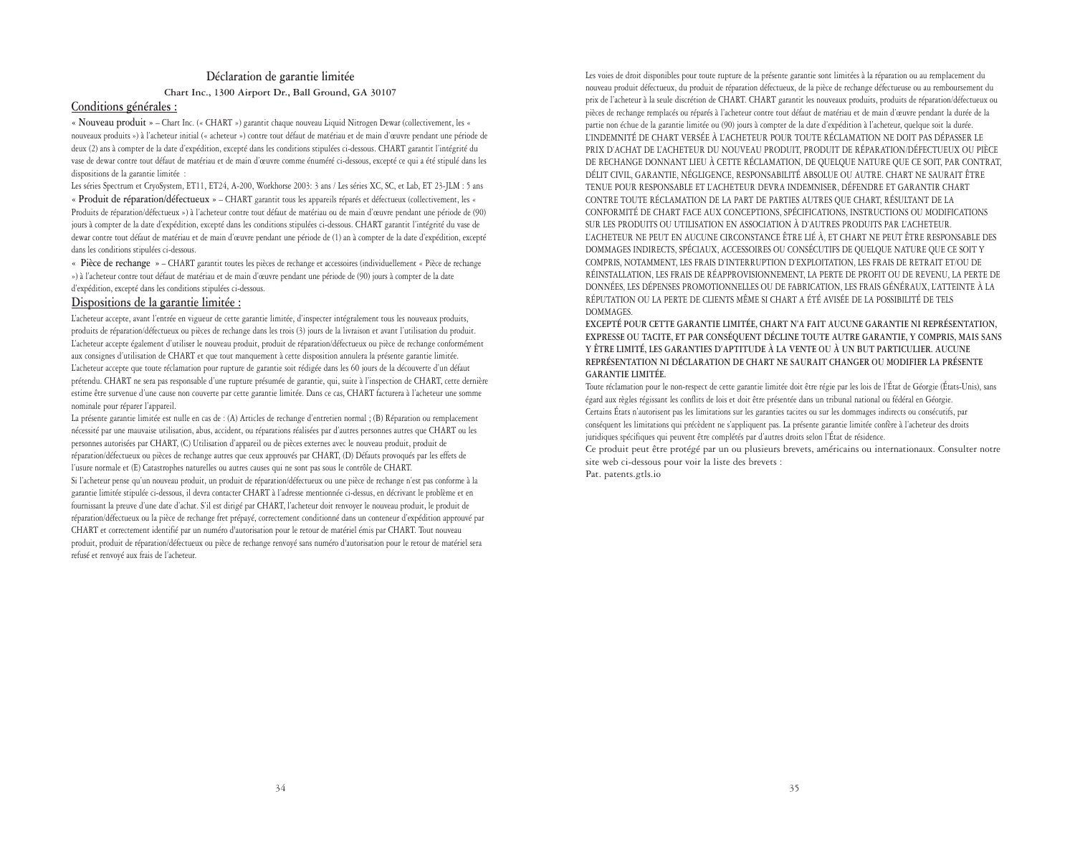#### **Déclaration de garantie limitée Chart Inc., 1300 Airport Dr., Ball Ground, GA 30107**

#### **Conditions générales :**

**« Nouveau produit »** – Chart Inc. (« CHART ») garantit chaque nouveau Liquid Nitrogen Dewar (collectivement, les « nouveaux produits ») à l'acheteur initial (« acheteur ») contre tout défaut de matériau et de main d'œuvre pendant une période de deux (2) ans à compter de la date d'expédition, excepté dans les conditions stipulées ci-dessous. CHART garantit l'intégrité du vase de dewar contre tout défaut de matériau et de main d'œuvre comme énuméré ci-dessous, excepté ce qui a été stipulé dans les dispositions de la garantie limitée :

Les séries Spectrum et CryoSystem, ET11, ET24, A-200, Workhorse 2003: 3 ans / Les séries XC, SC, et Lab, ET 23-JLM : 5 ans **« Produit de réparation/défectueux »** – CHART garantit tous les appareils réparés et défectueux (collectivement, les « Produits de réparation/défectueux ») à l'acheteur contre tout défaut de matériau ou de main d'œuvre pendant une période de (90) jours à compter de la date d'expédition, excepté dans les conditions stipulées ci-dessous. CHART garantit l'intégrité du vase de dewar contre tout défaut de matériau et de main d'œuvre pendant une période de (1) an à compter de la date d'expédition, excepté dans les conditions stipulées ci-dessous.

**« Pièce de rechange »** – CHART garantit toutes les pièces de rechange et accessoires (individuellement « Pièce de rechange ») à l'acheteur contre tout défaut de matériau et de main d'œuvre pendant une période de (90) jours à compter de la date d'expédition, excepté dans les conditions stipulées ci-dessous.

#### **Dispositions de la garantie limitée :**

L'acheteur accepte, avant l'entrée en vigueur de cette garantie limitée, d'inspecter intégralement tous les nouveaux produits, produits de réparation/défectueux ou pièces de rechange dans les trois (3) jours de la livraison et avant l'utilisation du produit. L'acheteur accepte également d'utiliser le nouveau produit, produit de réparation/défectueux ou pièce de rechange conformément aux consignes d'utilisation de CHART et que tout manquement à cette disposition annulera la présente garantie limitée. L'acheteur accepte que toute réclamation pour rupture de garantie soit rédigée dans les 60 jours de la découverte d'un défaut prétendu. CHART ne sera pas responsable d'une rupture présumée de garantie, qui, suite à l'inspection de CHART, cette dernière estime être survenue d'une cause non couverte par cette garantie limitée. Dans ce cas, CHART facturera à l'acheteur une somme nominale pour réparer l'appareil.

La présente garantie limitée est nulle en cas de : (A) Articles de rechange d'entretien normal ; (B) Réparation ou remplacement nécessité par une mauvaise utilisation, abus, accident, ou réparations réalisées par d'autres personnes autres que CHART ou les personnes autorisées par CHART, (C) Utilisation d'appareil ou de pièces externes avec le nouveau produit, produit de réparation/défectueux ou pièces de rechange autres que ceux approuvés par CHART, (D) Défauts provoqués par les effets de l'usure normale et (E) Catastrophes naturelles ou autres causes qui ne sont pas sous le contrôle de CHART.

Si l'acheteur pense qu'un nouveau produit, un produit de réparation/défectueux ou une pièce de rechange n'est pas conforme à la garantie limitée stipulée ci-dessous, il devra contacter CHART à l'adresse mentionnée ci-dessus, en décrivant le problème et en fournissant la preuve d'une date d'achat. S'il est dirigé par CHART, l'acheteur doit renvoyer le nouveau produit, le produit de réparation/défectueux ou la pièce de rechange fret prépayé, correctement conditionné dans un conteneur d'expédition approuvé par CHART et correctement identifié par un numéro d'autorisation pour le retour de matériel émis par CHART. Tout nouveau produit, produit de réparation/défectueux ou pièce de rechange renvoyé sans numéro d'autorisation pour le retour de matériel sera refusé et renvoyé aux frais de l'acheteur.

Les voies de droit disponibles pour toute rupture de la présente garantie sont limitées à la réparation ou au remplacement du nouveau produit défectueux, du produit de réparation défectueux, de la pièce de rechange défectueuse ou au remboursement du prix de l'acheteur à la seule discrétion de CHART. CHART garantit les nouveaux produits, produits de réparation/défectueux ou pièces de rechange remplacés ou réparés à l'acheteur contre tout défaut de matériau et de main d'œuvre pendant la durée de la partie non échue de la garantie limitée ou (90) jours à compter de la date d'expédition à l'acheteur, quelque soit la durée. L'INDEMNITÉ DE CHART VERSÉE À L'ACHETEUR POUR TOUTE RÉCLAMATION NE DOIT PAS DÉPASSER LE PRIX D'ACHAT DE L'ACHETEUR DU NOUVEAU PRODUIT, PRODUIT DE RÉPARATION/DÉFECTUEUX OU PIÈCE DE RECHANGE DONNANT LIEU À CETTE RÉCLAMATION, DE QUELQUE NATURE QUE CE SOIT, PAR CONTRAT, DÉLIT CIVIL, GARANTIE, NÉGLIGENCE, RESPONSABILITÉ ABSOLUE OU AUTRE. CHART NE SAURAIT ÊTRE TENUE POUR RESPONSABLE ET L'ACHETEUR DEVRA INDEMNISER, DÉFENDRE ET GARANTIR CHART CONTRE TOUTE RÉCLAMATION DE LA PART DE PARTIES AUTRES QUE CHART, RÉSULTANT DE LA CONFORMITÉ DE CHART FACE AUX CONCEPTIONS, SPÉCIFICATIONS, INSTRUCTIONS OU MODIFICATIONS SUR LES PRODUITS OU UTILISATION EN ASSOCIATION À D'AUTRES PRODUITS PAR L'ACHETEUR. L'ACHETEUR NE PEUT EN AUCUNE CIRCONSTANCE ÊTRE LIÉ À, ET CHART NE PEUT ÊTRE RESPONSABLE DES DOMMAGES INDIRECTS, SPÉCIAUX, ACCESSOIRES OU CONSÉCUTIFS DE QUELQUE NATURE QUE CE SOIT Y COMPRIS, NOTAMMENT, LES FRAIS D'INTERRUPTION D'EXPLOITATION, LES FRAIS DE RETRAIT ET/OU DE RÉINSTALLATION, LES FRAIS DE RÉAPPROVISIONNEMENT, LA PERTE DE PROFIT OU DE REVENU, LA PERTE DE DONNÉES, LES DÉPENSES PROMOTIONNELLES OU DE FABRICATION, LES FRAIS GÉNÉRAUX, L'ATTEINTE À LA RÉPUTATION OU LA PERTE DE CLIENTS MÊME SI CHART A ÉTÉ AVISÉE DE LA POSSIBILITÉ DE TELS DOMMAGES.

**EXCEPTÉ POUR CETTE GARANTIE LIMITÉE, CHART N'A FAIT AUCUNE GARANTIE NI REPRÉSENTATION, EXPRESSE OU TACITE, ET PAR CONSÉQUENT DÉCLINE TOUTE AUTRE GARANTIE, Y COMPRIS, MAIS SANS Y ÊTRE LIMITÉ, LES GARANTIES D'APTITUDE À LA VENTE OU À UN BUT PARTICULIER. AUCUNE REPRÉSENTATION NI DÉCLARATION DE CHART NE SAURAIT CHANGER OU MODIFIER LA PRÉSENTE GARANTIE LIMITÉE.**

Toute réclamation pour le non-respect de cette garantie limitée doit être régie par les lois de l'État de Géorgie (États-Unis), sans égard aux règles régissant les conflits de lois et doit être présentée dans un tribunal national ou fédéral en Géorgie. Certains États n'autorisent pas les limitations sur les garanties tacites ou sur les dommages indirects ou consécutifs, par conséquent les limitations qui précèdent ne s'appliquent pas. La présente garantie limitée confère à l'acheteur des droits juridiques spécifiques qui peuvent être complétés par d'autres droits selon l'État de résidence.

Ce produit peut être protégé par un ou plusieurs brevets, américains ou internationaux. Consulter notre site web ci-dessous pour voir la liste des brevets :

Pat. patents.gtls.io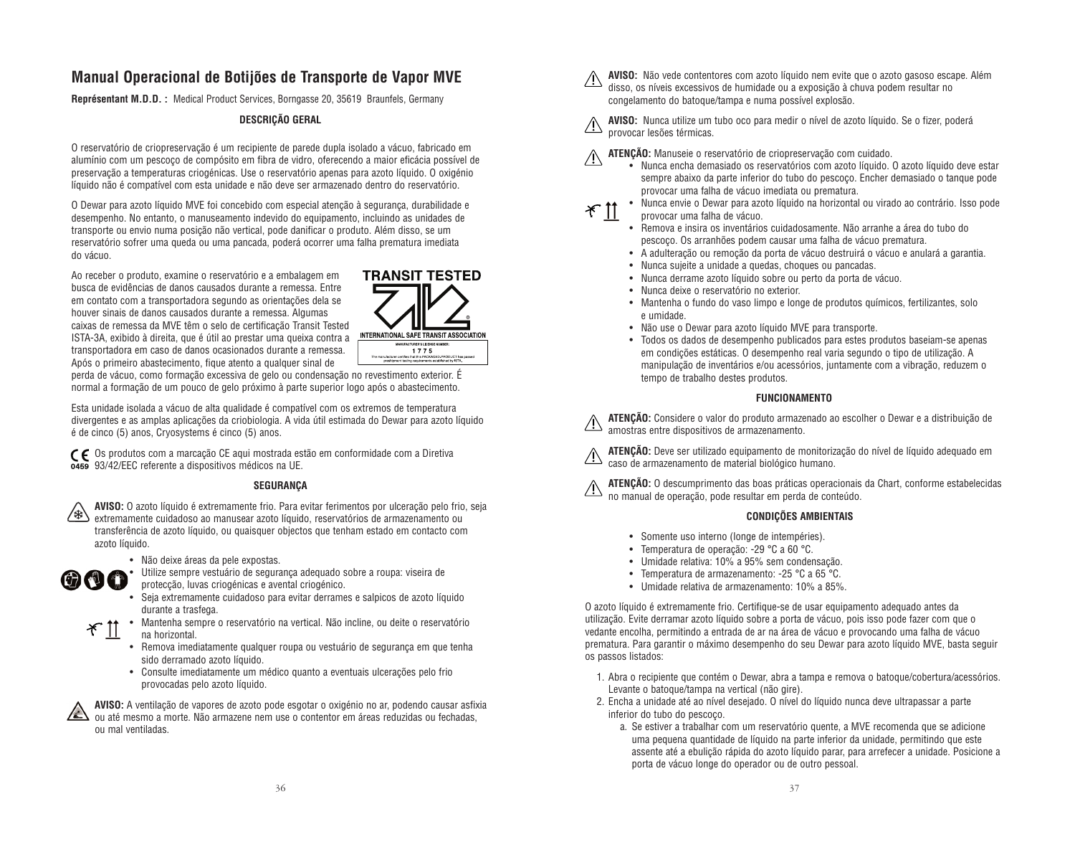### **Manual Operacional de Botijões de Transporte de Vapor MVE**

**Représentant M.D.D. :** Medical Product Services, Borngasse 20, 35619 Braunfels, Germany

#### **DESCRIÇÃO GERAL**

O reservatório de criopreservação é um recipiente de parede dupla isolado a vácuo, fabricado em alumínio com um pescoço de compósito em fibra de vidro, oferecendo a maior eficácia possível de preservação a temperaturas criogénicas. Use o reservatório apenas para azoto líquido. O oxigénio líquido não é compatível com esta unidade e não deve ser armazenado dentro do reservatório.

O Dewar para azoto líquido MVE foi concebido com especial atenção à segurança, durabilidade e desempenho. No entanto, o manuseamento indevido do equipamento, incluindo as unidades de transporte ou envio numa posição não vertical, pode danificar o produto. Além disso, se um reservatório sofrer uma queda ou uma pancada, poderá ocorrer uma falha prematura imediata do vácuo.

Ao receber o produto, examine o reservatório e a embalagem em busca de evidências de danos causados durante a remessa. Entre em contato com a transportadora segundo as orientações dela se houver sinais de danos causados durante a remessa. Algumas caixas de remessa da MVE têm o selo de certificação Transit Tested ISTA-3A, exibido à direita, que é útil ao prestar uma queixa contra a transportadora em caso de danos ocasionados durante a remessa. Após o primeiro abastecimento, fique atento a qualquer sinal de



perda de vácuo, como formação excessiva de gelo ou condensação no revestimento exterior. É normal a formação de um pouco de gelo próximo à parte superior logo após o abastecimento.

Esta unidade isolada a vácuo de alta qualidade é compatível com os extremos de temperatura divergentes e as amplas aplicações da criobiologia. A vida útil estimada do Dewar para azoto líquido é de cinco (5) anos, Cryosystems é cinco (5) anos.

Os produtos com a marcação CE aqui mostrada estão em conformidade com a Diretiva 93/42/EEC referente a dispositivos médicos na UE.

#### **SEGURANÇA**



**AVISO:** O azoto líquido é extremamente frio. Para evitar ferimentos por ulceração pelo frio, seja extremamente cuidadoso ao manusear azoto líquido, reservatórios de armazenamento ou transferência de azoto líquido, ou quaisquer objectos que tenham estado em contacto com azoto líquido.



• Não deixe áreas da pele expostas.

• Utilize sempre vestuário de segurança adequado sobre a roupa: viseira de protecção, luvas criogénicas e avental criogénico.

- Seja extremamente cuidadoso para evitar derrames e salpicos de azoto líquido durante a trasfega.
- Mantenha sempre o reservatório na vertical. Não incline, ou deite o reservatório  $*$  11 na horizontal.
	- Remova imediatamente qualquer roupa ou vestuário de segurança em que tenha sido derramado azoto líquido.
	- Consulte imediatamente um médico quanto a eventuais ulcerações pelo frio provocadas pelo azoto líquido.

**AVISO:** A ventilação de vapores de azoto pode esgotar o oxigénio no ar, podendo causar asfixia ou até mesmo a morte. Não armazene nem use o contentor em áreas reduzidas ou fechadas, ou mal ventiladas.

**AVISO:** Não vede contentores com azoto líquido nem evite que o azoto gasoso escape. Além disso, os níveis excessivos de humidade ou a exposição à chuva podem resultar no congelamento do batoque/tampa e numa possível explosão.

**AVISO:** Nunca utilize um tubo oco para medir o nível de azoto líquido. Se o fizer, poderá provocar lesões térmicas.

**ATENÇÃO:** Manuseie o reservatório de criopreservação com cuidado.

- Nunca encha demasiado os reservatórios com azoto líquido. O azoto líquido deve estar sempre abaixo da parte inferior do tubo do pescoço. Encher demasiado o tanque pode provocar uma falha de vácuo imediata ou prematura.
- וו ~
- Nunca envie o Dewar para azoto líquido na horizontal ou virado ao contrário. Isso pode provocar uma falha de vácuo.
- Remova e insira os inventários cuidadosamente. Não arranhe a área do tubo do pescoço. Os arranhões podem causar uma falha de vácuo prematura.
- A adulteração ou remoção da porta de vácuo destruirá o vácuo e anulará a garantia.
- Nunca sujeite a unidade a quedas, choques ou pancadas.
- Nunca derrame azoto líquido sobre ou perto da porta de vácuo.
- Nunca deixe o reservatório no exterior.
- Mantenha o fundo do vaso limpo e longe de produtos químicos, fertilizantes, solo e umidade.
- Não use o Dewar para azoto líquido MVE para transporte.
- Todos os dados de desempenho publicados para estes produtos baseiam-se apenas em condições estáticas. O desempenho real varia segundo o tipo de utilização. A manipulação de inventários e/ou acessórios, juntamente com a vibração, reduzem o tempo de trabalho destes produtos.

#### **FUNCIONAMENTO**

**ATENÇÃO:** Considere o valor do produto armazenado ao escolher o Dewar e a distribuição de amostras entre dispositivos de armazenamento.

**ATENÇÃO:** Deve ser utilizado equipamento de monitorização do nível de líquido adequado em caso de armazenamento de material biológico humano.

**ATENÇÃO:** O descumprimento das boas práticas operacionais da Chart, conforme estabelecidas no manual de operação, pode resultar em perda de conteúdo.

#### **CONDIÇÕES AMBIENTAIS**

- Somente uso interno (longe de intempéries).
- Temperatura de operação: -29 °C a 60 °C.
- Umidade relativa: 10% a 95% sem condensação.
- Temperatura de armazenamento: -25 °C a 65 °C.
- Umidade relativa de armazenamento: 10% a 85%.

O azoto líquido é extremamente frio. Certifique-se de usar equipamento adequado antes da utilização. Evite derramar azoto líquido sobre a porta de vácuo, pois isso pode fazer com que o vedante encolha, permitindo a entrada de ar na área de vácuo e provocando uma falha de vácuo prematura. Para garantir o máximo desempenho do seu Dewar para azoto líquido MVE, basta seguir os passos listados:

- 1. Abra o recipiente que contém o Dewar, abra a tampa e remova o batoque/cobertura/acessórios. Levante o batoque/tampa na vertical (não gire).
- 2. Encha a unidade até ao nível desejado. O nível do líquido nunca deve ultrapassar a parte inferior do tubo do pescoço.
	- a. Se estiver a trabalhar com um reservatório quente, a MVE recomenda que se adicione uma pequena quantidade de líquido na parte inferior da unidade, permitindo que este assente até a ebulição rápida do azoto líquido parar, para arrefecer a unidade. Posicione a porta de vácuo longe do operador ou de outro pessoal.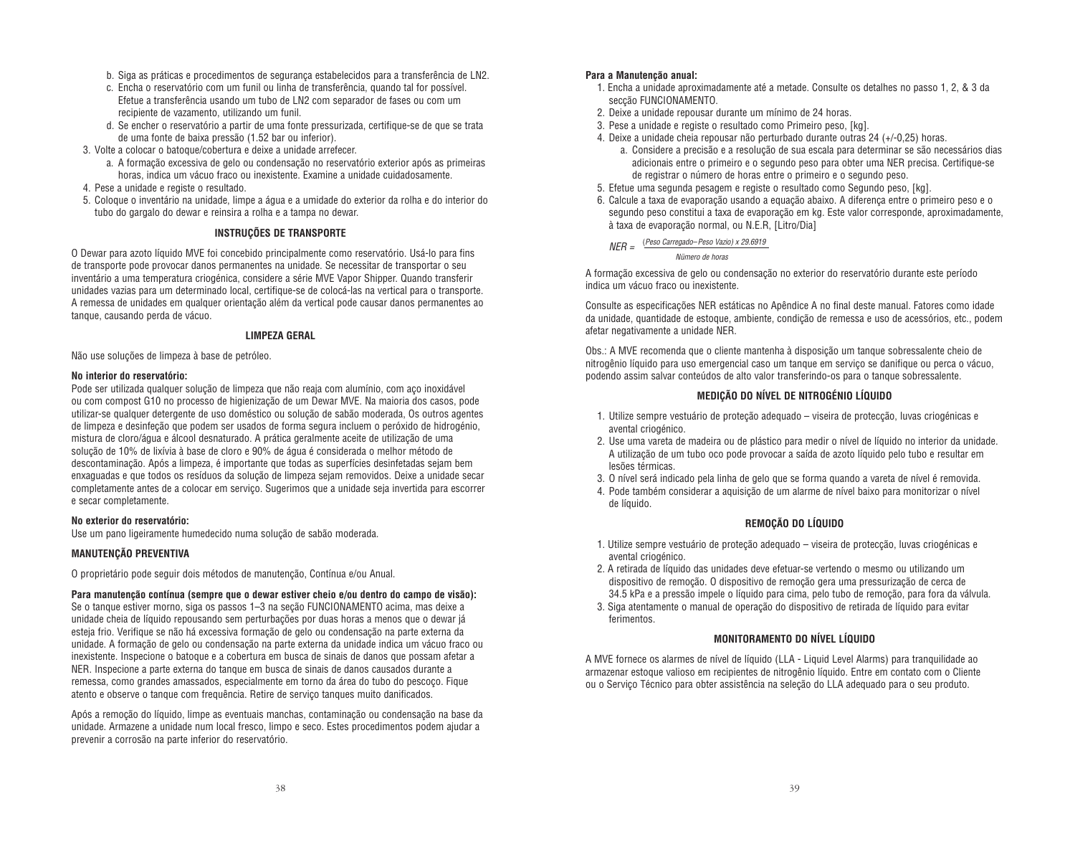- b. Siga as práticas e procedimentos de segurança estabelecidos para a transferência de LN2.
- c. Encha o reservatório com um funil ou linha de transferência, quando tal for possível. Efetue a transferência usando um tubo de LN2 com separador de fases ou com um recipiente de vazamento, utilizando um funil.
- d. Se encher o reservatório a partir de uma fonte pressurizada, certifique-se de que se trata de uma fonte de baixa pressão (1.52 bar ou inferior).
- 3. Volte a colocar o batoque/cobertura e deixe a unidade arrefecer.
	- a. A formação excessiva de gelo ou condensação no reservatório exterior após as primeiras horas, indica um vácuo fraco ou inexistente. Examine a unidade cuidadosamente.
- 4. Pese a unidade e registe o resultado.
- 5. Coloque o inventário na unidade, limpe a água e a umidade do exterior da rolha e do interior do tubo do gargalo do dewar e reinsira a rolha e a tampa no dewar.

#### **INSTRUÇÕES DE TRANSPORTE**

O Dewar para azoto líquido MVE foi concebido principalmente como reservatório. Usá-lo para fins de transporte pode provocar danos permanentes na unidade. Se necessitar de transportar o seu inventário a uma temperatura criogénica, considere a série MVE Vapor Shipper. Quando transferir unidades vazias para um determinado local, certifique-se de colocá-las na vertical para o transporte. A remessa de unidades em qualquer orientação além da vertical pode causar danos permanentes ao tanque, causando perda de vácuo.

#### **LIMPEZA GERAL**

Não use soluções de limpeza à base de petróleo.

#### **No interior do reservatório:**

Pode ser utilizada qualquer solução de limpeza que não reaja com alumínio, com aço inoxidável ou com compost G10 no processo de higienização de um Dewar MVE. Na maioria dos casos, pode utilizar-se qualquer detergente de uso doméstico ou solução de sabão moderada, Os outros agentes de limpeza e desinfeção que podem ser usados de forma segura incluem o peróxido de hidrogénio, mistura de cloro/água e álcool desnaturado. A prática geralmente aceite de utilização de uma solução de 10% de lixívia à base de cloro e 90% de água é considerada o melhor método de descontaminação. Após a limpeza, é importante que todas as superfícies desinfetadas sejam bem enxaguadas e que todos os resíduos da solução de limpeza sejam removidos. Deixe a unidade secar completamente antes de a colocar em serviço. Sugerimos que a unidade seja invertida para escorrer e secar completamente.

#### **No exterior do reservatório:**

Use um pano ligeiramente humedecido numa solução de sabão moderada.

#### **MANUTENÇÃO PREVENTIVA**

O proprietário pode seguir dois métodos de manutenção, Contínua e/ou Anual.

**Para manutenção contínua (sempre que o dewar estiver cheio e/ou dentro do campo de visão):** Se o tanque estiver morno, siga os passos 1–3 na seção FUNCIONAMENTO acima, mas deixe a unidade cheia de líquido repousando sem perturbações por duas horas a menos que o dewar já esteja frio. Verifique se não há excessiva formação de gelo ou condensação na parte externa da unidade. A formação de gelo ou condensação na parte externa da unidade indica um vácuo fraco ou inexistente. Inspecione o batoque e a cobertura em busca de sinais de danos que possam afetar a NER. Inspecione a parte externa do tanque em busca de sinais de danos causados durante a remessa, como grandes amassados, especialmente em torno da área do tubo do pescoço. Fique atento e observe o tanque com frequência. Retire de serviço tanques muito danificados.

Após a remoção do líquido, limpe as eventuais manchas, contaminação ou condensação na base da unidade. Armazene a unidade num local fresco, limpo e seco. Estes procedimentos podem ajudar a prevenir a corrosão na parte inferior do reservatório.

#### **Para a Manutenção anual:**

- 1. Encha a unidade aproximadamente até a metade. Consulte os detalhes no passo 1, 2, & 3 da secção FUNCIONAMENTO.
- 2. Deixe a unidade repousar durante um mínimo de 24 horas.
- 3. Pese a unidade e registe o resultado como Primeiro peso, [kg].
- 4. Deixe a unidade cheia repousar não perturbado durante outras 24 (+/-0,25) horas. a. Considere a precisão e a resolução de sua escala para determinar se são necessários dias adicionais entre o primeiro e o segundo peso para obter uma NER precisa. Certifique-se
- de registrar o número de horas entre o primeiro e o segundo peso.
- 5. Efetue uma segunda pesagem e registe o resultado como Segundo peso, [kg].
- 6. Calcule a taxa de evaporação usando a equação abaixo. A diferença entre o primeiro peso e o segundo peso constitui a taxa de evaporação em kg. Este valor corresponde, aproximadamente, à taxa de evaporação normal, ou N.E.R, [Litro/Dia]

 $NER = \frac{(Peso Carregado-Peso Vazio) \times 29.6919}{PESOR}$ 

Nümero de horas

A formação excessiva de gelo ou condensação no exterior do reservatório durante este período indica um vácuo fraco ou inexistente.

Consulte as especificações NER estáticas no Apêndice A no final deste manual. Fatores como idade da unidade, quantidade de estoque, ambiente, condição de remessa e uso de acessórios, etc., podem afetar negativamente a unidade NER.

Obs.: A MVE recomenda que o cliente mantenha à disposição um tanque sobressalente cheio de nitrogênio líquido para uso emergencial caso um tanque em serviço se danifique ou perca o vácuo, podendo assim salvar conteúdos de alto valor transferindo-os para o tanque sobressalente.

#### **MEDIÇÃO DO NÍVEL DE NITROGÉNIO LÍQUIDO**

- 1. Utilize sempre vestuário de proteção adequado viseira de protecção, luvas criogénicas e avental criogénico.
- 2. Use uma vareta de madeira ou de plástico para medir o nível de líquido no interior da unidade. A utilização de um tubo oco pode provocar a saída de azoto líquido pelo tubo e resultar em lesões térmicas.
- 3. O nível será indicado pela linha de gelo que se forma quando a vareta de nível é removida.
- 4. Pode também considerar a aquisição de um alarme de nível baixo para monitorizar o nível de líquido.

#### **REMOÇÃO DO LÍQUIDO**

- 1. Utilize sempre vestuário de proteção adequado viseira de protecção, luvas criogénicas e avental criogénico.
- 2. A retirada de líquido das unidades deve efetuar-se vertendo o mesmo ou utilizando um dispositivo de remoção. O dispositivo de remoção gera uma pressurização de cerca de 34.5 kPa e a pressão impele o líquido para cima, pelo tubo de remoção, para fora da válvula.
- 3. Siga atentamente o manual de operação do dispositivo de retirada de líquido para evitar ferimentos.

#### **MONITORAMENTO DO NÍVEL LÍQUIDO**

A MVE fornece os alarmes de nível de líquido (LLA - Liquid Level Alarms) para tranquilidade ao armazenar estoque valioso em recipientes de nitrogênio líquido. Entre em contato com o Cliente ou o Serviço Técnico para obter assistência na seleção do LLA adequado para o seu produto.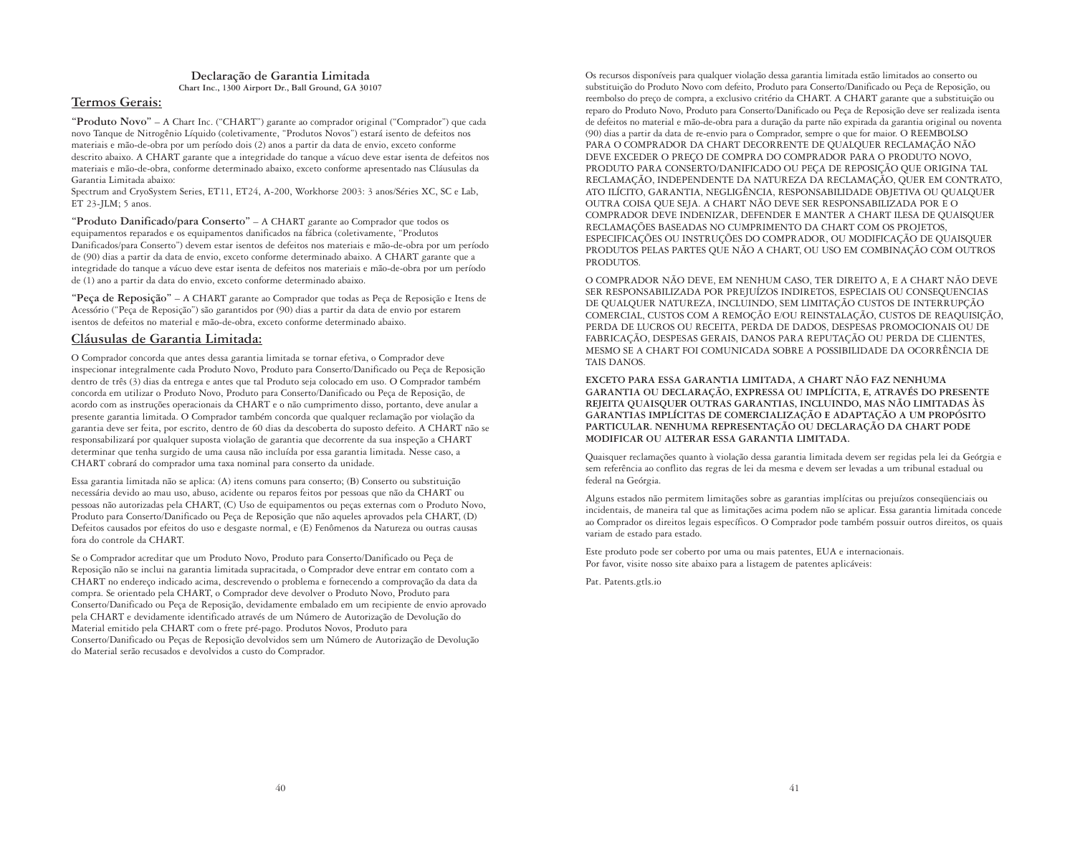#### **Declaração de Garantia Limitada Chart Inc., 1300 Airport Dr., Ball Ground, GA 30107**

#### **Termos Gerais:**

**"Produto Novo"** – A Chart Inc. ("CHART") garante ao comprador original ("Comprador") que cada novo Tanque de Nitrogênio Líquido (coletivamente, "Produtos Novos") estará isento de defeitos nos materiais e mão-de-obra por um período dois (2) anos a partir da data de envio, exceto conforme descrito abaixo. A CHART garante que a integridade do tanque a vácuo deve estar isenta de defeitos nos materiais e mão-de-obra, conforme determinado abaixo, exceto conforme apresentado nas Cláusulas da Garantia Limitada abaixo:

Spectrum and CryoSystem Series, ET11, ET24, A-200, Workhorse 2003: 3 anos/Séries XC, SC e Lab, ET 23-JLM; 5 anos.

**"Produto Danificado/para Conserto"** – A CHART garante ao Comprador que todos os equipamentos reparados e os equipamentos danificados na fábrica (coletivamente, "Produtos Danificados/para Conserto") devem estar isentos de defeitos nos materiais e mão-de-obra por um período de (90) dias a partir da data de envio, exceto conforme determinado abaixo. A CHART garante que a integridade do tanque a vácuo deve estar isenta de defeitos nos materiais e mão-de-obra por um período de (1) ano a partir da data do envio, exceto conforme determinado abaixo.

**"Peça de Reposição"** – A CHART garante ao Comprador que todas as Peça de Reposição e Itens de Acessório ("Peça de Reposição") são garantidos por (90) dias a partir da data de envio por estarem isentos de defeitos no material e mão-de-obra, exceto conforme determinado abaixo.

#### **Cláusulas de Garantia Limitada:**

O Comprador concorda que antes dessa garantia limitada se tornar efetiva, o Comprador deve inspecionar integralmente cada Produto Novo, Produto para Conserto/Danificado ou Peça de Reposição dentro de três (3) dias da entrega e antes que tal Produto seja colocado em uso. O Comprador também concorda em utilizar o Produto Novo, Produto para Conserto/Danificado ou Peça de Reposição, de acordo com as instruções operacionais da CHART e o não cumprimento disso, portanto, deve anular a presente garantia limitada. O Comprador também concorda que qualquer reclamação por violação da garantia deve ser feita, por escrito, dentro de 60 dias da descoberta do suposto defeito. A CHART não se responsabilizará por qualquer suposta violação de garantia que decorrente da sua inspeção a CHART determinar que tenha surgido de uma causa não incluída por essa garantia limitada. Nesse caso, a CHART cobrará do comprador uma taxa nominal para conserto da unidade.

Essa garantia limitada não se aplica: (A) itens comuns para conserto; (B) Conserto ou substituição necessária devido ao mau uso, abuso, acidente ou reparos feitos por pessoas que não da CHART ou pessoas não autorizadas pela CHART, (C) Uso de equipamentos ou peças externas com o Produto Novo, Produto para Conserto/Danificado ou Peça de Reposição que não aqueles aprovados pela CHART, (D) Defeitos causados por efeitos do uso e desgaste normal, e (E) Fenômenos da Natureza ou outras causas fora do controle da CHART.

Se o Comprador acreditar que um Produto Novo, Produto para Conserto/Danificado ou Peça de Reposição não se inclui na garantia limitada supracitada, o Comprador deve entrar em contato com a CHART no endereço indicado acima, descrevendo o problema e fornecendo a comprovação da data da compra. Se orientado pela CHART, o Comprador deve devolver o Produto Novo, Produto para Conserto/Danificado ou Peça de Reposição, devidamente embalado em um recipiente de envio aprovado pela CHART e devidamente identificado através de um Número de Autorização de Devolução do Material emitido pela CHART com o frete pré-pago. Produtos Novos, Produto para Conserto/Danificado ou Peças de Reposição devolvidos sem um Número de Autorização de Devolução do Material serão recusados e devolvidos a custo do Comprador.

Os recursos disponíveis para qualquer violação dessa garantia limitada estão limitados ao conserto ou substituição do Produto Novo com defeito, Produto para Conserto/Danificado ou Peça de Reposição, ou reembolso do preço de compra, a exclusivo critério da CHART. A CHART garante que a substituição ou reparo do Produto Novo, Produto para Conserto/Danificado ou Peça de Reposição deve ser realizada isenta de defeitos no material e mão-de-obra para a duração da parte não expirada da garantia original ou noventa (90) dias a partir da data de re-envio para o Comprador, sempre o que for maior. O REEMBOLSO PARA O COMPRADOR DA CHART DECORRENTE DE QUALQUER RECLAMAÇÃO NÃO DEVE EXCEDER O PREÇO DE COMPRA DO COMPRADOR PARA O PRODUTO NOVO, PRODUTO PARA CONSERTO/DANIFICADO OU PEÇA DE REPOSIÇÃO QUE ORIGINA TAL RECLAMAÇÃO, INDEPENDENTE DA NATUREZA DA RECLAMAÇÃO, QUER EM CONTRATO, ATO ILÍCITO, GARANTIA, NEGLIGÊNCIA, RESPONSABILIDADE OBJETIVA OU QUALQUER OUTRA COISA QUE SEJA. A CHART NÃO DEVE SER RESPONSABILIZADA POR E O COMPRADOR DEVE INDENIZAR, DEFENDER E MANTER A CHART ILESA DE QUAISQUER RECLAMAÇÕES BASEADAS NO CUMPRIMENTO DA CHART COM OS PROJETOS, ESPECIFICAÇÕES OU INSTRUÇÕES DO COMPRADOR, OU MODIFICAÇÃO DE QUAISQUER PRODUTOS PELAS PARTES QUE NÃO A CHART, OU USO EM COMBINAÇÃO COM OUTROS PRODUTOS.

O COMPRADOR NÃO DEVE, EM NENHUM CASO, TER DIREITO A, E A CHART NÃO DEVE SER RESPONSABILIZADA POR PREJUÍZOS INDIRETOS, ESPECIAIS OU CONSEQUENCIAS DE QUALQUER NATUREZA, INCLUINDO, SEM LIMITAÇÃO CUSTOS DE INTERRUPÇÃO COMERCIAL, CUSTOS COM A REMOÇÃO E/OU REINSTALAÇÃO, CUSTOS DE REAQUISIÇÃO, PERDA DE LUCROS OU RECEITA, PERDA DE DADOS, DESPESAS PROMOCIONAIS OU DE FABRICAÇÃO, DESPESAS GERAIS, DANOS PARA REPUTAÇÃO OU PERDA DE CLIENTES, MESMO SE A CHART FOI COMUNICADA SOBRE A POSSIBILIDADE DA OCORRÊNCIA DE TAIS DANOS.

**EXCETO PARA ESSA GARANTIA LIMITADA, A CHART NÃO FAZ NENHUMA GARANTIA OU DECLARAÇÃO, EXPRESSA OU IMPLÍCITA, E, ATRAVÉS DO PRESENTE REJEITA QUAISQUER OUTRAS GARANTIAS, INCLUINDO, MAS NÃO LIMITADAS ÀS GARANTIAS IMPLÍCITAS DE COMERCIALIZAÇÃO E ADAPTAÇÃO A UM PROPÓSITO PARTICULAR. NENHUMA REPRESENTAÇÃO OU DECLARAÇÃO DA CHART PODE MODIFICAR OU ALTERAR ESSA GARANTIA LIMITADA.**

Quaisquer reclamações quanto à violação dessa garantia limitada devem ser regidas pela lei da Geórgia e sem referência ao conflito das regras de lei da mesma e devem ser levadas a um tribunal estadual ou federal na Geórgia.

Alguns estados não permitem limitações sobre as garantias implícitas ou prejuízos conseqüenciais ou incidentais, de maneira tal que as limitações acima podem não se aplicar. Essa garantia limitada concede ao Comprador os direitos legais específicos. O Comprador pode também possuir outros direitos, os quais variam de estado para estado.

Este produto pode ser coberto por uma ou mais patentes, EUA e internacionais. Por favor, visite nosso site abaixo para a listagem de patentes aplicáveis:

Pat. Patents.gtls.io